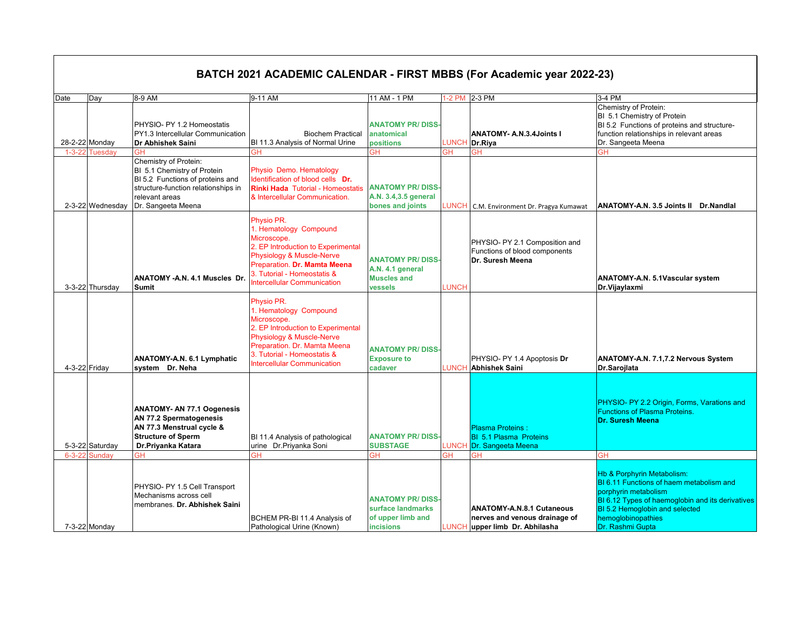|              |                       |                                                                                                                                                                         |                                                                                                                                                                                                                             |                                                                                       |              | <b>BATCH 2021 ACADEMIC CALENDAR - FIRST MBBS (For Academic year 2022-23)</b>                  |                                                                                                                                                                                                                                           |
|--------------|-----------------------|-------------------------------------------------------------------------------------------------------------------------------------------------------------------------|-----------------------------------------------------------------------------------------------------------------------------------------------------------------------------------------------------------------------------|---------------------------------------------------------------------------------------|--------------|-----------------------------------------------------------------------------------------------|-------------------------------------------------------------------------------------------------------------------------------------------------------------------------------------------------------------------------------------------|
|              |                       |                                                                                                                                                                         |                                                                                                                                                                                                                             |                                                                                       |              |                                                                                               |                                                                                                                                                                                                                                           |
| Date         | Day<br>28-2-22 Monday | 8-9 AM<br>PHYSIO- PY 1.2 Homeostatis<br>PY1.3 Intercellular Communication<br>Dr Abhishek Saini                                                                          | 9-11 AM<br><b>Biochem Practical</b><br>BI 11.3 Analysis of Normal Urine                                                                                                                                                     | 11 AM - 1 PM<br><b>ANATOMY PR/DISS-</b><br>anatomical<br>positions                    | LUNCH        | 1-2 PM 2-3 PM<br><b>ANATOMY- A.N.3.4Joints I</b><br>Dr.Riya                                   | 3-4 PM<br>Chemistry of Protein:<br>BI 5.1 Chemistry of Protein<br>BI 5.2 Functions of proteins and structure-<br>function relationships in relevant areas<br>Dr. Sangeeta Meena                                                           |
|              | 1-3-22 Tuesdav        | GН                                                                                                                                                                      | GН                                                                                                                                                                                                                          | <b>GH</b>                                                                             | <b>GH</b>    | <b>GH</b>                                                                                     | ĠН                                                                                                                                                                                                                                        |
|              | 2-3-22 Wednesday      | Chemistry of Protein:<br>BI 5.1 Chemistry of Protein<br>BI 5.2 Functions of proteins and<br>structure-function relationships in<br>relevant areas<br>Dr. Sangeeta Meena | Physio Demo. Hematology<br>Identification of blood cells Dr.<br><b>Rinki Hada</b> Tutorial - Homeostatis<br>& Intercellular Communication.                                                                                  | <b>ANATOMY PR/DISS-</b><br>A.N. 3.4,3.5 general<br>bones and joints                   | UNCH.        | C.M. Environment Dr. Pragya Kumawat                                                           | ANATOMY-A.N. 3.5 Joints II Dr.Nandlal                                                                                                                                                                                                     |
|              | 3-3-22 Thursday       | <b>ANATOMY - A.N. 4.1 Muscles Dr.</b><br><b>Sumit</b>                                                                                                                   | Physio PR.<br>1. Hematology Compound<br>Microscope.<br>2. EP Introduction to Experimental<br>Physiology & Muscle-Nerve<br>Preparation. Dr. Mamta Meena<br>3. Tutorial - Homeostatis &<br><b>Intercellular Communication</b> | <b>ANATOMY PR/DISS-</b><br>A.N. 4.1 general<br><b>Muscles and</b><br>vessels          | <b>LUNCH</b> | PHYSIO- PY 2.1 Composition and<br>Functions of blood components<br>Dr. Suresh Meena           | ANATOMY-A.N. 5.1Vascular system<br>Dr.Vijaylaxmi                                                                                                                                                                                          |
|              | 4-3-22 Friday         | ANATOMY-A.N. 6.1 Lymphatic<br>system Dr. Neha                                                                                                                           | Physio PR.<br>1. Hematology Compound<br>Microscope.<br>2. EP Introduction to Experimental<br>Physiology & Muscle-Nerve<br>Preparation. Dr. Mamta Meena<br>3. Tutorial - Homeostatis &<br><b>Intercellular Communication</b> | <b>ANATOMY PR/DISS-</b><br><b>Exposure to</b><br>cadaver                              |              | PHYSIO- PY 1.4 Apoptosis Dr<br>LUNCH Abhishek Saini                                           | ANATOMY-A.N. 7.1,7.2 Nervous System<br>Dr.Sarojlata                                                                                                                                                                                       |
|              | 5-3-22 Saturday       | <b>ANATOMY- AN 77.1 Oogenesis</b><br>AN 77.2 Spermatogenesis<br>AN 77.3 Menstrual cycle &<br><b>Structure of Sperm</b><br>Dr.Priyanka Katara                            | BI 11.4 Analysis of pathological<br>urine Dr.Priyanka Soni                                                                                                                                                                  | <b>ANATOMY PR/DISS-</b><br><b>SUBSTAGE</b>                                            | LUNCH        | <b>Plasma Proteins</b><br><b>BI 5.1 Plasma Proteins</b><br>Dr. Sangeeta Meena                 | PHYSIO- PY 2.2 Origin, Forms, Varations and<br>Functions of Plasma Proteins.<br>Dr. Suresh Meena                                                                                                                                          |
| $6 - 3 - 22$ | Sundav                | GН                                                                                                                                                                      | GΗ                                                                                                                                                                                                                          | GН                                                                                    | <b>GH</b>    | <b>GH</b>                                                                                     | <b>GH</b>                                                                                                                                                                                                                                 |
|              | 7-3-22 Monday         | PHYSIO- PY 1.5 Cell Transport<br>Mechanisms across cell<br>membranes. Dr. Abhishek Saini                                                                                | BCHEM PR-BI 11.4 Analysis of<br>Pathological Urine (Known)                                                                                                                                                                  | <b>ANATOMY PR/DISS-</b><br>surface landmarks<br>of upper limb and<br><b>incisions</b> | LUNCH        | <b>ANATOMY-A.N.8.1 Cutaneous</b><br>nerves and venous drainage of<br>upper limb Dr. Abhilasha | <b>Hb &amp; Porphyrin Metabolism:</b><br>BI 6.11 Functions of haem metabolism and<br>porphyrin metabolism<br>BI 6.12 Types of haemoglobin and its derivatives<br>BI 5.2 Hemoglobin and selected<br>hemoglobinopathies<br>Dr. Rashmi Gupta |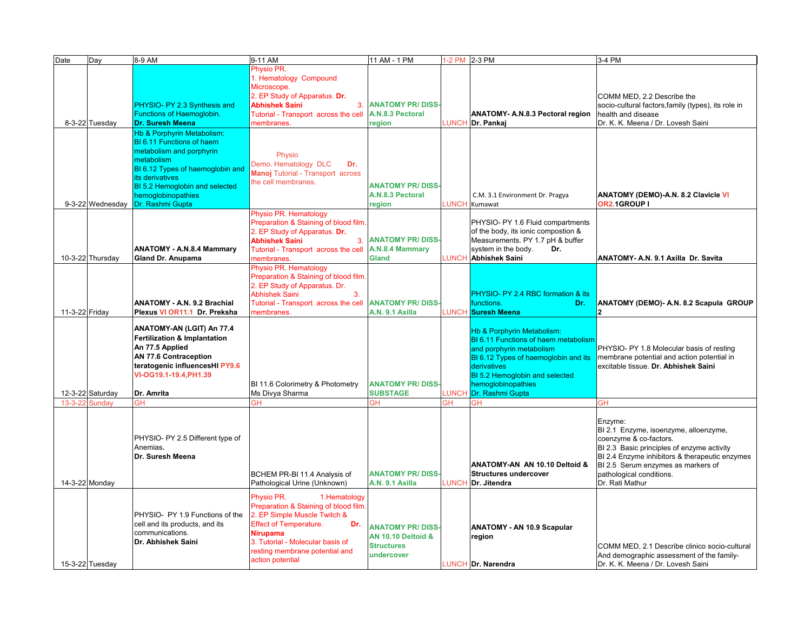| Date           | Day              | 8-9 AM                                  | 9-11 AM                               | 11 AM - 1 PM                  |       | 1-2 PM 2-3 PM                           | 3-4 PM                                              |
|----------------|------------------|-----------------------------------------|---------------------------------------|-------------------------------|-------|-----------------------------------------|-----------------------------------------------------|
|                |                  |                                         | Physio PR.                            |                               |       |                                         |                                                     |
|                |                  |                                         | 1. Hematology Compound                |                               |       |                                         |                                                     |
|                |                  |                                         | Microscope.                           |                               |       |                                         |                                                     |
|                |                  |                                         | 2. EP Study of Apparatus. Dr.         |                               |       |                                         | COMM MED, 2.2 Describe the                          |
|                |                  | PHYSIO- PY 2.3 Synthesis and            | <b>Abhishek Saini</b><br>3.           | <b>ANATOMY PR/DISS-</b>       |       |                                         | socio-cultural factors, family (types), its role in |
|                |                  | Functions of Haemoglobin.               | Tutorial - Transport across the cell  | A.N.8.3 Pectoral              |       | <b>ANATOMY- A.N.8.3 Pectoral region</b> | health and disease                                  |
|                | 8-3-22 Tuesday   |                                         | membranes.                            |                               |       |                                         | Dr. K. K. Meena / Dr. Lovesh Saini                  |
|                |                  | <b>Dr. Suresh Meena</b>                 |                                       | region                        |       | LUNCH Dr. Pankaj                        |                                                     |
|                |                  | Hb & Porphyrin Metabolism:              |                                       |                               |       |                                         |                                                     |
|                |                  | <b>BI 6.11 Functions of haem</b>        |                                       |                               |       |                                         |                                                     |
|                |                  | metabolism and porphyrin                | Physio                                |                               |       |                                         |                                                     |
|                |                  | metabolism                              | Demo. Hematology DLC<br>Dr.           |                               |       |                                         |                                                     |
|                |                  | BI 6.12 Types of haemoglobin and        | Manoj Tutorial - Transport across     |                               |       |                                         |                                                     |
|                |                  | its derivatives                         | the cell membranes.                   |                               |       |                                         |                                                     |
|                |                  | BI 5.2 Hemoglobin and selected          |                                       | <b>ANATOMY PR/DISS-</b>       |       |                                         |                                                     |
|                |                  | hemoglobinopathies                      |                                       | A.N.8.3 Pectoral              |       | C.M. 3.1 Environment Dr. Pragya         | <b>ANATOMY (DEMO)-A.N. 8.2 Clavicle VI</b>          |
|                | 9-3-22 Wednesday | Dr. Rashmi Gupta                        |                                       | region                        |       | <b>LUNCH</b> Kumawat                    | OR2.1GROUP I                                        |
|                |                  |                                         | Physio PR. Hematology                 |                               |       |                                         |                                                     |
|                |                  |                                         | Preparation & Staining of blood film. |                               |       | PHYSIO- PY 1.6 Fluid compartments       |                                                     |
|                |                  |                                         | 2. EP Study of Apparatus. Dr.         |                               |       | of the body, its ionic compostion &     |                                                     |
|                |                  |                                         | <b>Abhishek Saini</b><br>3.           | <b>ANATOMY PR/DISS-</b>       |       | Measurements. PY 1.7 pH & buffer        |                                                     |
|                |                  | <b>ANATOMY - A.N.8.4 Mammary</b>        | Tutorial - Transport across the cell  | A.N.8.4 Mammary               |       | system in the body.<br>Dr.              |                                                     |
|                | 10-3-22 Thursday | Gland Dr. Anupama                       | membranes.                            | Gland                         |       | LUNCH Abhishek Saini                    | ANATOMY- A.N. 9.1 Axilla Dr. Savita                 |
|                |                  |                                         | Physio PR. Hematology                 |                               |       |                                         |                                                     |
|                |                  |                                         | Preparation & Staining of blood film. |                               |       |                                         |                                                     |
|                |                  |                                         | 2. EP Study of Apparatus. Dr.         |                               |       |                                         |                                                     |
|                |                  |                                         | <b>Abhishek Saini</b><br>3.           |                               |       | PHYSIO- PY 2.4 RBC formation & its      |                                                     |
|                |                  | ANATOMY - A.N. 9.2 Brachial             | Tutorial - Transport across the cell  | <b>ANATOMY PR/DISS</b>        |       | functions.<br>Dr.                       | ANATOMY (DEMO)- A.N. 8.2 Scapula GROUP              |
| 11-3-22 Friday |                  | Plexus VI OR11.1 Dr. Preksha            | membranes.                            | A.N. 9.1 Axilla               |       | LUNCH Suresh Meena                      | 2                                                   |
|                |                  |                                         |                                       |                               |       |                                         |                                                     |
|                |                  | ANATOMY-AN (LGIT) An 77.4               |                                       |                               |       | <b>Hb &amp; Porphyrin Metabolism:</b>   |                                                     |
|                |                  | <b>Fertilization &amp; Implantation</b> |                                       |                               |       | BI 6.11 Functions of haem metabolism    |                                                     |
|                |                  | An 77.5 Applied                         |                                       |                               |       | and porphyrin metabolism                | PHYSIO- PY 1.8 Molecular basis of resting           |
|                |                  | <b>AN 77.6 Contraception</b>            |                                       |                               |       | BI 6.12 Types of haemoglobin and its    | membrane potential and action potential in          |
|                |                  | teratogenic influencesHI PY9.6          |                                       |                               |       | derivatives                             | excitable tissue. Dr. Abhishek Saini                |
|                |                  | VI-OG19.1-19.4, PH1.39                  |                                       |                               |       | BI 5.2 Hemoglobin and selected          |                                                     |
|                |                  |                                         | BI 11.6 Colorimetry & Photometry      | <b>ANATOMY PR/DISS-</b>       |       | hemoglobinopathies                      |                                                     |
|                | 12-3-22 Saturday | Dr. Amrita                              | Ms Divya Sharma                       | <b>SUBSTAGE</b>               | LUNCH | Dr. Rashmi Gupta                        |                                                     |
| 13-3-22 Sundav |                  | GН                                      | ЗH                                    | ЭH                            | GH    | <b>GH</b>                               | <b>GH</b>                                           |
|                |                  |                                         |                                       |                               |       |                                         |                                                     |
|                |                  |                                         |                                       |                               |       |                                         | Enzyme:                                             |
|                |                  |                                         |                                       |                               |       |                                         | BI 2.1 Enzyme, isoenzyme, alloenzyme,               |
|                |                  | PHYSIO- PY 2.5 Different type of        |                                       |                               |       |                                         | coenzyme & co-factors.                              |
|                |                  | Anemias.                                |                                       |                               |       |                                         | BI 2.3 Basic principles of enzyme activity          |
|                |                  | Dr. Suresh Meena                        |                                       |                               |       |                                         | BI 2.4 Enzyme inhibitors & therapeutic enzymes      |
|                |                  |                                         |                                       |                               |       | ANATOMY-AN AN 10.10 Deltoid &           | BI 2.5 Serum enzymes as markers of                  |
|                |                  |                                         | BCHEM PR-BI 11.4 Analysis of          | <b>ANATOMY PR/DISS-</b>       |       | <b>Structures undercover</b>            | pathological conditions.                            |
|                | 14-3-22 Monday   |                                         | Pathological Urine (Unknown)          | A.N. 9.1 Axilla               | LUNCH | Dr. Jitendra                            | Dr. Rati Mathur                                     |
|                |                  |                                         |                                       |                               |       |                                         |                                                     |
|                |                  |                                         | Physio PR.<br>1.Hematology            |                               |       |                                         |                                                     |
|                |                  |                                         | Preparation & Staining of blood film. |                               |       |                                         |                                                     |
|                |                  | PHYSIO- PY 1.9 Functions of the         | 2. EP Simple Muscle Twitch &          |                               |       |                                         |                                                     |
|                |                  | cell and its products, and its          | <b>Effect of Temperature.</b><br>Dr.  | <b>ANATOMY PR/DISS</b>        |       | <b>ANATOMY - AN 10.9 Scapular</b>       |                                                     |
|                |                  | communications.                         | <b>Nirupama</b>                       | <b>AN 10.10 Deltoid &amp;</b> |       | region                                  |                                                     |
|                |                  | Dr. Abhishek Saini                      | 3. Tutorial - Molecular basis of      | <b>Structures</b>             |       |                                         | COMM MED, 2.1 Describe clinico socio-cultural       |
|                |                  |                                         | resting membrane potential and        | undercover                    |       |                                         | And demographic assessment of the family-           |
|                | 15-3-22 Tuesday  |                                         | action potential                      |                               |       | LUNCH Dr. Narendra                      | Dr. K. K. Meena / Dr. Lovesh Saini                  |
|                |                  |                                         |                                       |                               |       |                                         |                                                     |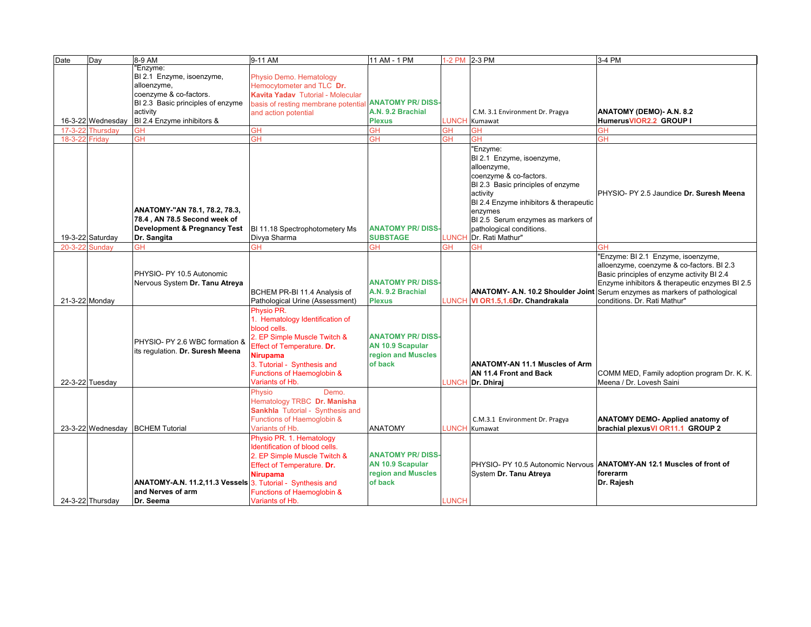| Date          | Day               | 8-9 AM                                                                                       | 9-11 AM                                                                                                                                                                                                          | 11 AM - 1 PM                                                                        |              | 1-2 PM 2-3 PM                                                                       | 3-4 PM                                                                                                                                                                                                                                                      |
|---------------|-------------------|----------------------------------------------------------------------------------------------|------------------------------------------------------------------------------------------------------------------------------------------------------------------------------------------------------------------|-------------------------------------------------------------------------------------|--------------|-------------------------------------------------------------------------------------|-------------------------------------------------------------------------------------------------------------------------------------------------------------------------------------------------------------------------------------------------------------|
|               |                   | Enzyme:                                                                                      |                                                                                                                                                                                                                  |                                                                                     |              |                                                                                     |                                                                                                                                                                                                                                                             |
|               |                   | BI 2.1 Enzyme, isoenzyme,                                                                    | Physio Demo. Hematology                                                                                                                                                                                          |                                                                                     |              |                                                                                     |                                                                                                                                                                                                                                                             |
|               |                   | alloenzyme,                                                                                  | Hemocytometer and TLC Dr.                                                                                                                                                                                        |                                                                                     |              |                                                                                     |                                                                                                                                                                                                                                                             |
|               |                   | coenzyme & co-factors.                                                                       | <b>Kavita Yadav</b> Tutorial - Molecular                                                                                                                                                                         |                                                                                     |              |                                                                                     |                                                                                                                                                                                                                                                             |
|               |                   | BI 2.3 Basic principles of enzyme                                                            | basis of resting membrane potential <b>ANATOMY PR/ DISS</b>                                                                                                                                                      |                                                                                     |              |                                                                                     |                                                                                                                                                                                                                                                             |
|               |                   | activity                                                                                     | and action potential                                                                                                                                                                                             | A.N. 9.2 Brachial                                                                   |              | C.M. 3.1 Environment Dr. Pragya                                                     | ANATOMY (DEMO)- A.N. 8.2                                                                                                                                                                                                                                    |
|               | 16-3-22 Wednesday | BI 2.4 Enzyme inhibitors &                                                                   |                                                                                                                                                                                                                  | <b>Plexus</b>                                                                       |              | LUNCH Kumawat                                                                       | HumerusVIOR2.2 GROUP I                                                                                                                                                                                                                                      |
| $17 - 3 - 22$ | Thursdav          | <b>GH</b>                                                                                    | <b>GH</b>                                                                                                                                                                                                        | GН                                                                                  | <b>GH</b>    | <b>GH</b>                                                                           | GΗ                                                                                                                                                                                                                                                          |
| $18 - 3 - 22$ | Friday            | GH                                                                                           | GH                                                                                                                                                                                                               | ЭH                                                                                  | ЗH           | <b>GH</b>                                                                           | GН                                                                                                                                                                                                                                                          |
|               |                   |                                                                                              |                                                                                                                                                                                                                  |                                                                                     |              | "Enzyme:<br>BI 2.1 Enzyme, isoenzyme,<br>alloenzyme,                                |                                                                                                                                                                                                                                                             |
|               |                   |                                                                                              |                                                                                                                                                                                                                  |                                                                                     |              | coenzyme & co-factors.<br>BI 2.3 Basic principles of enzyme<br>activity             | PHYSIO- PY 2.5 Jaundice Dr. Suresh Meena                                                                                                                                                                                                                    |
|               |                   |                                                                                              |                                                                                                                                                                                                                  |                                                                                     |              | BI 2.4 Enzyme inhibitors & therapeutic                                              |                                                                                                                                                                                                                                                             |
|               |                   | ANATOMY-"AN 78.1, 78.2, 78.3,                                                                |                                                                                                                                                                                                                  |                                                                                     |              | enzymes                                                                             |                                                                                                                                                                                                                                                             |
|               |                   | 78.4, AN 78.5 Second week of                                                                 |                                                                                                                                                                                                                  |                                                                                     |              | BI 2.5 Serum enzymes as markers of                                                  |                                                                                                                                                                                                                                                             |
|               |                   | <b>Development &amp; Pregnancy Test</b>                                                      | BI 11.18 Spectrophotometery Ms                                                                                                                                                                                   | <b>ANATOMY PR/DISS</b>                                                              |              | pathological conditions.                                                            |                                                                                                                                                                                                                                                             |
|               | 19-3-22 Saturday  | Dr. Sangita                                                                                  | Divya Sharma                                                                                                                                                                                                     | <b>SUBSTAGE</b>                                                                     | LUNCH        | Dr. Rati Mathur"                                                                    |                                                                                                                                                                                                                                                             |
| $20 - 3 - 22$ | Sundav            | GН                                                                                           | GН                                                                                                                                                                                                               | ЭH                                                                                  | ЗΗ           | GН                                                                                  |                                                                                                                                                                                                                                                             |
|               | 21-3-22 Monday    | PHYSIO- PY 10.5 Autonomic<br>Nervous System Dr. Tanu Atreya                                  | BCHEM PR-BI 11.4 Analysis of<br>Pathological Urine (Assessment)                                                                                                                                                  | <b>ANATOMY PR/DISS-</b><br>A.N. 9.2 Brachial<br><b>Plexus</b>                       |              | <b>ANATOMY- A.N. 10.2 Shoulder Joint</b><br>LUNCH VI OR1.5,1.6Dr. Chandrakala       | 'Enzyme: BI 2.1 Enzyme, isoenzyme,<br>alloenzyme, coenzyme & co-factors. BI 2.3<br>Basic principles of enzyme activity BI 2.4<br>Enzyme inhibitors & therapeutic enzymes BI 2.5<br>Serum enzymes as markers of pathological<br>conditions. Dr. Rati Mathur" |
|               |                   |                                                                                              | Physio PR.                                                                                                                                                                                                       |                                                                                     |              |                                                                                     |                                                                                                                                                                                                                                                             |
|               | 22-3-22 Tuesday   | PHYSIO- PY 2.6 WBC formation &<br>its regulation. Dr. Suresh Meena                           | 1. Hematology Identification of<br>blood cells.<br>2. EP Simple Muscle Twitch &<br>Effect of Temperature. Dr.<br><b>Nirupama</b><br>3. Tutorial - Synthesis and<br>Functions of Haemoglobin &<br>Variants of Hb. | <b>ANATOMY PR/DISS-</b><br><b>AN 10.9 Scapular</b><br>region and Muscles<br>of back |              | <b>ANATOMY-AN 11.1 Muscles of Arm</b><br>AN 11.4 Front and Back<br>LUNCH Dr. Dhiraj | COMM MED, Family adoption program Dr. K. K.<br>Meena / Dr. Lovesh Saini                                                                                                                                                                                     |
|               |                   |                                                                                              | Physio<br>Demo.<br>Hematology TRBC Dr. Manisha<br>Sankhla Tutorial - Synthesis and                                                                                                                               |                                                                                     |              |                                                                                     |                                                                                                                                                                                                                                                             |
|               | 23-3-22 Wednesday | <b>BCHEM Tutorial</b>                                                                        | Functions of Haemoglobin &<br>Variants of Hb.                                                                                                                                                                    | <b>ANATOMY</b>                                                                      | <b>LUNCH</b> | C.M.3.1 Environment Dr. Pragya<br>Kumawat                                           | <b>ANATOMY DEMO- Applied anatomy of</b><br>brachial plexus VI OR11.1 GROUP 2                                                                                                                                                                                |
|               | 24-3-22 Thursday  | ANATOMY-A.N. 11.2,11.3 Vessels 3. Tutorial - Synthesis and<br>and Nerves of arm<br>Dr. Seema | Physio PR. 1. Hematology<br>Identification of blood cells.<br>2. EP Simple Muscle Twitch &<br>Effect of Temperature. Dr.<br><b>Nirupama</b><br><b>Functions of Haemoglobin &amp;</b><br>Variants of Hb.          | <b>ANATOMY PR/DISS-</b><br><b>AN 10.9 Scapular</b><br>region and Muscles<br>of back | <b>LUNCH</b> | System Dr. Tanu Atreya                                                              | PHYSIO- PY 10.5 Autonomic Nervous ANATOMY-AN 12.1 Muscles of front of<br>forerarm<br>Dr. Rajesh                                                                                                                                                             |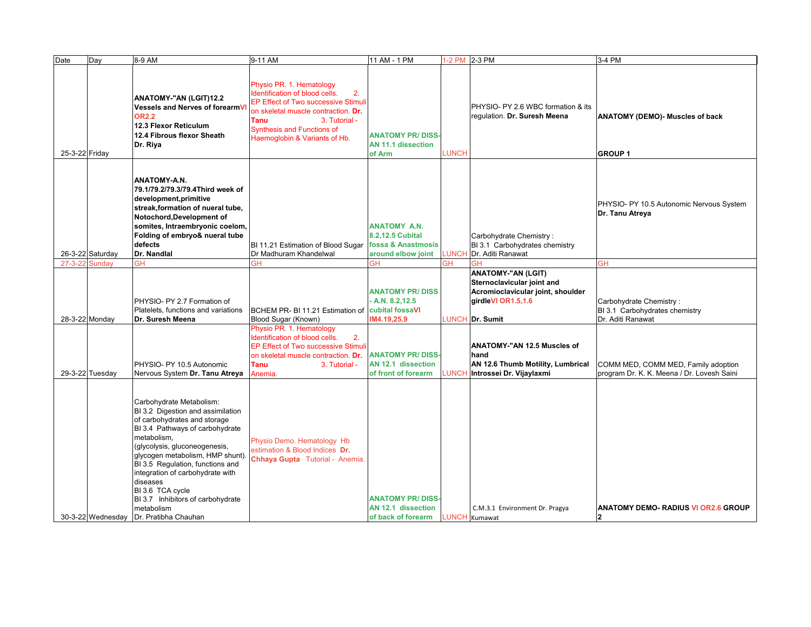| Date           | Day               | 8-9 AM                                                                                                                                                                                                                                                                                                                                                                                                 | 9-11 AM                                                                                                                                                                                                                                                     | 11 AM - 1 PM                                                                      |              | 1-2 PM 2-3 PM                                                                                                                                                          | 3-4 PM                                                                            |
|----------------|-------------------|--------------------------------------------------------------------------------------------------------------------------------------------------------------------------------------------------------------------------------------------------------------------------------------------------------------------------------------------------------------------------------------------------------|-------------------------------------------------------------------------------------------------------------------------------------------------------------------------------------------------------------------------------------------------------------|-----------------------------------------------------------------------------------|--------------|------------------------------------------------------------------------------------------------------------------------------------------------------------------------|-----------------------------------------------------------------------------------|
| 25-3-22 Friday |                   | ANATOMY-"AN (LGIT)12.2<br>Vessels and Nerves of forearmV<br><b>OR2.2</b><br>12.3 Flexor Reticulum<br>12.4 Fibrous flexor Sheath<br>Dr. Riya                                                                                                                                                                                                                                                            | Physio PR. 1. Hematology<br>Identification of blood cells.<br>2.<br><b>EP Effect of Two successive Stimuli</b><br>on skeletal muscle contraction. Dr.<br><b>Tanu</b><br>3. Tutorial -<br><b>Synthesis and Functions of</b><br>Haemoglobin & Variants of Hb. | <b>ANATOMY PR/DISS</b><br>AN 11.1 dissection<br>of Arm                            | LUNCH        | PHYSIO- PY 2.6 WBC formation & its<br>regulation. Dr. Suresh Meena                                                                                                     | <b>ANATOMY (DEMO)- Muscles of back</b><br><b>GROUP1</b>                           |
|                | 26-3-22 Saturday  | <b>ANATOMY-A.N.</b><br>79.1/79.2/79.3/79.4Third week of<br>development, primitive<br>streak,formation of nueral tube,<br>Notochord, Development of<br>somites, Intraembryonic coelom,<br>Folding of embryo& nueral tube<br>defects<br>Dr. Nandlal                                                                                                                                                      | BI 11.21 Estimation of Blood Sugar fossa & Anastmosis<br>Dr Madhuram Khandelwal                                                                                                                                                                             | <b>ANATOMY A.N.</b><br>8.2,12.5 Cubital<br>around elbow joint                     | <b>LUNCH</b> | Carbohydrate Chemistry:<br>BI 3.1 Carbohydrates chemistry<br>Dr. Aditi Ranawat                                                                                         | PHYSIO- PY 10.5 Autonomic Nervous System<br>Dr. Tanu Atreya                       |
| $27 - 3 - 22$  | Sunday            | GH                                                                                                                                                                                                                                                                                                                                                                                                     | GН                                                                                                                                                                                                                                                          | GH                                                                                | GH           | GН                                                                                                                                                                     | <b>GH</b>                                                                         |
|                | 28-3-22 Monday    | PHYSIO- PY 2.7 Formation of<br>Platelets, functions and variations<br>Dr. Suresh Meena                                                                                                                                                                                                                                                                                                                 | BCHEM PR- BI 11.21 Estimation of cubital fossaVI<br>Blood Sugar (Known)<br>Physio PR. 1. Hematology<br>Identification of blood cells.<br>2.<br><b>EP Effect of Two successive Stimuli</b><br>on skeletal muscle contraction. Dr.                            | <b>ANATOMY PR/DISS</b><br>A.N. 8.2, 12.5<br>IM4.19,25.9<br><b>ANATOMY PR/DISS</b> | <b>LUNCH</b> | <b>ANATOMY-"AN (LGIT)</b><br>Sternoclavicular joint and<br>Acromioclavicular joint, shoulder<br>girdleVI OR1.5,1.6<br>Dr. Sumit<br>ANATOMY-"AN 12.5 Muscles of<br>hand | Carbohydrate Chemistry:<br>BI 3.1 Carbohydrates chemistry<br>Dr. Aditi Ranawat    |
|                | 29-3-22 Tuesday   | PHYSIO- PY 10.5 Autonomic<br>Nervous System Dr. Tanu Atreya                                                                                                                                                                                                                                                                                                                                            | <b>Tanu</b><br>3. Tutorial -<br>Anemia.                                                                                                                                                                                                                     | AN 12.1 dissection<br>of front of forearm                                         | <b>LUNCH</b> | AN 12.6 Thumb Motility, Lumbrical<br>Introssei Dr. Vijaylaxmi                                                                                                          | COMM MED, COMM MED, Family adoption<br>program Dr. K. K. Meena / Dr. Lovesh Saini |
|                | 30-3-22 Wednesday | Carbohydrate Metabolism:<br>BI 3.2 Digestion and assimilation<br>of carbohydrates and storage<br>BI 3.4 Pathways of carbohydrate<br>metabolism,<br>(glycolysis, gluconeogenesis,<br>glycogen metabolism, HMP shunt)<br>BI 3.5 Regulation, functions and<br>integration of carbohydrate with<br>diseases<br>BI 3.6 TCA cycle<br>BI 3.7 Inhibitors of carbohydrate<br>metabolism<br>Dr. Pratibha Chauhan | Physio Demo. Hematology Hb<br>estimation & Blood Indices Dr.<br>Chhaya Gupta Tutorial - Anemia.                                                                                                                                                             | <b>ANATOMY PR/DISS</b><br>AN 12.1 dissection<br>of back of forearm                |              | C.M.3.1 Environment Dr. Pragya<br><b>LUNCH</b> Kumawat                                                                                                                 | <b>ANATOMY DEMO- RADIUS VI OR2.6 GROUP</b><br>2                                   |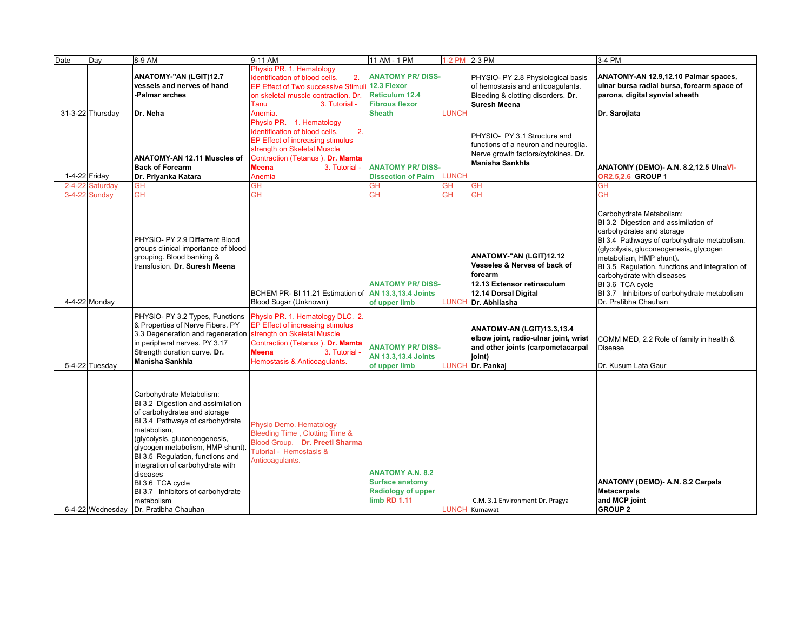| Date         | Day              | 8-9 AM                                                                                                                                                                                                                                                                                                                                                                                                  | 9-11 AM                                                                                                                                                                                                            | 11 AM - 1 PM                                                                                              |              | 1-2 PM 2-3 PM                                                                                                                             | 3-4 PM                                                                                                                                                                                                                                                                                                                                                                                         |
|--------------|------------------|---------------------------------------------------------------------------------------------------------------------------------------------------------------------------------------------------------------------------------------------------------------------------------------------------------------------------------------------------------------------------------------------------------|--------------------------------------------------------------------------------------------------------------------------------------------------------------------------------------------------------------------|-----------------------------------------------------------------------------------------------------------|--------------|-------------------------------------------------------------------------------------------------------------------------------------------|------------------------------------------------------------------------------------------------------------------------------------------------------------------------------------------------------------------------------------------------------------------------------------------------------------------------------------------------------------------------------------------------|
|              | 31-3-22 Thursday | ANATOMY-"AN (LGIT)12.7<br>vessels and nerves of hand<br>-Palmar arches<br>Dr. Neha                                                                                                                                                                                                                                                                                                                      | Physio PR. 1. Hematology<br>Identification of blood cells.<br>2.<br>EP Effect of Two successive Stimuli<br>on skeletal muscle contraction. Dr.<br>Tanu<br>3. Tutorial -<br>Anemia.                                 | <b>ANATOMY PR/DISS-</b><br>12.3 Flexor<br><b>Reticulum 12.4</b><br><b>Fibrous flexor</b><br><b>Sheath</b> | LUNCH        | PHYSIO- PY 2.8 Physiological basis<br>of hemostasis and anticoaqulants.<br>Bleeding & clotting disorders. Dr.<br><b>Suresh Meena</b>      | ANATOMY-AN 12.9,12.10 Palmar spaces,<br>ulnar bursa radial bursa, forearm space of<br>parona, digital synvial sheath<br>Dr. Sarojlata                                                                                                                                                                                                                                                          |
|              | 1-4-22 Friday    | ANATOMY-AN 12.11 Muscles of<br><b>Back of Forearm</b><br>Dr. Priyanka Katara                                                                                                                                                                                                                                                                                                                            | Physio PR. 1. Hematology<br>2.<br>Identification of blood cells.<br>EP Effect of increasing stimulus<br>strength on Skeletal Muscle<br>Contraction (Tetanus). Dr. Mamta<br><b>Meena</b><br>3. Tutorial -<br>Anemia | <b>ANATOMY PR/DISS</b><br><b>Dissection of Palm</b>                                                       | LUNCH        | PHYSIO- PY 3.1 Structure and<br>functions of a neuron and neuroglia.<br>Nerve growth factors/cytokines. Dr.<br><b>Manisha Sankhla</b>     | ANATOMY (DEMO)- A.N. 8.2,12.5 UlnaVI-<br>OR2.5,2.6 GROUP 1                                                                                                                                                                                                                                                                                                                                     |
| $2 - 4 - 22$ | Saturdav         | GH                                                                                                                                                                                                                                                                                                                                                                                                      | GН                                                                                                                                                                                                                 | GH                                                                                                        | ЭH           | GH                                                                                                                                        | GΗ                                                                                                                                                                                                                                                                                                                                                                                             |
| $3 - 4 - 22$ | Sunday           | GH                                                                                                                                                                                                                                                                                                                                                                                                      | GН                                                                                                                                                                                                                 | ЭH                                                                                                        | ЭH           | ЭH                                                                                                                                        | GН                                                                                                                                                                                                                                                                                                                                                                                             |
|              | 4-4-22 Monday    | PHYSIO- PY 2.9 Differrent Blood<br>groups clinical importance of blood<br>grouping. Blood banking &<br>transfusion. Dr. Suresh Meena                                                                                                                                                                                                                                                                    | BCHEM PR- BI 11.21 Estimation of AN 13.3,13.4 Joints<br>Blood Sugar (Unknown)                                                                                                                                      | <b>ANATOMY PR/DISS</b><br>of upper limb                                                                   | <b>LUNCH</b> | ANATOMY-"AN (LGIT)12.12<br>Vesseles & Nerves of back of<br>forearm<br>12.13 Extensor retinaculum<br>12.14 Dorsal Digital<br>Dr. Abhilasha | Carbohydrate Metabolism:<br>BI 3.2 Digestion and assimilation of<br>carbohydrates and storage<br>BI 3.4 Pathways of carbohydrate metabolism,<br>(glycolysis, gluconeogenesis, glycogen<br>metabolism, HMP shunt).<br>BI 3.5 Regulation, functions and integration of<br>carbohydrate with diseases<br>BI 3.6 TCA cycle<br>BI 3.7 Inhibitors of carbohydrate metabolism<br>Dr. Pratibha Chauhan |
|              | 5-4-22 Tuesday   | PHYSIO- PY 3.2 Types, Functions<br>& Properties of Nerve Fibers. PY<br>3.3 Degeneration and regeneration<br>in peripheral nerves. PY 3.17<br>Strength duration curve. Dr.<br><b>Manisha Sankhla</b>                                                                                                                                                                                                     | Physio PR. 1. Hematology DLC. 2.<br>EP Effect of increasing stimulus<br>strength on Skeletal Muscle<br>Contraction (Tetanus). Dr. Mamta<br><b>Meena</b><br>3. Tutorial -<br>Hemostasis & Anticoagulants.           | <b>ANATOMY PR/DISS</b><br><b>AN 13.3,13.4 Joints</b><br>of upper limb                                     | LUNCH        | ANATOMY-AN (LGIT)13.3,13.4<br>elbow joint, radio-ulnar joint, wrist<br>and other joints (carpometacarpal<br>joint)<br>Dr. Pankaj          | COMM MED, 2.2 Role of family in health &<br><b>Disease</b><br>Dr. Kusum Lata Gaur                                                                                                                                                                                                                                                                                                              |
|              | 6-4-22 Wednesday | Carbohydrate Metabolism:<br>BI 3.2 Digestion and assimilation<br>of carbohydrates and storage<br>BI 3.4 Pathways of carbohydrate<br>metabolism,<br>(glycolysis, gluconeogenesis,<br>glycogen metabolism, HMP shunt).<br>BI 3.5 Regulation, functions and<br>integration of carbohydrate with<br>diseases<br>BI 3.6 TCA cycle<br>BI 3.7 Inhibitors of carbohydrate<br>metabolism<br>Dr. Pratibha Chauhan | Physio Demo. Hematology<br>Bleeding Time, Clotting Time &<br>Blood Group. Dr. Preeti Sharma<br>Tutorial - Hemostasis &<br>Anticoagulants.                                                                          | <b>ANATOMY A.N. 8.2</b><br><b>Surface anatomy</b><br><b>Radiology of upper</b><br>limb RD 1.11            |              | C.M. 3.1 Environment Dr. Pragya<br><b>LUNCH</b> Kumawat                                                                                   | ANATOMY (DEMO)- A.N. 8.2 Carpals<br><b>Metacarpals</b><br>and MCP joint<br><b>GROUP 2</b>                                                                                                                                                                                                                                                                                                      |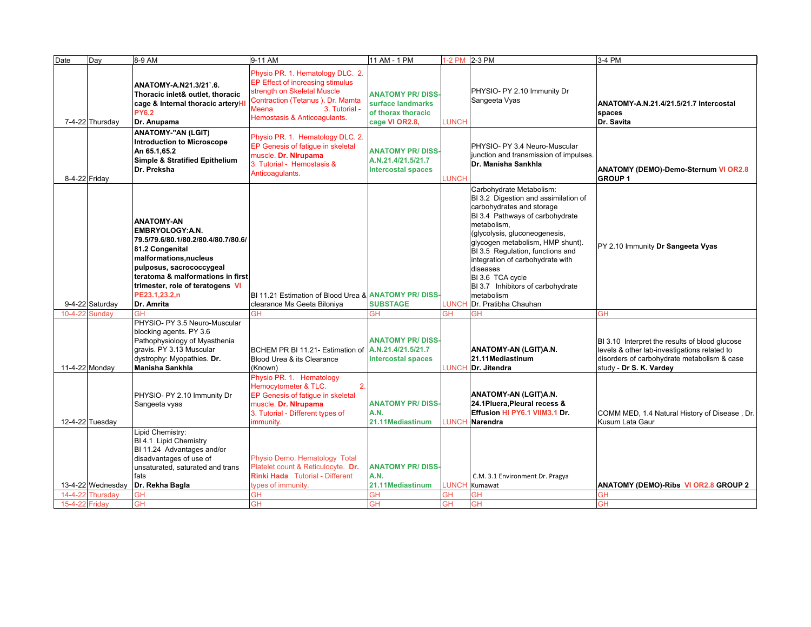| Date           | Day                           | 8-9 AM                                                                                                                                                                                                                                                              | 9-11 AM                                                                                                                                                                                            | 11 AM - 1 PM                                                                         |                    | 1-2 PM 2-3 PM                                                                                                                                                                                                                                                                                                                                                                                           | 3-4 PM                                                                                                                                                                   |
|----------------|-------------------------------|---------------------------------------------------------------------------------------------------------------------------------------------------------------------------------------------------------------------------------------------------------------------|----------------------------------------------------------------------------------------------------------------------------------------------------------------------------------------------------|--------------------------------------------------------------------------------------|--------------------|---------------------------------------------------------------------------------------------------------------------------------------------------------------------------------------------------------------------------------------------------------------------------------------------------------------------------------------------------------------------------------------------------------|--------------------------------------------------------------------------------------------------------------------------------------------------------------------------|
|                | 7-4-22 Thursday               | ANATOMY-A.N21.3/21`.6.<br>Thoracic inlet& outlet, thoracic<br>cage & Internal thoracic arteryH<br><b>PY6.2</b><br>Dr. Anupama                                                                                                                                       | Physio PR. 1. Hematology DLC. 2.<br>EP Effect of increasing stimulus<br>strength on Skeletal Muscle<br>Contraction (Tetanus ). Dr. Mamta<br>3. Tutorial -<br>Meena<br>Hemostasis & Anticoagulants. | <b>ANATOMY PR/DISS-</b><br>surface landmarks<br>of thorax thoracic<br>cage VI OR2.8, | LUNCH              | PHYSIO- PY 2.10 Immunity Dr<br>Sangeeta Vyas                                                                                                                                                                                                                                                                                                                                                            | ANATOMY-A.N.21.4/21.5/21.7 Intercostal<br>spaces<br>Dr. Savita                                                                                                           |
| 8-4-22 Friday  |                               | <b>ANATOMY-"AN (LGIT)</b><br><b>Introduction to Microscope</b><br>An 65.1,65.2<br>Simple & Stratified Epithelium<br>Dr. Preksha                                                                                                                                     | Physio PR. 1. Hematology DLC. 2.<br>EP Genesis of fatigue in skeletal<br>muscle. Dr. Nirupama<br>3. Tutorial - Hemostasis &<br>Anticoagulants.                                                     | <b>ANATOMY PR/DISS-</b><br>A.N.21.4/21.5/21.7<br><b>Intercostal spaces</b>           | <b>LUNCH</b>       | PHYSIO- PY 3.4 Neuro-Muscular<br>junction and transmission of impulses.<br>Dr. Manisha Sankhla                                                                                                                                                                                                                                                                                                          | <b>ANATOMY (DEMO)-Demo-Sternum VI OR2.8</b><br><b>GROUP1</b>                                                                                                             |
|                | 9-4-22 Saturday               | <b>ANATOMY-AN</b><br><b>EMBRYOLOGY:A.N.</b><br>79.5/79.6/80.1/80.2/80.4/80.7/80.6/<br>81.2 Congenital<br>malformations, nucleus<br>pulposus, sacrococcygeal<br>teratoma & malformations in first<br>trimester, role of teratogens VI<br>PE23.1,23.2,n<br>Dr. Amrita | BI 11.21 Estimation of Blood Urea & ANATOMY PR/ DISS-<br>clearance Ms Geeta Biloniya                                                                                                               | <b>SUBSTAGE</b>                                                                      | LUNCH              | Carbohydrate Metabolism:<br>BI 3.2 Digestion and assimilation of<br>carbohydrates and storage<br>BI 3.4 Pathways of carbohydrate<br>metabolism,<br>(glycolysis, gluconeogenesis,<br>glycogen metabolism, HMP shunt).<br>BI 3.5 Regulation, functions and<br>integration of carbohydrate with<br>diseases<br>BI 3.6 TCA cycle<br>BI 3.7 Inhibitors of carbohydrate<br>metabolism<br>Dr. Pratibha Chauhan | PY 2.10 Immunity Dr Sangeeta Vyas                                                                                                                                        |
| $10 - 4 - 22$  | Sundav                        | GH                                                                                                                                                                                                                                                                  | GH                                                                                                                                                                                                 | GН                                                                                   | GH                 | GH                                                                                                                                                                                                                                                                                                                                                                                                      | GH                                                                                                                                                                       |
|                | 11-4-22 Monday                | PHYSIO- PY 3.5 Neuro-Muscular<br>blocking agents. PY 3.6<br>Pathophysiology of Myasthenia<br>gravis. PY 3.13 Muscular<br>dystrophy: Myopathies. Dr.<br>Manisha Sankhla                                                                                              | BCHEM PR BI 11.21- Estimation of<br>Blood Urea & its Clearance<br>(Known)                                                                                                                          | <b>ANATOMY PR/DISS-</b><br>A.N.21.4/21.5/21.7<br><b>Intercostal spaces</b>           |                    | ANATOMY-AN (LGIT)A.N.<br>21.11Mediastinum<br>LUNCH Dr. Jitendra                                                                                                                                                                                                                                                                                                                                         | BI 3.10 Interpret the results of blood glucose<br>levels & other lab-investigations related to<br>disorders of carbohydrate metabolism & case<br>study - Dr S. K. Vardey |
|                | 12-4-22 Tuesday               | PHYSIO- PY 2.10 Immunity Dr<br>Sangeeta vyas                                                                                                                                                                                                                        | Physio PR. 1. Hematology<br>Hemocytometer & TLC.<br>2.<br>EP Genesis of fatigue in skeletal<br>muscle. Dr. Nirupama<br>3. Tutorial - Different types of<br>immunity.                               | <b>ANATOMY PR/DISS-</b><br>A.N.<br>21.11Mediastinum                                  |                    | ANATOMY-AN (LGIT)A.N.<br>24.1Pluera, Pleural recess &<br>Effusion HI PY6.1 VIIM3.1 Dr.<br>LUNCH Narendra                                                                                                                                                                                                                                                                                                | COMM MED, 1.4 Natural History of Disease, Dr.<br>Kusum Lata Gaur                                                                                                         |
| $14 - 4 - 22$  | 13-4-22 Wednesday<br>Thursdav | Lipid Chemistry:<br>BI 4.1 Lipid Chemistry<br>BI 11.24 Advantages and/or<br>disadvantages of use of<br>unsaturated, saturated and trans<br>fats<br>Dr. Rekha Bagla<br><b>GH</b>                                                                                     | Physio Demo. Hematology Total<br>Platelet count & Reticulocyte. Dr.<br><b>Rinki Hada</b> Tutorial - Different<br>types of immunity.<br>GH                                                          | <b>ANATOMY PR/DISS-</b><br>A.N.<br>21.11Mediastinum<br><b>GH</b>                     | LUNCH<br><b>GH</b> | C.M. 3.1 Environment Dr. Pragya<br>Kumawat<br>GH                                                                                                                                                                                                                                                                                                                                                        | ANATOMY (DEMO)-Ribs VI OR2.8 GROUP 2<br>GH                                                                                                                               |
| 15-4-22 Friday |                               | <b>GH</b>                                                                                                                                                                                                                                                           | GH                                                                                                                                                                                                 | <b>GH</b>                                                                            | <b>GH</b>          | <b>GH</b>                                                                                                                                                                                                                                                                                                                                                                                               | <b>GH</b>                                                                                                                                                                |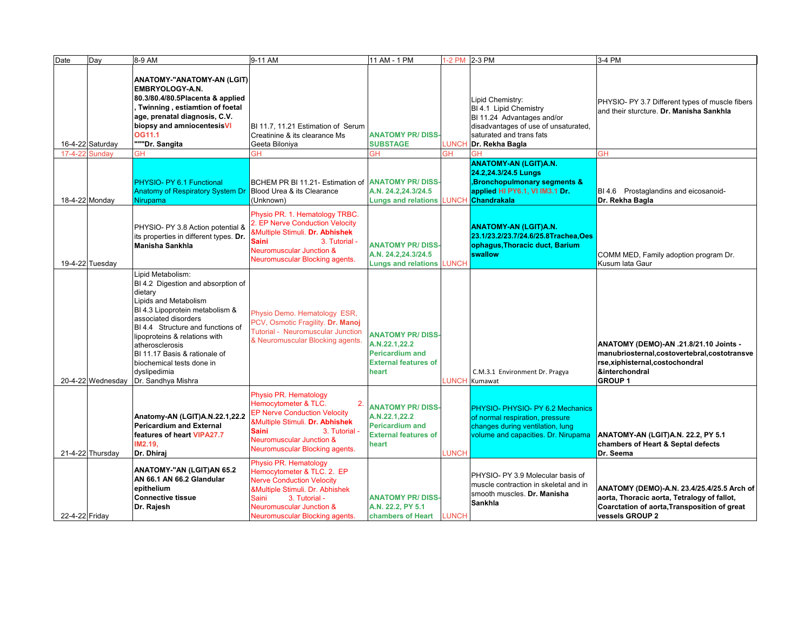| Date           | Day               | 8-9 AM                                                                                                                                                                                                                                                                                                                                              | 9-11 AM                                                                                                                                                                                                                                           | 11 AM - 1 PM                                                                                              |              | 1-2 PM 2-3 PM                                                                                                                                                  | 3-4 PM                                                                                                                                                       |
|----------------|-------------------|-----------------------------------------------------------------------------------------------------------------------------------------------------------------------------------------------------------------------------------------------------------------------------------------------------------------------------------------------------|---------------------------------------------------------------------------------------------------------------------------------------------------------------------------------------------------------------------------------------------------|-----------------------------------------------------------------------------------------------------------|--------------|----------------------------------------------------------------------------------------------------------------------------------------------------------------|--------------------------------------------------------------------------------------------------------------------------------------------------------------|
|                | 16-4-22 Saturday  | <b>ANATOMY-"ANATOMY-AN (LGIT)</b><br>EMBRYOLOGY-A.N.<br>80.3/80.4/80.5Placenta & applied<br>Twinning, estiamtion of foetal<br>age, prenatal diagnosis, C.V.<br>biopsy and amniocentesisVI<br>OG11.1<br>"""Dr. Sangita                                                                                                                               | BI 11.7, 11.21 Estimation of Serum<br>Creatinine & its clearance Ms<br>Geeta Biloniya                                                                                                                                                             | <b>ANATOMY PR/DISS</b><br><b>SUBSTAGE</b>                                                                 | LUNCH        | ipid Chemistry:<br>BI 4.1 Lipid Chemistry<br>BI 11.24 Advantages and/or<br>disadvantages of use of unsaturated,<br>saturated and trans fats<br>Dr. Rekha Bagla | PHYSIO- PY 3.7 Different types of muscle fibers<br>and their sturcture. Dr. Manisha Sankhla                                                                  |
|                | 17-4-22 Sunday    | GН                                                                                                                                                                                                                                                                                                                                                  | GH                                                                                                                                                                                                                                                | ЭH                                                                                                        | ЭH           |                                                                                                                                                                | GH                                                                                                                                                           |
|                | 18-4-22 Monday    | PHYSIO- PY 6.1 Functional<br><b>Anatomy of Respiratory System Dr</b><br><b>Nirupama</b>                                                                                                                                                                                                                                                             | BCHEM PR BI 11.21- Estimation of<br>Blood Urea & its Clearance<br>(Unknown)                                                                                                                                                                       | <b>ANATOMY PR/DISS</b><br>A.N. 24.2,24.3/24.5<br><b>Lungs and relations</b>                               | LUNCH        | <b>ANATOMY-AN (LGIT)A.N.</b><br>24.2,24.3/24.5 Lungs<br><b>Bronchopulmonary segments &amp;</b><br>applied HI PY6.1, VI IM3.1 Dr.<br>Chandrakala                | BI 4.6 Prostaglandins and eicosanoid-<br>Dr. Rekha Bagla                                                                                                     |
|                | 19-4-22 Tuesday   | PHYSIO- PY 3.8 Action potential &<br>its properties in different types. Dr.<br><b>Manisha Sankhla</b>                                                                                                                                                                                                                                               | Physio PR. 1. Hematology TRBC.<br>2. EP Nerve Conduction Velocity<br>&Multiple Stimuli. Dr. Abhishek<br><b>Saini</b><br>3. Tutorial -<br><b>Neuromuscular Junction &amp;</b><br>Neuromuscular Blocking agents.                                    | <b>ANATOMY PR/DISS</b><br>A.N. 24.2,24.3/24.5<br><b>Lungs and relations LUNCH</b>                         |              | <b>ANATOMY-AN (LGIT)A.N.</b><br>23.1/23.2/23.7/24.6/25.8Trachea,Oes<br>ophagus, Thoracic duct, Barium<br>swallow                                               | COMM MED, Family adoption program Dr.<br>Kusum lata Gaur                                                                                                     |
|                | 20-4-22 Wednesday | Lipid Metabolism:<br>BI 4.2 Digestion and absorption of<br>dietary<br>Lipids and Metabolism<br>BI 4.3 Lipoprotein metabolism &<br>associated disorders<br>BI 4.4 Structure and functions of<br>lipoproteins & relations with<br>atherosclerosis<br>BI 11.17 Basis & rationale of<br>biochemical tests done in<br>dyslipedimia<br>Dr. Sandhya Mishra | Physio Demo. Hematology ESR,<br>PCV, Osmotic Fragility. Dr. Manoj<br>Tutorial - Neuromuscular Junction<br>& Neuromuscular Blocking agents.                                                                                                        | <b>ANATOMY PR/DISS</b><br>A.N.22.1,22.2<br><b>Pericardium and</b><br><b>External features of</b><br>heart | <b>LUNCH</b> | C.M.3.1 Environment Dr. Pragya<br>Kumawat                                                                                                                      | ANATOMY (DEMO)-AN .21.8/21.10 Joints -<br>manubriosternal,costovertebral,costotransve<br>rse, xiphisternal, costochondral<br>&interchondral<br><b>GROUP1</b> |
|                | 21-4-22 Thursday  | Anatomy-AN (LGIT)A.N.22.1,22.2<br><b>Pericardium and External</b><br>features of heart VIPA27.7<br>IM2.19.<br>Dr. Dhiraj                                                                                                                                                                                                                            | Physio PR. Hematology<br>Hemocytometer & TLC.<br>$\mathbf{2}$<br><b>EP Nerve Conduction Velocity</b><br>&Multiple Stimuli. Dr. Abhishek<br><b>Saini</b><br>3. Tutorial -<br><b>Neuromuscular Junction &amp;</b><br>Neuromuscular Blocking agents. | <b>ANATOMY PR/DISS</b><br>A.N.22.1,22.2<br><b>Pericardium and</b><br><b>External features of</b><br>heart | <b>LUNCH</b> | PHYSIO- PHYSIO- PY 6.2 Mechanics<br>of normal respiration, pressure<br>changes during ventilation, lung<br>volume and capacities. Dr. Nirupama                 | ANATOMY-AN (LGIT)A.N. 22.2, PY 5.1<br>chambers of Heart & Septal defects<br>Dr. Seema                                                                        |
| 22-4-22 Friday |                   | ANATOMY-"AN (LGIT)AN 65.2<br>AN 66.1 AN 66.2 Glandular<br>epithelium<br><b>Connective tissue</b><br>Dr. Rajesh                                                                                                                                                                                                                                      | Physio PR. Hematology<br>Hemocytometer & TLC. 2. EP<br><b>Nerve Conduction Velocity</b><br>&Multiple Stimuli. Dr. Abhishek<br>Saini<br>3. Tutorial -<br><b>Neuromuscular Junction &amp;</b><br>Neuromuscular Blocking agents.                     | <b>ANATOMY PR/DISS</b><br>A.N. 22.2, PY 5.1<br>chambers of Heart LUNCH                                    |              | PHYSIO- PY 3.9 Molecular basis of<br>muscle contraction in skeletal and in<br>smooth muscles. Dr. Manisha<br><b>Sankhla</b>                                    | ANATOMY (DEMO)-A.N. 23.4/25.4/25.5 Arch of<br>aorta, Thoracic aorta, Tetralogy of fallot,<br>Coarctation of aorta, Transposition of great<br>vessels GROUP 2 |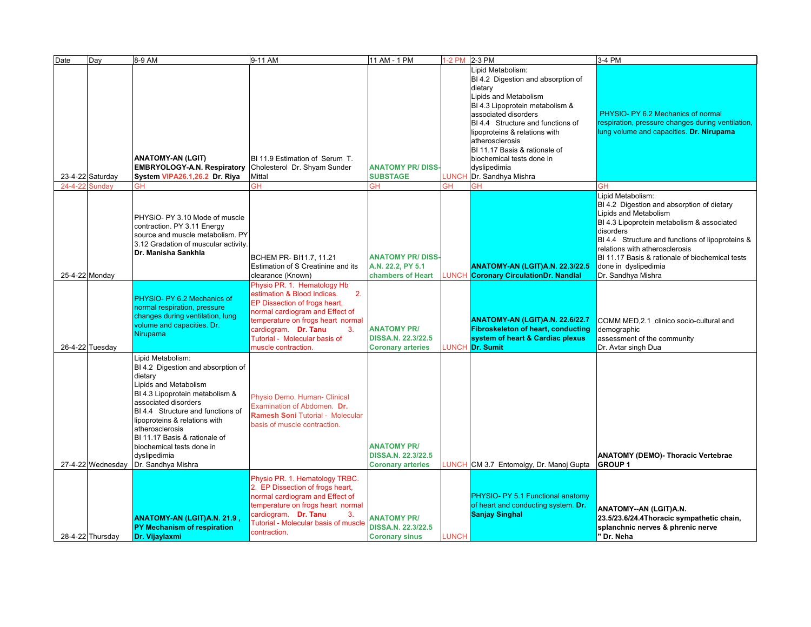| Date          | Day               | 8-9 AM                                                                                                                                                                                                                                                                                                                                              | 9-11 AM                                                                                                                                                                                                                                                         | 11 AM - 1 PM                                                                |              | 1-2 PM 2-3 PM                                                                                                                                                                                                                                                                                                                                       | 3-4 PM                                                                                                                                                                                                                                                                                                                                     |
|---------------|-------------------|-----------------------------------------------------------------------------------------------------------------------------------------------------------------------------------------------------------------------------------------------------------------------------------------------------------------------------------------------------|-----------------------------------------------------------------------------------------------------------------------------------------------------------------------------------------------------------------------------------------------------------------|-----------------------------------------------------------------------------|--------------|-----------------------------------------------------------------------------------------------------------------------------------------------------------------------------------------------------------------------------------------------------------------------------------------------------------------------------------------------------|--------------------------------------------------------------------------------------------------------------------------------------------------------------------------------------------------------------------------------------------------------------------------------------------------------------------------------------------|
|               | 23-4-22 Saturday  | <b>ANATOMY-AN (LGIT)</b><br><b>EMBRYOLOGY-A.N. Respiratory Cholesterol Dr. Shyam Sunder</b><br>System VIPA26.1,26.2 Dr. Riya                                                                                                                                                                                                                        | <b>BI</b> 11.9 Estimation of Serum T.<br>Mittal                                                                                                                                                                                                                 | <b>ANATOMY PR/DISS</b><br><b>SUBSTAGE</b>                                   | <b>LUNCH</b> | Lipid Metabolism:<br>BI 4.2 Digestion and absorption of<br>dietary<br>Lipids and Metabolism<br>BI 4.3 Lipoprotein metabolism &<br>associated disorders<br>BI 4.4 Structure and functions of<br>lipoproteins & relations with<br>atherosclerosis<br>BI 11.17 Basis & rationale of<br>biochemical tests done in<br>dyslipedimia<br>Dr. Sandhya Mishra | PHYSIO- PY 6.2 Mechanics of normal<br>respiration, pressure changes during ventilation,<br>lung volume and capacities. Dr. Nirupama                                                                                                                                                                                                        |
| $24 - 4 - 22$ | Sundav            | GН                                                                                                                                                                                                                                                                                                                                                  | ЭH                                                                                                                                                                                                                                                              | GH                                                                          | ЗH           | GH                                                                                                                                                                                                                                                                                                                                                  | <b>GH</b>                                                                                                                                                                                                                                                                                                                                  |
|               | 25-4-22 Monday    | PHYSIO- PY 3.10 Mode of muscle<br>contraction. PY 3.11 Energy<br>source and muscle metabolism. PY<br>3.12 Gradation of muscular activity.<br>Dr. Manisha Sankhla                                                                                                                                                                                    | <b>BCHEM PR-BI11.7.11.21</b><br>Estimation of S Creatinine and its<br>clearance (Known)                                                                                                                                                                         | <b>ANATOMY PR/DISS-</b><br>A.N. 22.2, PY 5.1<br>chambers of Heart           |              | ANATOMY-AN (LGIT)A.N. 22.3/22.5<br><b>UNCH Coronary CirculationDr. Nandlal</b>                                                                                                                                                                                                                                                                      | Lipid Metabolism:<br>BI 4.2 Digestion and absorption of dietary<br>Lipids and Metabolism<br>BI 4.3 Lipoprotein metabolism & associated<br>disorders<br>BI 4.4 Structure and functions of lipoproteins &<br>relations with atherosclerosis<br>BI 11.17 Basis & rationale of biochemical tests<br>done in dyslipedimia<br>Dr. Sandhya Mishra |
|               | 26-4-22 Tuesday   | PHYSIO- PY 6.2 Mechanics of<br>normal respiration, pressure<br>changes during ventilation, lung<br>volume and capacities. Dr.<br>Nirupama                                                                                                                                                                                                           | Physio PR. 1. Hematology Hb<br>estimation & Blood Indices.<br>2.<br>EP Dissection of frogs heart,<br>normal cardiogram and Effect of<br>temperature on frogs heart normal<br>cardiogram. Dr. Tanu<br>3.<br>Tutorial - Molecular basis of<br>muscle contraction. | <b>ANATOMY PR/</b><br><b>DISSA.N. 22.3/22.5</b><br><b>Coronary arteries</b> | <b>LUNCH</b> | ANATOMY-AN (LGIT)A.N. 22.6/22.7<br><b>Fibroskeleton of heart, conducting</b><br>system of heart & Cardiac plexus<br>Dr. Sumit                                                                                                                                                                                                                       | COMM MED,2.1 clinico socio-cultural and<br>demographic<br>assessment of the community<br>Dr. Avtar singh Dua                                                                                                                                                                                                                               |
|               | 27-4-22 Wednesday | Lipid Metabolism:<br>BI 4.2 Digestion and absorption of<br>dietary<br>Lipids and Metabolism<br>BI 4.3 Lipoprotein metabolism &<br>associated disorders<br>BI 4.4 Structure and functions of<br>lipoproteins & relations with<br>atherosclerosis<br>BI 11.17 Basis & rationale of<br>biochemical tests done in<br>dyslipedimia<br>Dr. Sandhya Mishra | Physio Demo. Human- Clinical<br>Examination of Abdomen. Dr.<br><b>Ramesh Soni Tutorial - Molecular</b><br>basis of muscle contraction.                                                                                                                          | <b>ANATOMY PR/</b><br>DISSA.N. 22.3/22.5<br><b>Coronary arteries</b>        |              | UNCH CM 3.7 Entomolgy, Dr. Manoj Gupta                                                                                                                                                                                                                                                                                                              | <b>ANATOMY (DEMO)- Thoracic Vertebrae</b><br><b>GROUP1</b>                                                                                                                                                                                                                                                                                 |
|               | 28-4-22 Thursday  | ANATOMY-AN (LGIT)A.N. 21.9,<br><b>PY Mechanism of respiration</b><br>Dr. Vijaylaxmi                                                                                                                                                                                                                                                                 | Physio PR. 1. Hematology TRBC.<br>2. EP Dissection of frogs heart,<br>normal cardiogram and Effect of<br>temperature on frogs heart normal<br>cardiogram. Dr. Tanu<br>3.<br><b>Tutorial - Molecular basis of muscle</b><br>contraction.                         | <b>ANATOMY PR/</b><br>DISSA.N. 22.3/22.5<br><b>Coronary sinus</b>           | <b>LUNCH</b> | PHYSIO- PY 5.1 Functional anatomy<br>of heart and conducting system. Dr.<br><b>Sanjay Singhal</b>                                                                                                                                                                                                                                                   | ANATOMY--AN (LGIT)A.N.<br>23.5/23.6/24.4Thoracic sympathetic chain,<br>splanchnic nerves & phrenic nerve<br>' Dr. Neha                                                                                                                                                                                                                     |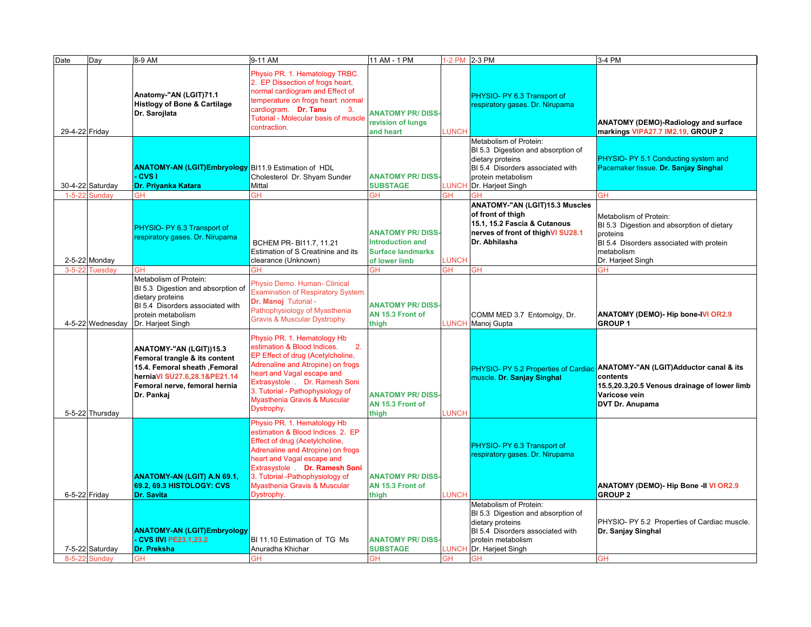| Date           | Day              | 8-9 AM                                                                                                                                                                    | 9-11 AM                                                                                                                                                                                                                                                                                                 | 11 AM - 1 PM                                                                  | 1-2 PM 2-3 PM |                                                                                                                                                                 | 3-4 PM                                                                                                                                                                      |
|----------------|------------------|---------------------------------------------------------------------------------------------------------------------------------------------------------------------------|---------------------------------------------------------------------------------------------------------------------------------------------------------------------------------------------------------------------------------------------------------------------------------------------------------|-------------------------------------------------------------------------------|---------------|-----------------------------------------------------------------------------------------------------------------------------------------------------------------|-----------------------------------------------------------------------------------------------------------------------------------------------------------------------------|
| 29-4-22 Friday |                  | Anatomy-"AN (LGIT)71.1<br><b>Histlogy of Bone &amp; Cartilage</b><br>Dr. Sarojlata                                                                                        | Physio PR. 1. Hematology TRBC.<br>2. EP Dissection of frogs heart,<br>normal cardiogram and Effect of<br>temperature on frogs heart normal<br>cardiogram. Dr. Tanu<br>3.<br>Tutorial - Molecular basis of muscle<br>contraction.                                                                        | <b>ANATOMY PR/DISS-</b><br>revision of lungs<br>and heart                     | LUNCH         | PHYSIO- PY 6.3 Transport of<br>respiratory gases. Dr. Nirupama                                                                                                  | ANATOMY (DEMO)-Radiology and surface<br>markings VIPA27.7 IM2.19, GROUP 2                                                                                                   |
|                | 30-4-22 Saturday | <b>ANATOMY-AN (LGIT)Embryology</b> BI11.9 Estimation of HDL<br><b>CVS</b> I<br>Dr. Priyanka Katara                                                                        | Cholesterol Dr. Shyam Sunder<br><b>Mittal</b>                                                                                                                                                                                                                                                           | <b>ANATOMY PR/DISS</b><br><b>SUBSTAGE</b>                                     | LUNCH         | Metabolism of Protein:<br>BI 5.3 Digestion and absorption of<br>dietary proteins<br>BI 5.4 Disorders associated with<br>protein metabolism<br>Dr. Harjeet Singh | PHYSIO- PY 5.1 Conducting system and<br>Pacemaker tissue. Dr. Sanjay Singhal                                                                                                |
| $1 - 5 - 22$   | Sundav           | GH                                                                                                                                                                        | GH                                                                                                                                                                                                                                                                                                      | <b>GH</b>                                                                     | GH            | GH                                                                                                                                                              | <b>GH</b>                                                                                                                                                                   |
|                |                  | PHYSIO- PY 6.3 Transport of<br>respiratory gases. Dr. Nirupama                                                                                                            | BCHEM PR-BI11.7, 11.21<br>Estimation of S Creatinine and its                                                                                                                                                                                                                                            | <b>ANATOMY PR/DISS</b><br><b>Introduction and</b><br><b>Surface landmarks</b> |               | ANATOMY-"AN (LGIT)15.3 Muscles<br>of front of thigh<br>15.1, 15.2 Fascia & Cutanous<br>nerves of front of thighVI SU28.1<br>Dr. Abhilasha                       | Metabolism of Protein:<br>BI 5.3 Digestion and absorption of dietary<br>proteins<br>BI 5.4 Disorders associated with protein<br>metabolism                                  |
|                | 2-5-22 Monday    |                                                                                                                                                                           | clearance (Unknown)                                                                                                                                                                                                                                                                                     | of lower limb                                                                 | LUNCH         |                                                                                                                                                                 | Dr. Harjeet Singh                                                                                                                                                           |
| $3 - 5 - 22$   | <b>Tuesdav</b>   | GH                                                                                                                                                                        | GH                                                                                                                                                                                                                                                                                                      | <b>GH</b>                                                                     | ЭH.           | <b>GH</b>                                                                                                                                                       | ЗH                                                                                                                                                                          |
|                | 4-5-22 Wednesday | Metabolism of Protein:<br>BI 5.3 Digestion and absorption of<br>dietary proteins<br>BI 5.4 Disorders associated with<br>protein metabolism<br>Dr. Harjeet Singh           | Physio Demo. Human- Clinical<br><b>Examination of Respiratory System.</b><br>Dr. Manoj Tutorial -<br>Pathophysiology of Myasthenia<br>Gravis & Muscular Dystrophy.                                                                                                                                      | <b>ANATOMY PR/DISS-</b><br>AN 15.3 Front of<br>thigh                          |               | COMM MED 3.7 Entomolgy, Dr.<br>LUNCH Manoj Gupta                                                                                                                | ANATOMY (DEMO)- Hip bone-IVI OR2.9<br><b>GROUP1</b>                                                                                                                         |
|                | 5-5-22 Thursday  | ANATOMY-"AN (LGIT))15.3<br>Femoral trangle & its content<br>15.4. Femoral sheath , Femoral<br>herniaVI SU27.6,28.1&PE21.14<br>Femoral nerve, femoral hernia<br>Dr. Pankaj | Physio PR. 1. Hematology Hb<br>estimation & Blood Indices.<br>2.<br>EP Effect of drug (Acetylcholine,<br>Adrenaline and Atropine) on frogs<br>heart and Vagal escape and<br>Extrasystole . Dr. Ramesh Soni<br>3. Tutorial - Pathophysiology of<br><b>Myasthenia Gravis &amp; Muscular</b><br>Dystrophy. | <b>ANATOMY PR/DISS-</b><br>AN 15.3 Front of<br>thigh                          | <b>LUNCH</b>  | muscle. Dr. Sanjay Singhal                                                                                                                                      | PHYSIO- PY 5.2 Properties of Cardiac ANATOMY-"AN (LGIT)Adductor canal & its<br>contents<br>15.5,20.3,20.5 Venous drainage of lower limb<br>Varicose vein<br>DVT Dr. Anupama |
|                | 6-5-22 Friday    | <b>ANATOMY-AN (LGIT) A.N 69.1,</b><br>69.2, 69.3 HISTOLOGY: CVS<br><b>Dr. Savita</b>                                                                                      | Physio PR. 1. Hematology Hb<br>estimation & Blood Indices. 2. EP<br>Effect of drug (Acetylcholine,<br>Adrenaline and Atropine) on frogs<br>heart and Vagal escape and<br>Extrasystole . Dr. Ramesh Soni<br>3. Tutorial -Pathophysiology of<br>Myasthenia Gravis & Muscular<br>Dystrophy.                | <b>ANATOMY PR/DISS-</b><br>AN 15.3 Front of<br>thigh                          | <b>LUNCH</b>  | PHYSIO- PY 6.3 Transport of<br>respiratory gases. Dr. Nirupama                                                                                                  | ANATOMY (DEMO)- Hip Bone -II VI OR2.9<br><b>GROUP 2</b>                                                                                                                     |
|                | 7-5-22 Saturday  | <b>ANATOMY-AN (LGIT)Embryology</b><br><b>CVS IIVI PE23.1,23.2</b><br>Dr. Preksha                                                                                          | BI 11.10 Estimation of TG Ms<br>Anuradha Khichar                                                                                                                                                                                                                                                        | <b>ANATOMY PR/DISS</b><br><b>SUBSTAGE</b>                                     | <b>LUNCH</b>  | Metabolism of Protein:<br>BI 5.3 Digestion and absorption of<br>dietary proteins<br>BI 5.4 Disorders associated with<br>protein metabolism<br>Dr. Harjeet Singh | PHYSIO- PY 5.2 Properties of Cardiac muscle.<br>Dr. Sanjay Singhal                                                                                                          |
|                | 8-5-22 Sundav    | <b>GH</b>                                                                                                                                                                 | GH                                                                                                                                                                                                                                                                                                      | <b>GH</b>                                                                     | <b>GH</b>     | <b>GH</b>                                                                                                                                                       | <b>GH</b>                                                                                                                                                                   |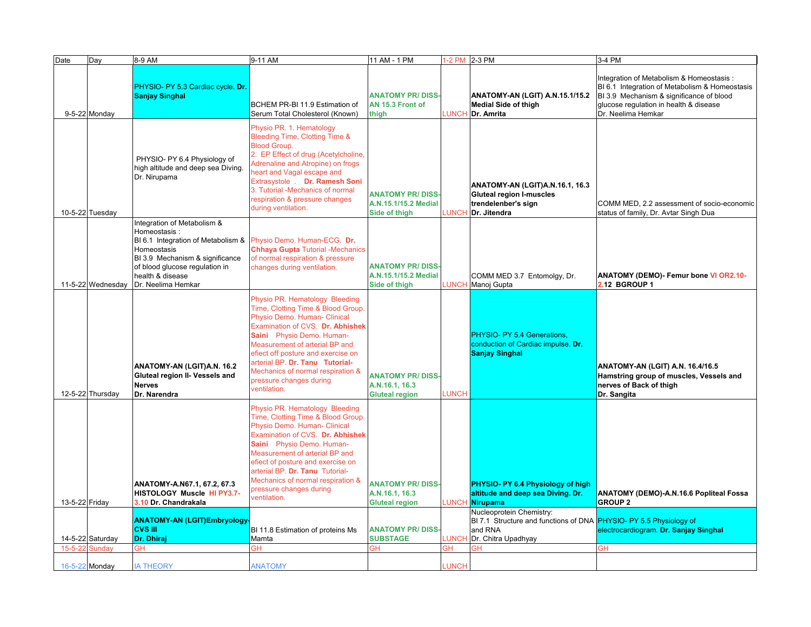| Date           | Day               | 8-9 AM                                                                                                                                                                                                          | 9-11 AM                                                                                                                                                                                                                                                                                                                                                          | 11 AM - 1 PM                                                      |              | 1-2 PM 2-3 PM                                                                                                                    | 3-4 PM                                                                                                                                                                                                 |
|----------------|-------------------|-----------------------------------------------------------------------------------------------------------------------------------------------------------------------------------------------------------------|------------------------------------------------------------------------------------------------------------------------------------------------------------------------------------------------------------------------------------------------------------------------------------------------------------------------------------------------------------------|-------------------------------------------------------------------|--------------|----------------------------------------------------------------------------------------------------------------------------------|--------------------------------------------------------------------------------------------------------------------------------------------------------------------------------------------------------|
|                | 9-5-22 Monday     | PHYSIO- PY 5.3 Cardiac cycle. Dr.<br><b>Sanjay Singhal</b>                                                                                                                                                      | BCHEM PR-BI 11.9 Estimation of<br>Serum Total Cholesterol (Known)                                                                                                                                                                                                                                                                                                | <b>ANATOMY PR/DISS</b><br>AN 15.3 Front of<br>thigh               | <b>LUNCH</b> | ANATOMY-AN (LGIT) A.N.15.1/15.2<br><b>Medial Side of thigh</b><br>Dr. Amrita                                                     | Integration of Metabolism & Homeostasis:<br>BI 6.1 Integration of Metabolism & Homeostasis<br>BI 3.9 Mechanism & significance of blood<br>glucose regulation in health & disease<br>Dr. Neelima Hemkar |
|                | 10-5-22 Tuesday   | PHYSIO- PY 6.4 Physiology of<br>high altitude and deep sea Diving.<br>Dr. Nirupama                                                                                                                              | Physio PR. 1. Hematology<br>Bleeding Time, Clotting Time &<br><b>Blood Group.</b><br>2. EP Effect of drug (Acetylcholine,<br>Adrenaline and Atropine) on frogs<br>heart and Vagal escape and<br>Extrasystole . Dr. Ramesh Soni<br>3. Tutorial -Mechanics of normal<br>respiration & pressure changes<br>during ventilation.                                      | <b>ANATOMY PR/DISS</b><br>A.N.15.1/15.2 Medial<br>Side of thigh   | <b>LUNCH</b> | ANATOMY-AN (LGIT)A.N.16.1, 16.3<br><b>Gluteal region I-muscles</b><br>trendelenber's sign<br>Dr. Jitendra                        | COMM MED, 2.2 assessment of socio-economic<br>status of family, Dr. Avtar Singh Dua                                                                                                                    |
|                | 11-5-22 Wednesday | Integration of Metabolism &<br>Homeostasis:<br>BI 6.1 Integration of Metabolism &<br>Homeostasis<br>BI 3.9 Mechanism & significance<br>of blood glucose regulation in<br>health & disease<br>Dr. Neelima Hemkar | Physio Demo. Human-ECG. Dr.<br><b>Chhaya Gupta Tutorial - Mechanics</b><br>of normal respiration & pressure<br>changes during ventilation.                                                                                                                                                                                                                       | <b>ANATOMY PR/DISS-</b><br>A.N.15.1/15.2 Medial<br>Side of thigh  | LUNCH        | COMM MED 3.7 Entomolgy, Dr.<br>Manoj Gupta                                                                                       | <b>ANATOMY (DEMO)- Femur bone VI OR2.10-</b><br>2.12 BGROUP 1                                                                                                                                          |
|                | 12-5-22 Thursday  | ANATOMY-AN (LGIT)A.N. 16.2<br>Gluteal region II- Vessels and<br><b>Nerves</b><br>Dr. Narendra                                                                                                                   | Physio PR. Hematology Bleeding<br>Time, Clotting Time & Blood Group.<br>Physio Demo. Human- Clinical<br>Examination of CVS. Dr. Abhishek<br>Saini Physio Demo. Human-<br>Measurement of arterial BP and<br>efiect off posture and exercise on<br>arterial BP. Dr. Tanu Tutorial-<br>Mechanics of normal respiration &<br>pressure changes during<br>ventilation. | <b>ANATOMY PR/DISS</b><br>A.N.16.1, 16.3<br><b>Gluteal region</b> | <b>LUNCH</b> | PHYSIO- PY 5.4 Generations.<br>conduction of Cardiac impulse. Dr.<br><b>Sanjay Singhal</b>                                       | ANATOMY-AN (LGIT) A.N. 16.4/16.5<br>Hamstring group of muscles, Vessels and<br>nerves of Back of thigh<br>Dr. Sangita                                                                                  |
| 13-5-22 Friday |                   | ANATOMY-A.N67.1, 67.2, 67.3<br>HISTOLOGY Muscle HI PY3.7-<br>3.10 Dr. Chandrakala                                                                                                                               | Physio PR. Hematology Bleeding<br>Time, Clotting Time & Blood Group.<br>Physio Demo. Human- Clinical<br>Examination of CVS. Dr. Abhishek<br>Saini Physio Demo. Human-<br>Measurement of arterial BP and<br>efiect of posture and exercise on<br>arterial BP. Dr. Tanu Tutorial-<br>Mechanics of normal respiration &<br>pressure changes during<br>ventilation.  | <b>ANATOMY PR/DISS</b><br>A.N.16.1, 16.3<br><b>Gluteal region</b> | <b>LUNCH</b> | PHYSIO- PY 6.4 Physiology of high<br>altitude and deep sea Diving. Dr.<br><b>Nirupama</b>                                        | ANATOMY (DEMO)-A.N.16.6 Popliteal Fossa<br><b>GROUP 2</b>                                                                                                                                              |
|                | 14-5-22 Saturday  | <b>ANATOMY-AN (LGIT)Embryology-</b><br><b>CVS III</b><br>Dr. Dhiraj                                                                                                                                             | BI 11.8 Estimation of proteins Ms<br>Mamta                                                                                                                                                                                                                                                                                                                       | <b>ANATOMY PR/DISS</b><br><b>SUBSTAGE</b>                         | <b>LUNCH</b> | Nucleoprotein Chemistry:<br>BI 7.1 Structure and functions of DNA PHYSIO- PY 5.5 Physiology of<br>and RNA<br>Dr. Chitra Upadhyay | electrocardiogram. Dr. Sanjay Singhal                                                                                                                                                                  |
| $15 - 5 - 22$  | Sundav            | GH                                                                                                                                                                                                              | GΗ                                                                                                                                                                                                                                                                                                                                                               | ЭH                                                                | ЭH           | ЗH                                                                                                                               | <b>GH</b>                                                                                                                                                                                              |
|                | 16-5-22 Monday    | <b>IA THEORY</b>                                                                                                                                                                                                | <b>ANATOMY</b>                                                                                                                                                                                                                                                                                                                                                   |                                                                   | <b>LUNCH</b> |                                                                                                                                  |                                                                                                                                                                                                        |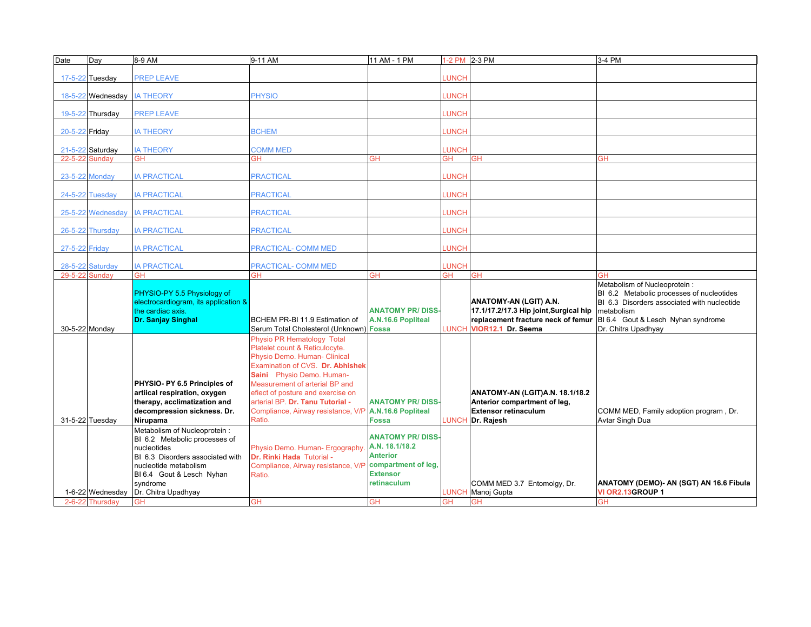| Date           | Day                               | 8-9 AM                               | 9-11 AM                                               | 11 AM - 1 PM            |                           | 1-2 PM 2-3 PM                              | 3-4 PM                                                                     |
|----------------|-----------------------------------|--------------------------------------|-------------------------------------------------------|-------------------------|---------------------------|--------------------------------------------|----------------------------------------------------------------------------|
|                |                                   |                                      |                                                       |                         |                           |                                            |                                                                            |
|                | 17-5-22 Tuesday                   | <b>PREP LEAVE</b>                    |                                                       |                         | LUNCH                     |                                            |                                                                            |
|                |                                   |                                      |                                                       |                         |                           |                                            |                                                                            |
|                | 18-5-22 Wednesday                 | <b>IA THEORY</b>                     | <b>PHYSIO</b>                                         |                         | <b>LUNCH</b>              |                                            |                                                                            |
|                |                                   |                                      |                                                       |                         |                           |                                            |                                                                            |
|                | 19-5-22 Thursday                  | <b>PREP LEAVE</b>                    |                                                       |                         | <b>LUNCH</b>              |                                            |                                                                            |
|                |                                   |                                      |                                                       |                         |                           |                                            |                                                                            |
| 20-5-22 Friday |                                   | <b>IA THEORY</b>                     | <b>BCHEM</b>                                          |                         | LUNCH                     |                                            |                                                                            |
|                |                                   |                                      |                                                       |                         |                           |                                            |                                                                            |
| $21 - 5 - 22$  | Saturday                          | <b>IA THEORY</b>                     | <b>COMM MED</b>                                       |                         | <b>LUNCH</b>              |                                            |                                                                            |
| $22 - 5 - 22$  | Sunday                            | GH                                   | GH                                                    | GН                      | GH                        | GH                                         | GH                                                                         |
|                |                                   |                                      |                                                       |                         |                           |                                            |                                                                            |
|                | 23-5-22 Monday                    | <b>A PRACTICAL</b>                   | <b>PRACTICAL</b>                                      |                         | <b>LUNCH</b>              |                                            |                                                                            |
|                |                                   |                                      |                                                       |                         |                           |                                            |                                                                            |
|                | 24-5-22 Tuesday                   | <b>IA PRACTICAL</b>                  | <b>PRACTICAL</b>                                      |                         | <b>UNCH</b>               |                                            |                                                                            |
|                |                                   |                                      |                                                       |                         |                           |                                            |                                                                            |
|                |                                   |                                      |                                                       |                         |                           |                                            |                                                                            |
|                | 25-5-22 Wednesday                 | <b>IA PRACTICAL</b>                  | <b>PRACTICAL</b>                                      |                         | <b>UNCH</b>               |                                            |                                                                            |
|                |                                   |                                      |                                                       |                         | <b>LUNCH</b>              |                                            |                                                                            |
|                | 26-5-22 Thursday                  | <b>IA PRACTICAL</b>                  | <b>PRACTICAL</b>                                      |                         |                           |                                            |                                                                            |
|                |                                   |                                      |                                                       |                         |                           |                                            |                                                                            |
| 27-5-22 Friday |                                   | <b>IA PRACTICAL</b>                  | PRACTICAL- COMM MED                                   |                         | <b>LUNCH</b>              |                                            |                                                                            |
|                |                                   |                                      |                                                       |                         |                           |                                            |                                                                            |
| 29-5-22        | 28-5-22 Saturday<br><b>Sundav</b> | <b>IA PRACTICAL</b><br><b>GH</b>     | PRACTICAL- COMM MED<br>GH                             | ЗH                      | <b>LUNCH</b><br><b>GH</b> | <b>GH</b>                                  | GН                                                                         |
|                |                                   |                                      |                                                       |                         |                           |                                            |                                                                            |
|                |                                   | PHYSIO-PY 5.5 Physiology of          |                                                       |                         |                           |                                            | Metabolism of Nucleoprotein :<br>BI 6.2 Metabolic processes of nucleotides |
|                |                                   |                                      |                                                       |                         |                           |                                            |                                                                            |
|                |                                   |                                      |                                                       |                         |                           |                                            |                                                                            |
|                |                                   | electrocardiogram, its application & |                                                       |                         |                           | ANATOMY-AN (LGIT) A.N.                     | BI 6.3 Disorders associated with nucleotide                                |
|                |                                   | the cardiac axis.                    |                                                       | <b>ANATOMY PR/DISS</b>  |                           | 17.1/17.2/17.3 Hip joint, Surgical hip     | metabolism                                                                 |
|                |                                   | Dr. Sanjay Singhal                   | BCHEM PR-BI 11.9 Estimation of                        | A.N.16.6 Popliteal      |                           | replacement fracture neck of femur         | BI 6.4 Gout & Lesch Nyhan syndrome                                         |
|                | 30-5-22 Monday                    |                                      | Serum Total Cholesterol (Unknown) Fossa               |                         |                           | LUNCH VIOR12.1 Dr. Seema                   | Dr. Chitra Upadhyay                                                        |
|                |                                   |                                      | Physio PR Hematology Total                            |                         |                           |                                            |                                                                            |
|                |                                   |                                      | Platelet count & Reticulocyte.                        |                         |                           |                                            |                                                                            |
|                |                                   |                                      | Physio Demo. Human- Clinical                          |                         |                           |                                            |                                                                            |
|                |                                   |                                      | Examination of CVS. Dr. Abhishek                      |                         |                           |                                            |                                                                            |
|                |                                   |                                      | Saini Physio Demo. Human-                             |                         |                           |                                            |                                                                            |
|                |                                   | PHYSIO- PY 6.5 Principles of         | Measurement of arterial BP and                        |                         |                           |                                            |                                                                            |
|                |                                   | artiical respiration, oxygen         | efiect of posture and exercise on                     |                         |                           | ANATOMY-AN (LGIT)A.N. 18.1/18.2            |                                                                            |
|                |                                   | therapy, acclimatization and         | arterial BP. Dr. Tanu Tutorial -                      | <b>ANATOMY PR/DISS-</b> |                           | Anterior compartment of leg,               |                                                                            |
|                |                                   | decompression sickness. Dr.          | Compliance, Airway resistance, V/P A.N.16.6 Popliteal |                         |                           | <b>Extensor retinaculum</b>                | COMM MED, Family adoption program, Dr.                                     |
|                | 31-5-22 Tuesday                   | Nirupama                             | Ratio.                                                | <b>Fossa</b>            |                           | LUNCH Dr. Rajesh                           | Avtar Singh Dua                                                            |
|                |                                   | Metabolism of Nucleoprotein :        |                                                       |                         |                           |                                            |                                                                            |
|                |                                   | BI 6.2 Metabolic processes of        |                                                       | <b>ANATOMY PR/DISS</b>  |                           |                                            |                                                                            |
|                |                                   | nucleotides                          | Physio Demo. Human- Ergography.                       | A.N. 18.1/18.2          |                           |                                            |                                                                            |
|                |                                   | BI 6.3 Disorders associated with     | Dr. Rinki Hada Tutorial -                             | <b>Anterior</b>         |                           |                                            |                                                                            |
|                |                                   | nucleotide metabolism                | Compliance, Airway resistance, V/P                    | compartment of leg.     |                           |                                            |                                                                            |
|                |                                   | BI 6.4 Gout & Lesch Nyhan            | Ratio.                                                | <b>Extensor</b>         |                           |                                            |                                                                            |
|                |                                   | svndrome                             |                                                       | <b>retinaculum</b>      |                           |                                            | ANATOMY (DEMO)- AN (SGT) AN 16.6 Fibula                                    |
|                | 1-6-22 Wednesday                  | Dr. Chitra Upadhyay                  |                                                       |                         | LUNCH                     | COMM MED 3.7 Entomolgy, Dr.<br>Manoj Gupta | VI OR2.13GROUP 1                                                           |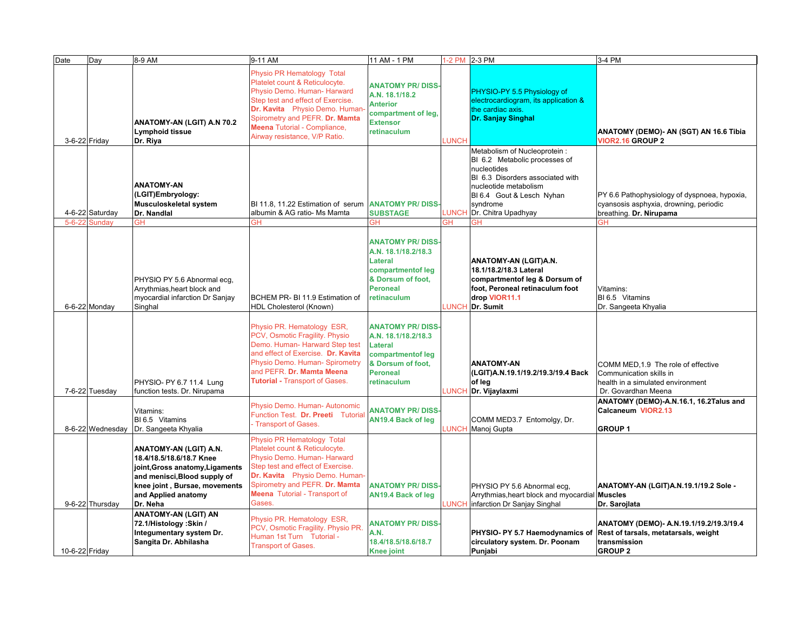| Date           | Day                              | 8-9 AM                                                                                                                                                                                    | 9-11 AM                                                                                                                                                                                                                                                                      | 11 AM - 1 PM                                                                                                                                | 1-2 PM 2-3 PM |                                                                                                                                                                                                                 | 3-4 PM                                                                                                                     |
|----------------|----------------------------------|-------------------------------------------------------------------------------------------------------------------------------------------------------------------------------------------|------------------------------------------------------------------------------------------------------------------------------------------------------------------------------------------------------------------------------------------------------------------------------|---------------------------------------------------------------------------------------------------------------------------------------------|---------------|-----------------------------------------------------------------------------------------------------------------------------------------------------------------------------------------------------------------|----------------------------------------------------------------------------------------------------------------------------|
| 3-6-22 Friday  |                                  | ANATOMY-AN (LGIT) A.N 70.2<br>Lymphoid tissue<br>Dr. Riya                                                                                                                                 | Physio PR Hematology Total<br>Platelet count & Reticulocyte.<br>Physio Demo. Human- Harward<br>Step test and effect of Exercise.<br>Dr. Kavita Physio Demo. Human-<br>Spirometry and PEFR. Dr. Mamta<br><b>Meena Tutorial - Compliance,</b><br>Airway resistance, V/P Ratio. | <b>ANATOMY PR/DISS</b><br>A.N. 18.1/18.2<br><b>Anterior</b><br>compartment of leg,<br><b>Extensor</b><br>retinaculum                        | <b>LUNCH</b>  | PHYSIO-PY 5.5 Physiology of<br>electrocardiogram, its application &<br>the cardiac axis.<br>Dr. Sanjay Singhal                                                                                                  | ANATOMY (DEMO)- AN (SGT) AN 16.6 Tibia<br><b>VIOR2.16 GROUP 2</b>                                                          |
|                | 4-6-22 Saturday<br>5-6-22 Sundav | <b>ANATOMY-AN</b><br>(LGIT)Embryology:<br>Musculoskeletal system<br>Dr. Nandlal<br>GH                                                                                                     | BI 11.8, 11.22 Estimation of serum ANATOMY PR/DISS<br>albumin & AG ratio- Ms Mamta<br>GН                                                                                                                                                                                     | <b>SUBSTAGE</b><br>ЭH                                                                                                                       | LUNCH<br>ЗH   | Metabolism of Nucleoprotein:<br>BI 6.2 Metabolic processes of<br>nucleotides<br>BI 6.3 Disorders associated with<br>nucleotide metabolism<br>BI 6.4 Gout & Lesch Nyhan<br>syndrome<br>Dr. Chitra Upadhyay<br>эH | PY 6.6 Pathophysiology of dyspnoea, hypoxia,<br>cyansosis asphyxia, drowning, periodic<br>breathing. Dr. Nirupama          |
|                | 6-6-22 Monday                    | PHYSIO PY 5.6 Abnormal ecq.<br>Arrythmias, heart block and<br>myocardial infarction Dr Sanjay<br>Singhal                                                                                  | BCHEM PR- BI 11.9 Estimation of<br>HDL Cholesterol (Known)                                                                                                                                                                                                                   | <b>ANATOMY PR/DISS</b><br>A.N. 18.1/18.2/18.3<br>Lateral<br>compartmentof leg<br>& Dorsum of foot,<br><b>Peroneal</b><br>retinaculum        |               | ANATOMY-AN (LGIT)A.N.<br>18.1/18.2/18.3 Lateral<br>compartmentof leg & Dorsum of<br>foot, Peroneal retinaculum foot<br>drop VIOR11.1<br><b>UNCH Dr. Sumit</b>                                                   | Vitamins:<br>BI 6.5 Vitamins<br>Dr. Sangeeta Khyalia                                                                       |
|                | 7-6-22 Tuesday                   | PHYSIO- PY 6.7 11.4 Lung<br>function tests. Dr. Nirupama                                                                                                                                  | Physio PR. Hematology ESR,<br>PCV, Osmotic Fragility. Physio<br>Demo. Human- Harward Step test<br>and effect of Exercise. Dr. Kavita<br>Physio Demo. Human- Spirometry<br>and PEFR. Dr. Mamta Meena<br><b>Tutorial - Transport of Gases.</b>                                 | <b>ANATOMY PR/DISS</b><br>A.N. 18.1/18.2/18.3<br><b>Lateral</b><br>compartmentof leg<br>& Dorsum of foot,<br><b>Peroneal</b><br>retinaculum | <b>LUNCH</b>  | <b>ANATOMY-AN</b><br>(LGIT)A.N.19.1/19.2/19.3/19.4 Back<br>of leg<br>Dr. Vijaylaxmi                                                                                                                             | COMM MED, 1.9 The role of effective<br>Communication skills in<br>health in a simulated environment<br>Dr. Govardhan Meena |
|                | 8-6-22 Wednesday                 | Vitamins:<br>BI 6.5 Vitamins<br>Dr. Sangeeta Khyalia                                                                                                                                      | Physio Demo. Human- Autonomic<br>Function Test. Dr. Preeti Tutorial<br>Transport of Gases.                                                                                                                                                                                   | <b>ANATOMY PR/DISS-</b><br>AN19.4 Back of leg                                                                                               | LUNCH         | COMM MED3.7 Entomolgy, Dr.<br>Manoj Gupta                                                                                                                                                                       | ANATOMY (DEMO)-A.N.16.1, 16.2Talus and<br>Calcaneum VIOR2.13<br><b>GROUP1</b>                                              |
|                | 9-6-22 Thursday                  | ANATOMY-AN (LGIT) A.N.<br>18.4/18.5/18.6/18.7 Knee<br>joint, Gross anatomy, Ligaments<br>and menisci, Blood supply of<br>knee joint, Bursae, movements<br>and Applied anatomy<br>Dr. Neha | Physio PR Hematology Total<br>Platelet count & Reticulocyte.<br>Physio Demo. Human- Harward<br>Step test and effect of Exercise.<br>Dr. Kavita Physio Demo. Human-<br>Spirometry and PEFR. Dr. Mamta<br><b>Meena</b> Tutorial - Transport of<br>Gases.                       | <b>ANATOMY PR/DISS-</b><br><b>AN19.4 Back of leg</b>                                                                                        | <b>LUNCH</b>  | PHYSIO PY 5.6 Abnormal ecg,<br>Arrythmias, heart block and myocardial Muscles<br>infarction Dr Sanjay Singhal                                                                                                   | ANATOMY-AN (LGIT)A.N.19.1/19.2 Sole -<br>Dr. Sarojlata                                                                     |
| 10-6-22 Friday |                                  | <b>ANATOMY-AN (LGIT) AN</b><br>72.1/Histology: Skin /<br>Integumentary system Dr.<br>Sangita Dr. Abhilasha                                                                                | Physio PR. Hematology ESR,<br>PCV, Osmotic Fragility. Physio PR.<br>Human 1st Turn Tutorial -<br><b>Transport of Gases.</b>                                                                                                                                                  | <b>ANATOMY PR/DISS</b><br>A.N.<br>18.4/18.5/18.6/18.7<br><b>Knee joint</b>                                                                  |               | PHYSIO- PY 5.7 Haemodynamics of<br>circulatory system. Dr. Poonam<br>Punjabi                                                                                                                                    | ANATOMY (DEMO)- A.N.19.1/19.2/19.3/19.4<br>Rest of tarsals, metatarsals, weight<br>transmission<br><b>GROUP 2</b>          |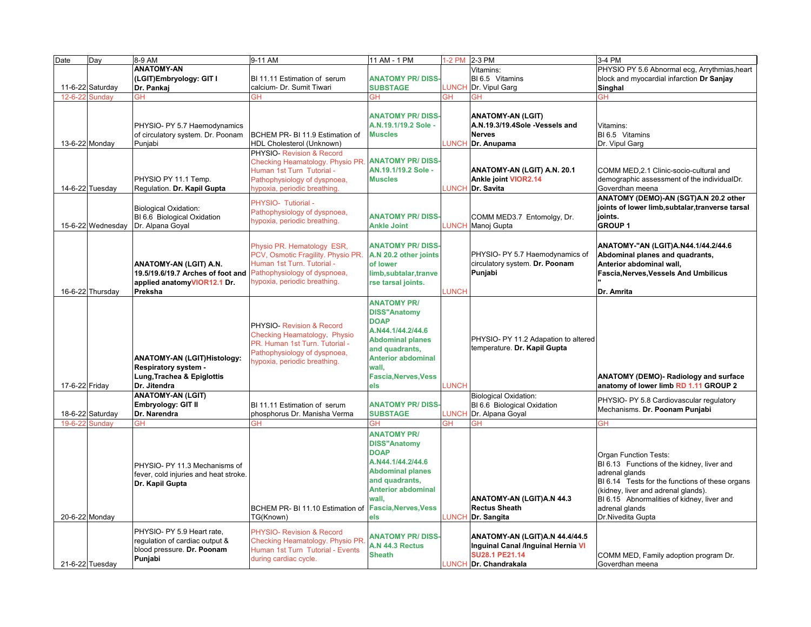| Date           | Day               | 8-9 AM                                | 9-11 AM                                               | 11 AM - 1 PM                | 1-2 PM 2-3 PM |                                      | 3-4 PM                                           |
|----------------|-------------------|---------------------------------------|-------------------------------------------------------|-----------------------------|---------------|--------------------------------------|--------------------------------------------------|
|                |                   | <b>ANATOMY-AN</b>                     |                                                       |                             |               | Vitamins:                            | PHYSIO PY 5.6 Abnormal ecg, Arrythmias, heart    |
|                |                   | (LGIT)Embryology: GIT I               | BI 11.11 Estimation of serum                          | <b>ANATOMY PR/DISS</b>      |               | BI 6.5 Vitamins                      | block and myocardial infarction Dr Sanjay        |
|                | 11-6-22 Saturday  | Dr. Pankaj                            | calcium- Dr. Sumit Tiwari                             | <b>SUBSTAGE</b>             | LUNCH         | Dr. Vipul Garg                       | Singhal                                          |
| $12 - 6 - 22$  | <b>Sundav</b>     | GН                                    | GН                                                    | ЗΗ                          | ЗH            | ЭH                                   | ĠН                                               |
|                |                   |                                       |                                                       |                             |               |                                      |                                                  |
|                |                   |                                       |                                                       | <b>ANATOMY PR/DISS-</b>     |               | <b>ANATOMY-AN (LGIT)</b>             |                                                  |
|                |                   |                                       |                                                       | A.N.19.1/19.2 Sole -        |               | A.N.19.3/19.4Sole -Vessels and       |                                                  |
|                |                   | PHYSIO- PY 5.7 Haemodynamics          |                                                       |                             |               |                                      | Vitamins:                                        |
|                |                   | of circulatory system. Dr. Poonam     | BCHEM PR- BI 11.9 Estimation of                       | <b>Muscles</b>              |               | <b>Nerves</b>                        | BI 6.5 Vitamins                                  |
|                | 13-6-22 Monday    | Punjabi                               | HDL Cholesterol (Unknown)                             |                             | <b>LUNCH</b>  | Dr. Anupama                          | Dr. Vipul Garg                                   |
|                |                   |                                       | PHYSIO- Revision & Record                             |                             |               |                                      |                                                  |
|                |                   |                                       | Checking Heamatology. Physio PR.                      | <b>ANATOMY PR/DISS</b>      |               |                                      |                                                  |
|                |                   |                                       | Human 1st Turn Tutorial -                             | AN.19.1/19.2 Sole -         |               | ANATOMY-AN (LGIT) A.N. 20.1          | COMM MED, 2.1 Clinic-socio-cultural and          |
|                |                   | PHYSIO PY 11.1 Temp.                  | Pathophysiology of dyspnoea,                          | <b>Muscles</b>              |               | Ankle joint VIOR2.14                 | demographic assessment of the individualDr.      |
|                | 14-6-22 Tuesday   | Regulation. Dr. Kapil Gupta           | hypoxia, periodic breathing.                          |                             | <b>LUNCH</b>  | Dr. Savita                           | Goverdhan meena                                  |
|                |                   |                                       | PHYSIO- Tutiorial -                                   |                             |               |                                      | ANATOMY (DEMO)-AN (SGT)A.N 20.2 other            |
|                |                   | <b>Biological Oxidation:</b>          | Pathophysiology of dyspnoea,                          |                             |               |                                      | joints of lower limb, subtalar, tranverse tarsal |
|                |                   | BI 6.6 Biological Oxidation           | hypoxia, periodic breathing.                          | <b>ANATOMY PR/DISS</b>      |               | COMM MED3.7 Entomolgy, Dr.           | ioints.                                          |
|                | 15-6-22 Wednesday | Dr. Alpana Goyal                      |                                                       | <b>Ankle Joint</b>          | <b>LUNCH</b>  | Manoj Gupta                          | <b>GROUP 1</b>                                   |
|                |                   |                                       |                                                       |                             |               |                                      |                                                  |
|                |                   |                                       | Physio PR. Hematology ESR,                            | <b>ANATOMY PR/DISS-</b>     |               |                                      | ANATOMY-"AN (LGIT)A.N44.1/44.2/44.6              |
|                |                   |                                       | PCV, Osmotic Fragility. Physio PR.                    | A.N 20.2 other joints       |               | PHYSIO- PY 5.7 Haemodynamics of      | Abdominal planes and quadrants,                  |
|                |                   | ANATOMY-AN (LGIT) A.N.                | Human 1st Turn. Tutorial -                            | of lower                    |               | circulatory system. Dr. Poonam       | Anterior abdominal wall,                         |
|                |                   | 19.5/19.6/19.7 Arches of foot and     | Pathophysiology of dyspnoea,                          | limb,subtalar,tranve        |               | Punjabi                              | Fascia, Nerves, Vessels And Umbilicus            |
|                |                   | applied anatomyVIOR12.1 Dr.           | hypoxia, periodic breathing.                          | rse tarsal joints.          |               |                                      |                                                  |
|                | 16-6-22 Thursday  | Preksha                               |                                                       |                             | <b>LUNCH</b>  |                                      | Dr. Amrita                                       |
|                |                   |                                       |                                                       |                             |               |                                      |                                                  |
|                |                   |                                       |                                                       | <b>ANATOMY PR/</b>          |               |                                      |                                                  |
|                |                   |                                       |                                                       | <b>DISS"Anatomy</b>         |               |                                      |                                                  |
|                |                   |                                       | PHYSIO- Revision & Record                             | <b>DOAP</b>                 |               |                                      |                                                  |
|                |                   |                                       | Checking Heamatology Physio                           | A.N44.1/44.2/44.6           |               |                                      |                                                  |
|                |                   |                                       | PR. Human 1st Turn. Tutorial -                        | <b>Abdominal planes</b>     |               | PHYSIO- PY 11.2 Adapation to altered |                                                  |
|                |                   |                                       | Pathophysiology of dyspnoea,                          | and quadrants,              |               | temperature. Dr. Kapil Gupta         |                                                  |
|                |                   | ANATOMY-AN (LGIT)Histology:           | hypoxia, periodic breathing.                          | <b>Anterior abdominal</b>   |               |                                      |                                                  |
|                |                   | Respiratory system -                  |                                                       | wall,                       |               |                                      |                                                  |
|                |                   | Lung, Trachea & Epiglottis            |                                                       | <b>Fascia, Nerves, Vess</b> |               |                                      | ANATOMY (DEMO)- Radiology and surface            |
| 17-6-22 Friday |                   | Dr. Jitendra                          |                                                       | els                         | <b>LUNCH</b>  |                                      | anatomy of lower limb RD 1.11 GROUP 2            |
|                |                   | <b>ANATOMY-AN (LGIT)</b>              |                                                       |                             |               | <b>Biological Oxidation:</b>         |                                                  |
|                |                   | Embryology: GIT II                    | BI 11.11 Estimation of serum                          | <b>ANATOMY PR/DISS</b>      |               | BI 6.6 Biological Oxidation          | PHYSIO- PY 5.8 Cardiovascular regulatory         |
|                | 18-6-22 Saturday  | Dr. Narendra                          | phosphorus Dr. Manisha Verma                          | <b>SUBSTAGE</b>             | <b>LUNCH</b>  | Dr. Alpana Goyal                     | Mechanisms. Dr. Poonam Punjabi                   |
| 19-6-22        | Sunday            | GH                                    | ЭH                                                    | ЭH                          | ЭH            | ЭH                                   | GH                                               |
|                |                   |                                       |                                                       | <b>ANATOMY PR/</b>          |               |                                      |                                                  |
|                |                   |                                       |                                                       |                             |               |                                      |                                                  |
|                |                   |                                       |                                                       | <b>DISS"Anatomy</b>         |               |                                      |                                                  |
|                |                   |                                       |                                                       | <b>DOAP</b>                 |               |                                      | <b>Organ Function Tests:</b>                     |
|                |                   | PHYSIO- PY 11.3 Mechanisms of         |                                                       | A.N44.1/44.2/44.6           |               |                                      | BI 6.13 Functions of the kidney, liver and       |
|                |                   | fever, cold injuries and heat stroke. |                                                       | <b>Abdominal planes</b>     |               |                                      | adrenal glands                                   |
|                |                   | Dr. Kapil Gupta                       |                                                       | and quadrants,              |               |                                      | BI 6.14 Tests for the functions of these organs  |
|                |                   |                                       |                                                       | <b>Anterior abdominal</b>   |               |                                      | (kidney, liver and adrenal glands).              |
|                |                   |                                       |                                                       | wall,                       |               | ANATOMY-AN (LGIT)A.N 44.3            | BI 6.15 Abnormalities of kidney, liver and       |
|                |                   |                                       | BCHEM PR- BI 11.10 Estimation of Fascia, Nerves, Vess |                             |               | <b>Rectus Sheath</b>                 | adrenal glands                                   |
|                | 20-6-22 Monday    |                                       | TG(Known)                                             | els                         | <b>LUNCH</b>  | Dr. Sangita                          | Dr.Nivedita Gupta                                |
|                |                   |                                       |                                                       |                             |               |                                      |                                                  |
|                |                   | PHYSIO- PY 5.9 Heart rate,            | PHYSIO- Revision & Record                             | <b>ANATOMY PR/DISS-</b>     |               | ANATOMY-AN (LGIT)A.N 44.4/44.5       |                                                  |
|                |                   | regulation of cardiac output &        | Checking Heamatology. Physio PR.                      | A.N 44.3 Rectus             |               | Inguinal Canal /Inguinal Hernia VI   |                                                  |
|                |                   | blood pressure. Dr. Poonam            | Human 1st Turn Tutorial - Events                      | <b>Sheath</b>               |               | <b>SU28.1 PE21.14</b>                | COMM MED, Family adoption program Dr.            |
|                | 21-6-22 Tuesday   | Punjabi                               | during cardiac cycle.                                 |                             |               | LUNCH Dr. Chandrakala                | Goverdhan meena                                  |
|                |                   |                                       |                                                       |                             |               |                                      |                                                  |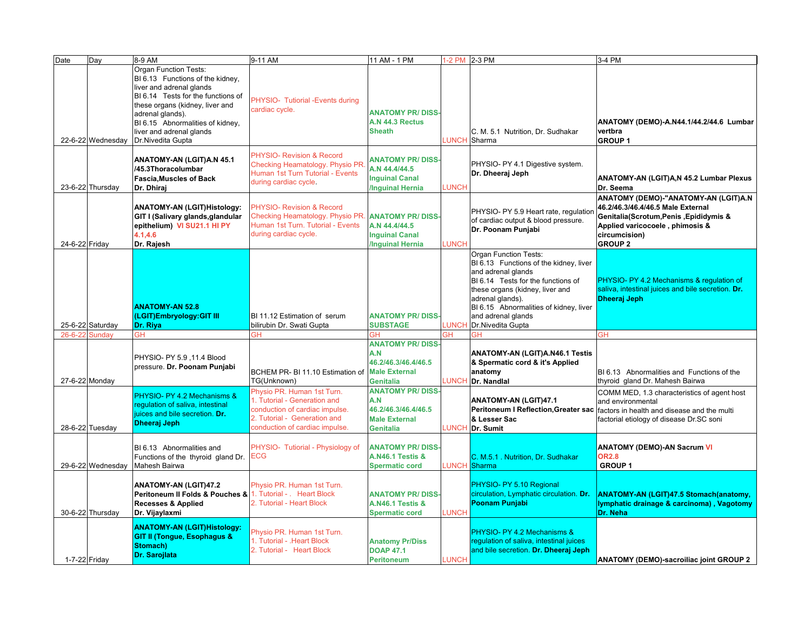| <b>Date</b>     | Day               | 8-9 AM                                                                                                                                                                                                                                                                         | 9-11 AM                                                                                                                                                        | 11 AM - 1 PM                                                                                     |              | 1-2 PM 2-3 PM                                                                                                                                                                                                                                                                 | 3-4 PM                                                                                                                                                                                    |
|-----------------|-------------------|--------------------------------------------------------------------------------------------------------------------------------------------------------------------------------------------------------------------------------------------------------------------------------|----------------------------------------------------------------------------------------------------------------------------------------------------------------|--------------------------------------------------------------------------------------------------|--------------|-------------------------------------------------------------------------------------------------------------------------------------------------------------------------------------------------------------------------------------------------------------------------------|-------------------------------------------------------------------------------------------------------------------------------------------------------------------------------------------|
|                 | 22-6-22 Wednesday | <b>Organ Function Tests:</b><br>BI 6.13 Functions of the kidney,<br>liver and adrenal glands<br>BI 6.14 Tests for the functions of<br>these organs (kidney, liver and<br>adrenal glands).<br>BI 6.15 Abnormalities of kidney,<br>liver and adrenal glands<br>Dr.Nivedita Gupta | PHYSIO- Tutiorial - Events during<br>cardiac cycle.                                                                                                            | <b>ANATOMY PR/DISS</b><br>A.N 44.3 Rectus<br><b>Sheath</b>                                       |              | C. M. 5.1 Nutrition, Dr. Sudhakar<br>LUNCH Sharma                                                                                                                                                                                                                             | ANATOMY (DEMO)-A.N44.1/44.2/44.6 Lumbar<br>vertbra<br><b>GROUP 1</b>                                                                                                                      |
|                 | 23-6-22 Thursday  | ANATOMY-AN (LGIT)A.N 45.1<br>/45.3Thoracolumbar<br><b>Fascia, Muscles of Back</b><br>Dr. Dhirai                                                                                                                                                                                | PHYSIO- Revision & Record<br>Checking Heamatology. Physio PR.<br>Human 1st Turn Tutorial - Events<br>during cardiac cycle.                                     | <b>ANATOMY PR/DISS</b><br>A.N 44.4/44.5<br><b>Inguinal Canal</b><br><b>Inguinal Hernia</b>       | LUNCH        | PHYSIO- PY 4.1 Digestive system.<br>Dr. Dheeraj Jeph                                                                                                                                                                                                                          | ANATOMY-AN (LGIT)A,N 45.2 Lumbar Plexus<br>Dr. Seema                                                                                                                                      |
| 24-6-22 Friday  |                   | ANATOMY-AN (LGIT)Histology:<br>GIT I (Salivary glands, glandular<br>epithelium) VI SU21.1 HI PY<br>4.1, 4.6<br>Dr. Rajesh                                                                                                                                                      | <b>PHYSIO- Revision &amp; Record</b><br>Checking Heamatology. Physio PR.<br>Human 1st Turn. Tutorial - Events<br>during cardiac cycle.                         | <b>ANATOMY PR/DISS</b><br>A.N 44.4/44.5<br><b>Inguinal Canal</b><br><b>Inquinal Hernia</b>       | LUNCH        | PHYSIO- PY 5.9 Heart rate, regulatior<br>of cardiac output & blood pressure.<br>Dr. Poonam Punjabi                                                                                                                                                                            | ANATOMY (DEMO)-"ANATOMY-AN (LGIT)A.N<br>46.2/46.3/46.4/46.5 Male External<br>Genitalia(Scrotum, Penis, Epididymis &<br>Applied varicocoele, phimosis &<br>circumcision)<br><b>GROUP 2</b> |
|                 | 25-6-22 Saturday  | <b>ANATOMY-AN 52.8</b><br>(LGIT)Embryology:GIT III<br>Dr. Riya                                                                                                                                                                                                                 | BI 11.12 Estimation of serum<br>bilirubin Dr. Swati Gupta                                                                                                      | <b>ANATOMY PR/DISS-</b><br><b>SUBSTAGE</b>                                                       |              | Organ Function Tests:<br>BI 6.13 Functions of the kidney, liver<br>and adrenal glands<br>BI 6.14 Tests for the functions of<br>these organs (kidney, liver and<br>adrenal glands).<br>BI 6.15 Abnormalities of kidney, liver<br>and adrenal glands<br>LUNCH Dr.Nivedita Gupta | PHYSIO- PY 4.2 Mechanisms & regulation of<br>saliva, intestinal juices and bile secretion. Dr.<br><b>Dheeraj Jeph</b>                                                                     |
| 26-6-22 Sunday  |                   | GН                                                                                                                                                                                                                                                                             | ЭH                                                                                                                                                             | GН                                                                                               | ЭH           | GH                                                                                                                                                                                                                                                                            | <b>GH</b>                                                                                                                                                                                 |
| 27-6-22 Monday  |                   | PHYSIO- PY 5.9, 11.4 Blood<br>pressure. Dr. Poonam Punjabi                                                                                                                                                                                                                     | BCHEM PR- BI 11.10 Estimation of<br>TG(Unknown)                                                                                                                | <b>ANATOMY PR/DISS</b><br>A.N<br>46.2/46.3/46.4/46.5<br><b>Male External</b><br><b>Genitalia</b> |              | <b>ANATOMY-AN (LGIT)A.N46.1 Testis</b><br>& Spermatic cord & it's Applied<br>anatomy<br><b>UNCH Dr. Nandlal</b>                                                                                                                                                               | BI 6.13 Abnormalities and Functions of the<br>thyroid gland Dr. Mahesh Bairwa                                                                                                             |
| 28-6-22 Tuesday |                   | PHYSIO- PY 4.2 Mechanisms &<br>requlation of saliva, intestinal<br>juices and bile secretion. Dr.<br><b>Dheeraj Jeph</b>                                                                                                                                                       | Physio PR. Human 1st Turn.<br>1. Tutorial - Generation and<br>conduction of cardiac impulse.<br>2. Tutorial - Generation and<br>conduction of cardiac impulse. | <b>ANATOMY PR/DISS</b><br>A.N<br>46.2/46.3/46.4/46.5<br><b>Male External</b><br><b>Genitalia</b> |              | <b>ANATOMY-AN (LGIT)47.1</b><br><b>Peritoneum I Reflection, Greater sac</b><br>& Lesser Sac<br><b>LUNCH Dr. Sumit</b>                                                                                                                                                         | COMM MED, 1.3 characteristics of agent host<br>and environmental<br>factors in health and disease and the multi<br>factorial etiology of disease Dr.SC soni                               |
|                 | 29-6-22 Wednesday | BI 6.13 Abnormalities and<br>Functions of the thyroid gland Dr.<br>Mahesh Bairwa                                                                                                                                                                                               | PHYSIO- Tutiorial - Physiology of<br><b>ECG</b>                                                                                                                | <b>ANATOMY PR/DISS</b><br><b>A.N46.1 Testis &amp;</b><br><b>Spermatic cord</b>                   |              | C. M.5.1 . Nutrition, Dr. Sudhakar<br><b>LUNCH</b> Sharma                                                                                                                                                                                                                     | <b>ANATOMY (DEMO)-AN Sacrum VI</b><br><b>OR2.8</b><br><b>GROUP1</b>                                                                                                                       |
|                 | 30-6-22 Thursday  | <b>ANATOMY-AN (LGIT)47.2</b><br><b>Peritoneum II Folds &amp; Pouches &amp; 1. Tutorial - . Heart Block</b><br><b>Recesses &amp; Applied</b><br>Dr. Vijaylaxmi                                                                                                                  | Physio PR. Human 1st Turn.<br>2. Tutorial - Heart Block                                                                                                        | <b>ANATOMY PR/DISS</b><br><b>A.N46.1 Testis &amp;</b><br><b>Spermatic cord</b>                   | <b>LUNCH</b> | PHYSIO- PY 5.10 Regional<br>circulation, Lymphatic circulation. Dr.<br>Poonam Punjabi                                                                                                                                                                                         | ANATOMY-AN (LGIT)47.5 Stomach(anatomy,<br>lymphatic drainage & carcinoma), Vagotomy<br>Dr. Neha                                                                                           |
| 1-7-22 Friday   |                   | <b>ANATOMY-AN (LGIT)Histology:</b><br><b>GIT II (Tongue, Esophagus &amp;</b><br>Stomach)<br>Dr. Sarojlata                                                                                                                                                                      | Physio PR. Human 1st Turn.<br>1. Tutorial - . Heart Block<br>2. Tutorial - Heart Block                                                                         | <b>Anatomy Pr/Diss</b><br><b>DOAP 47.1</b><br><b>Peritoneum</b>                                  | <b>LUNCH</b> | PHYSIO- PY 4.2 Mechanisms &<br>regulation of saliva, intestinal juices<br>and bile secretion. Dr. Dheeraj Jeph                                                                                                                                                                | ANATOMY (DEMO)-sacroiliac joint GROUP 2                                                                                                                                                   |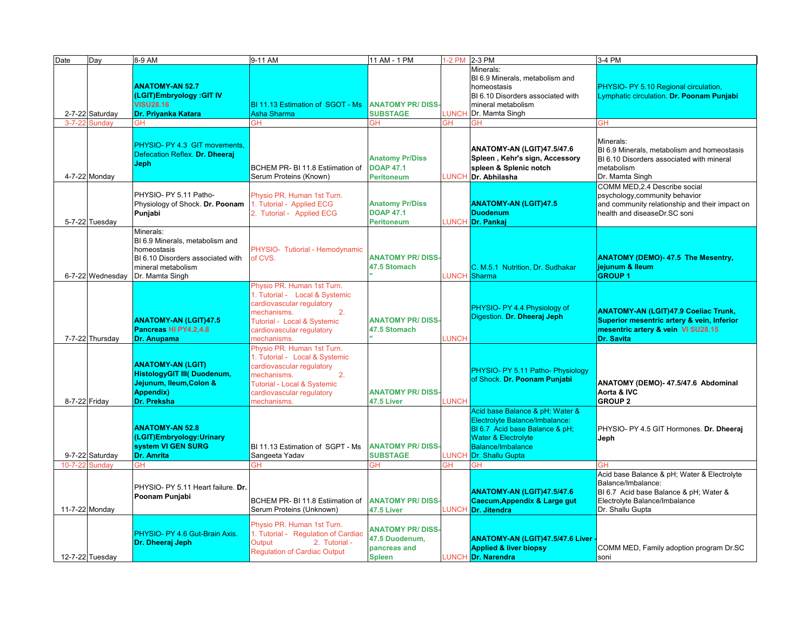| Date           | Day              | 8-9 AM                                          | 9-11 AM                                        | 11 AM - 1 PM            |              | 1-2 PM 2-3 PM                                                | 3-4 PM                                                                                   |
|----------------|------------------|-------------------------------------------------|------------------------------------------------|-------------------------|--------------|--------------------------------------------------------------|------------------------------------------------------------------------------------------|
|                |                  |                                                 |                                                |                         |              | Minerals:                                                    |                                                                                          |
|                |                  | <b>ANATOMY-AN 52.7</b>                          |                                                |                         |              | BI 6.9 Minerals, metabolism and                              |                                                                                          |
|                |                  | (LGIT)Embryology : GIT IV                       |                                                |                         |              | homeostasis<br>BI 6.10 Disorders associated with             | PHYSIO- PY 5.10 Regional circulation,<br>Lymphatic circulation. Dr. Poonam Punjabi       |
|                |                  | <b>VISU28.16</b>                                | BI 11.13 Estimation of SGOT - Ms               | <b>ANATOMY PR/DISS-</b> |              | mineral metabolism                                           |                                                                                          |
|                | 2-7-22 Saturday  | Dr. Priyanka Katara                             | Asha Sharma                                    | <b>SUBSTAGE</b>         |              | <b>UNCH</b> Dr. Mamta Singh                                  |                                                                                          |
| $3 - 7 - 22$   | <b>Sunday</b>    | GH                                              | ЭH                                             | GH                      | <b>GH</b>    | GH                                                           | GН                                                                                       |
|                |                  |                                                 |                                                |                         |              |                                                              |                                                                                          |
|                |                  | PHYSIO- PY 4.3 GIT movements.                   |                                                |                         |              |                                                              | Minerals:                                                                                |
|                |                  | Defecation Reflex. Dr. Dheeraj                  |                                                | <b>Anatomy Pr/Diss</b>  |              | ANATOMY-AN (LGIT)47.5/47.6<br>Spleen, Kehr's sign, Accessory | BI 6.9 Minerals, metabolism and homeostasis<br>BI 6.10 Disorders associated with mineral |
|                |                  | <b>Jeph</b>                                     | BCHEM PR- BI 11.8 Estiimation of               | <b>DOAP 47.1</b>        |              | spleen & Splenic notch                                       | metabolism                                                                               |
|                | 4-7-22 Monday    |                                                 | Serum Proteins (Known)                         | <b>Peritoneum</b>       | <b>UNCH</b>  | Dr. Abhilasha                                                | Dr. Mamta Singh                                                                          |
|                |                  |                                                 |                                                |                         |              |                                                              | COMM MED, 2.4 Describe social                                                            |
|                |                  | PHYSIO- PY 5.11 Patho-                          | Physio PR. Human 1st Turn.                     |                         |              |                                                              | psychology, community behavior                                                           |
|                |                  | Physiology of Shock. Dr. Poonam                 | 1. Tutorial - Applied ECG                      | <b>Anatomy Pr/Diss</b>  |              | <b>ANATOMY-AN (LGIT)47.5</b>                                 | and community relationship and their impact on                                           |
|                |                  | Punjabi                                         | 2. Tutorial - Applied ECG                      | <b>DOAP 47.1</b>        |              | <b>Duodenum</b>                                              | health and diseaseDr.SC soni                                                             |
|                | 5-7-22 Tuesday   |                                                 |                                                | <b>Peritoneum</b>       |              | UNCH Dr. Pankaj                                              |                                                                                          |
|                |                  | Minerals:<br>BI 6.9 Minerals, metabolism and    |                                                |                         |              |                                                              |                                                                                          |
|                |                  | homeostasis                                     | PHYSIO- Tutiorial - Hemodynamic                |                         |              |                                                              |                                                                                          |
|                |                  | BI 6.10 Disorders associated with               | of CVS.                                        | <b>ANATOMY PR/DISS-</b> |              |                                                              | <b>ANATOMY (DEMO)-47.5 The Mesentry,</b>                                                 |
|                |                  | mineral metabolism                              |                                                | 47.5 Stomach            |              | C. M.5.1 Nutrition, Dr. Sudhakar                             | jejunum & Ileum                                                                          |
|                | 6-7-22 Wednesday | Dr. Mamta Singh                                 |                                                |                         |              | UNCH Sharma                                                  | <b>GROUP1</b>                                                                            |
|                |                  |                                                 | Physio PR. Human 1st Turn.                     |                         |              |                                                              |                                                                                          |
|                |                  |                                                 | 1. Tutorial - Local & Systemic                 |                         |              |                                                              |                                                                                          |
|                |                  |                                                 | cardiovascular regulatory<br>2.<br>mechanisms. |                         |              | PHYSIO- PY 4.4 Physiology of                                 | <b>ANATOMY-AN (LGIT)47.9 Coeliac Trunk,</b>                                              |
|                |                  | <b>ANATOMY-AN (LGIT)47.5</b>                    | Tutorial - Local & Systemic                    | <b>ANATOMY PR/DISS-</b> |              | Digestion. Dr. Dheeraj Jeph                                  | Superior mesentric artery & vein, Inferior                                               |
|                |                  | Pancreas HI PY4.2,4.8                           | cardiovascular regulatory                      | 47.5 Stomach            |              |                                                              | mesentric artery & vein VI SU28.15                                                       |
|                | 7-7-22 Thursday  | <b>Dr. Anupama</b>                              | mechanisms.                                    |                         | <b>UNCH</b>  |                                                              | <b>Dr. Savita</b>                                                                        |
|                |                  |                                                 | Physio PR. Human 1st Turn.                     |                         |              |                                                              |                                                                                          |
|                |                  | <b>ANATOMY-AN (LGIT)</b>                        | 1. Tutorial - Local & Systemic                 |                         |              |                                                              |                                                                                          |
|                |                  | <b>HistologyGIT III( Duodenum,</b>              | cardiovascular regulatory<br>2.                |                         |              | PHYSIO- PY 5.11 Patho- Physiology                            |                                                                                          |
|                |                  | Jejunum, Ileum, Colon &                         | mechanisms.<br>Tutorial - Local & Systemic     |                         |              | of Shock. Dr. Poonam Punjabi                                 | ANATOMY (DEMO)- 47.5/47.6 Abdominal                                                      |
|                |                  | <b>Appendix)</b>                                | cardiovascular regulatory                      | <b>ANATOMY PR/DISS</b>  |              |                                                              | Aorta & IVC                                                                              |
| 8-7-22 Friday  |                  | Dr. Preksha                                     | mechanisms.                                    | 47.5 Liver              | LUNCH        |                                                              | <b>GROUP 2</b>                                                                           |
|                |                  |                                                 |                                                |                         |              | Acid base Balance & pH; Water &                              |                                                                                          |
|                |                  |                                                 |                                                |                         |              | Electrolyte Balance/Imbalance:                               |                                                                                          |
|                |                  | <b>ANATOMY-AN 52.8</b>                          |                                                |                         |              | BI 6.7 Acid base Balance & pH;                               | PHYSIO- PY 4.5 GIT Hormones. Dr. Dheeraj                                                 |
|                |                  | (LGIT)Embryology: Urinary<br>system VI GEN SURG | BI 11.13 Estimation of SGPT - Ms               | <b>ANATOMY PR/DISS-</b> |              | <b>Water &amp; Electrolyte</b><br><b>Balance/Imbalance</b>   | Jeph                                                                                     |
|                | 9-7-22 Saturday  | <b>Dr. Amrita</b>                               | Sangeeta Yadav                                 | <b>SUBSTAGE</b>         | <b>LUNCH</b> | Dr. Shallu Gupta                                             |                                                                                          |
| $10 - 7 - 22$  | Sunday           | <b>GH</b>                                       | <b>GH</b>                                      | GН                      | GH.          | GН                                                           | <b>GH</b>                                                                                |
|                |                  |                                                 |                                                |                         |              |                                                              | Acid base Balance & pH; Water & Electrolyte                                              |
|                |                  | PHYSIO- PY 5.11 Heart failure. Dr.              |                                                |                         |              |                                                              | Balance/Imbalance:                                                                       |
|                |                  | Poonam Punjabi                                  |                                                |                         |              | ANATOMY-AN (LGIT)47.5/47.6                                   | BI 6.7 Acid base Balance & pH; Water &                                                   |
|                |                  |                                                 | BCHEM PR- BI 11.8 Estiimation of               | <b>ANATOMY PR/DISS-</b> |              | Caecum, Appendix & Large gut                                 | Electrolyte Balance/Imbalance                                                            |
| 11-7-22 Monday |                  |                                                 | Serum Proteins (Unknown)                       | 47.5 Liver              |              | UNCH Dr. Jitendra                                            | Dr. Shallu Gupta                                                                         |
|                |                  |                                                 | Physio PR. Human 1st Turn.                     | <b>ANATOMY PR/DISS</b>  |              |                                                              |                                                                                          |
|                |                  | PHYSIO- PY 4.6 Gut-Brain Axis.                  | 1. Tutorial - Regulation of Cardiac            | 47.5 Duodenum,          |              | <b>ANATOMY-AN (LGIT)47.5/47.6 Liver</b>                      |                                                                                          |
|                |                  | Dr. Dheeraj Jeph                                | Output<br>2. Tutorial -                        | pancreas and            |              | <b>Applied &amp; liver biopsy</b>                            | COMM MED, Family adoption program Dr.SC                                                  |
|                | 12-7-22 Tuesday  |                                                 | <b>Regulation of Cardiac Output</b>            | <b>Spleen</b>           |              | LUNCH Dr. Narendra                                           | soni                                                                                     |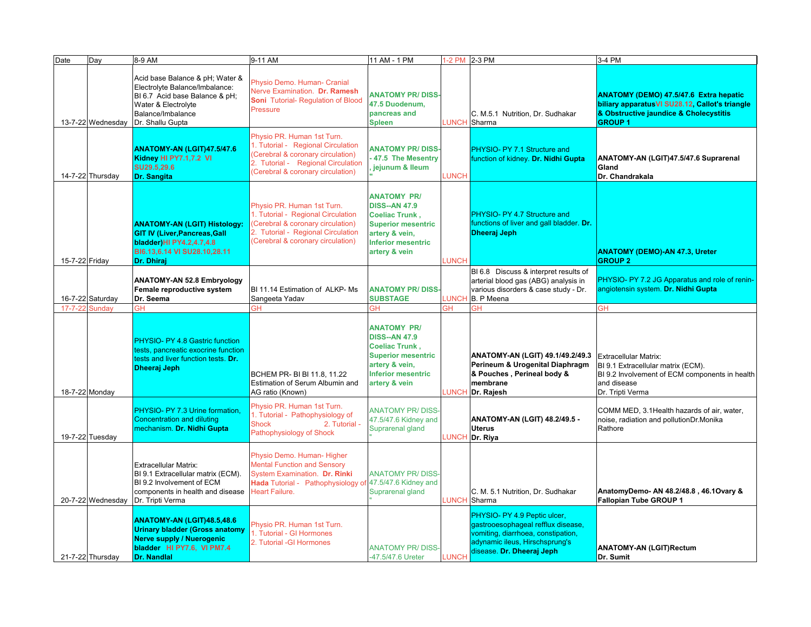| Date           | Day               | 8-9 AM                                                                                                                                                              | 9-11 AM                                                                                                                                                                          | 11 AM - 1 PM                                                                                                                                                     | 1-2 PM 2-3 PM |                                                                                                                                                                         | 3-4 PM                                                                                                                                                      |
|----------------|-------------------|---------------------------------------------------------------------------------------------------------------------------------------------------------------------|----------------------------------------------------------------------------------------------------------------------------------------------------------------------------------|------------------------------------------------------------------------------------------------------------------------------------------------------------------|---------------|-------------------------------------------------------------------------------------------------------------------------------------------------------------------------|-------------------------------------------------------------------------------------------------------------------------------------------------------------|
|                | 13-7-22 Wednesday | Acid base Balance & pH; Water &<br>Electrolyte Balance/Imbalance:<br>BI 6.7 Acid base Balance & pH;<br>Water & Electrolyte<br>Balance/Imbalance<br>Dr. Shallu Gupta | Physio Demo. Human- Cranial<br>Nerve Examination. Dr. Ramesh<br>Soni Tutorial- Regulation of Blood<br>Pressure                                                                   | <b>ANATOMY PR/DISS-</b><br>47.5 Duodenum,<br>pancreas and<br><b>Spleen</b>                                                                                       |               | C. M.5.1 Nutrition, Dr. Sudhakar<br>LUNCH Sharma                                                                                                                        | <b>ANATOMY (DEMO) 47.5/47.6 Extra hepatic</b><br>biliary apparatus VI SU28.12, Callot's triangle<br>& Obstructive jaundice & Cholecystitis<br><b>GROUP1</b> |
|                | 14-7-22 Thursday  | <b>ANATOMY-AN (LGIT)47.5/47.6</b><br>Kidney HI PY7.1,7.2 VI<br>SU29.5,29.6<br>Dr. Sangita                                                                           | Physio PR. Human 1st Turn.<br>1. Tutorial - Regional Circulation<br>(Cerebral & coronary circulation)<br>2. Tutorial - Regional Circulation<br>(Cerebral & coronary circulation) | <b>ANATOMY PR/DISS</b><br>47.5 The Mesentry<br>jejunum & Ileum                                                                                                   | <b>LUNCH</b>  | PHYSIO- PY 7.1 Structure and<br>function of kidney. Dr. Nidhi Gupta                                                                                                     | ANATOMY-AN (LGIT)47.5/47.6 Suprarenal<br>Gland<br>Dr. Chandrakala                                                                                           |
| 15-7-22 Friday |                   | <b>ANATOMY-AN (LGIT) Histology:</b><br><b>GIT IV (Liver, Pancreas, Gall</b><br>bladder) HI PY4.2,4.7,4.8<br>BI6.13,6.14 VI SU28.10,28.11<br>Dr. Dhiraj              | Physio PR. Human 1st Turn.<br>1. Tutorial - Regional Circulation<br>(Cerebral & coronary circulation)<br>2. Tutorial - Regional Circulation<br>(Cerebral & coronary circulation) | <b>ANATOMY PR/</b><br><b>DISS--AN 47.9</b><br><b>Coeliac Trunk,</b><br><b>Superior mesentric</b><br>artery & vein,<br><b>Inferior mesentric</b><br>artery & vein | LUNCH         | PHYSIO- PY 4.7 Structure and<br>functions of liver and gall bladder. Dr.<br><b>Dheeraj Jeph</b>                                                                         | <b>ANATOMY (DEMO)-AN 47.3, Ureter</b><br><b>GROUP 2</b>                                                                                                     |
|                | 16-7-22 Saturday  | <b>ANATOMY-AN 52.8 Embryology</b><br>Female reproductive system<br>Dr. Seema                                                                                        | BI 11.14 Estimation of ALKP-Ms<br>Sangeeta Yadav                                                                                                                                 | <b>ANATOMY PR/DISS</b><br><b>SUBSTAGE</b>                                                                                                                        | <b>LUNCH</b>  | BI 6.8 Discuss & interpret results of<br>arterial blood gas (ABG) analysis in<br>various disorders & case study - Dr.<br><b>B. P Meena</b>                              | PHYSIO- PY 7.2 JG Apparatus and role of renin-<br>angiotensin system. Dr. Nidhi Gupta                                                                       |
| $17 - 7 - 22$  | <b>Sunday</b>     | GH                                                                                                                                                                  | GH                                                                                                                                                                               | ЗH                                                                                                                                                               | GH            | GH                                                                                                                                                                      | GH                                                                                                                                                          |
| 18-7-22 Monday |                   | PHYSIO- PY 4.8 Gastric function<br>tests, pancreatic exocrine function<br>tests and liver function tests. Dr.<br><b>Dheeraj Jeph</b>                                | BCHEM PR- BI BI 11.8. 11.22<br>Estimation of Serum Albumin and<br>AG ratio (Known)                                                                                               | <b>ANATOMY PR/</b><br><b>DISS--AN 47.9</b><br><b>Coeliac Trunk,</b><br><b>Superior mesentric</b><br>artery & vein,<br><b>Inferior mesentric</b><br>artery & vein |               | ANATOMY-AN (LGIT) 49.1/49.2/49.3<br>Perineum & Urogenital Diaphragm<br>& Pouches, Perineal body &<br>membrane<br>LUNCH Dr. Rajesh                                       | <b>Extracellular Matrix:</b><br>BI 9.1 Extracellular matrix (ECM).<br>BI 9.2 Involvement of ECM components in health<br>and disease<br>Dr. Tripti Verma     |
|                | 19-7-22 Tuesday   | PHYSIO- PY 7.3 Urine formation,<br>Concentration and diluting<br>mechanism. Dr. Nidhi Gupta                                                                         | Physio PR. Human 1st Turn.<br>1. Tutorial - Pathophysiology of<br>2. Tutorial -<br><b>Shock</b><br>Pathophysiology of Shock                                                      | <b>ANATOMY PR/DISS-</b><br>47.5/47.6 Kidney and<br>Suprarenal gland                                                                                              |               | ANATOMY-AN (LGIT) 48.2/49.5 -<br><b>Uterus</b><br>LUNCH Dr. Riya                                                                                                        | COMM MED, 3.1Health hazards of air, water,<br>noise, radiation and pollutionDr.Monika<br>Rathore                                                            |
|                | 20-7-22 Wednesday | <b>Extracellular Matrix:</b><br>BI 9.1 Extracellular matrix (ECM).<br>BI 9.2 Involvement of ECM<br>components in health and disease<br>Dr. Tripti Verma             | Physio Demo. Human- Higher<br><b>Mental Function and Sensory</b><br>System Examination. Dr. Rinki<br>Hada Tutorial - Pathophysiology of<br>Heart Failure.                        | <b>ANATOMY PR/DISS-</b><br>47.5/47.6 Kidney and<br>Suprarenal gland                                                                                              |               | C. M. 5.1 Nutrition, Dr. Sudhakar<br><b>LUNCH</b> Sharma                                                                                                                | AnatomyDemo- AN 48.2/48.8, 46.1Ovary &<br><b>Fallopian Tube GROUP 1</b>                                                                                     |
|                | 21-7-22 Thursday  | <b>ANATOMY-AN (LGIT)48.5,48.6</b><br><b>Urinary bladder (Gross anatomy</b><br><b>Nerve supply / Nuerogenic</b><br>bladder HI PY7.6, VI PM7.4<br><b>Dr. Nandlal</b>  | Physio PR. Human 1st Turn.<br>1. Tutorial - GI Hormones<br>2. Tutorial - GI Hormones                                                                                             | <b>ANATOMY PR/DISS-</b><br>-47.5/47.6 Ureter                                                                                                                     | <b>LUNCH</b>  | PHYSIO- PY 4.9 Peptic ulcer,<br>gastrooesophageal refflux disease,<br>vomiting, diarrhoea, constipation,<br>adynamic ileus, Hirschsprung's<br>disease. Dr. Dheeraj Jeph | <b>ANATOMY-AN (LGIT)Rectum</b><br>Dr. Sumit                                                                                                                 |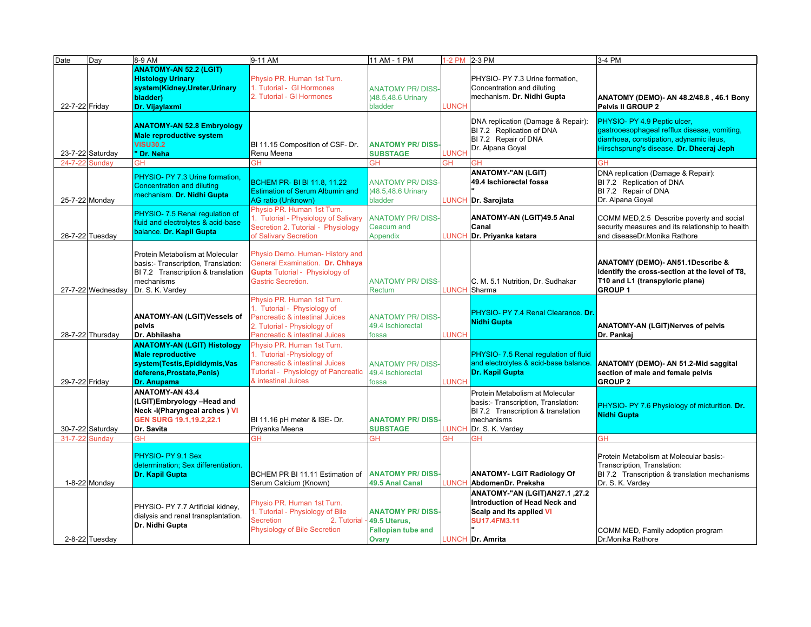| Date           | Day               | 8-9 AM                                                                    | 9-11 AM                                                                    | 11 AM - 1 PM                                 |              | 1-2 PM 2-3 PM                                            | 3-4 PM                                                                                        |
|----------------|-------------------|---------------------------------------------------------------------------|----------------------------------------------------------------------------|----------------------------------------------|--------------|----------------------------------------------------------|-----------------------------------------------------------------------------------------------|
|                |                   | <b>ANATOMY-AN 52.2 (LGIT)</b><br><b>Histology Urinary</b>                 | Physio PR. Human 1st Turn.                                                 |                                              |              | PHYSIO- PY 7.3 Urine formation,                          |                                                                                               |
|                |                   | system(Kidney,Ureter,Urinary                                              | 1. Tutorial - GI Hormones                                                  | <b>ANATOMY PR/DISS-</b>                      |              | Concentration and diluting                               |                                                                                               |
|                |                   | bladder)                                                                  | 2. Tutorial - GI Hormones                                                  | )48.5,48.6 Urinary                           |              | mechanism. Dr. Nidhi Gupta                               | ANATOMY (DEMO)- AN 48.2/48.8, 46.1 Bony                                                       |
| 22-7-22 Friday |                   | Dr. Vijaylaxmi                                                            |                                                                            | bladder                                      | <b>LUNCH</b> |                                                          | Pelvis II GROUP 2                                                                             |
|                |                   | <b>ANATOMY-AN 52.8 Embryology</b>                                         |                                                                            |                                              |              | DNA replication (Damage & Repair):                       | PHYSIO- PY 4.9 Peptic ulcer,                                                                  |
|                |                   | <b>Male reproductive system</b>                                           |                                                                            |                                              |              | BI 7.2 Replication of DNA                                | gastrooesophageal refflux disease, vomiting,                                                  |
|                |                   | <b>VISU30.2</b>                                                           | BI 11.15 Composition of CSF- Dr.                                           | <b>ANATOMY PR/DISS-</b>                      |              | BI 7.2 Repair of DNA<br>Dr. Alpana Goyal                 | diarrhoea, constipation, adynamic ileus,<br>Hirschsprung's disease. Dr. Dheeraj Jeph          |
|                | 23-7-22 Saturday  | "Dr. Neha                                                                 | Renu Meena                                                                 | <b>SUBSTAGE</b>                              | <b>LUNCH</b> |                                                          |                                                                                               |
| 24-7-22 Sunday |                   | GН                                                                        | ЗH                                                                         | GН                                           | GН           |                                                          | GH                                                                                            |
|                |                   | PHYSIO- PY 7.3 Urine formation,                                           | <b>BCHEM PR- BI BI 11.8, 11.22</b>                                         | <b>ANATOMY PR/DISS-</b>                      |              | <b>ANATOMY-"AN (LGIT)</b><br>49.4 Ischiorectal fossa     | DNA replication (Damage & Repair):<br>BI 7.2 Replication of DNA                               |
|                |                   | Concentration and diluting                                                | <b>Estimation of Serum Albumin and</b>                                     | )48.5,48.6 Urinary                           |              |                                                          | BI 7.2 Repair of DNA                                                                          |
| 25-7-22 Monday |                   | mechanism. Dr. Nidhi Gupta                                                | <b>AG ratio (Unknown)</b>                                                  | bladder                                      | LUNCH        | Dr. Sarojlata                                            | Dr. Alpana Goyal                                                                              |
|                |                   | PHYSIO- 7.5 Renal regulation of                                           | Physio PR. Human 1st Turn.                                                 |                                              |              |                                                          |                                                                                               |
|                |                   | fluid and electrolytes & acid-base                                        | 1. Tutorial - Physiology of Salivary<br>Secretion 2. Tutorial - Physiology | <b>ANATOMY PR/DISS-</b><br>Ceacum and        |              | ANATOMY-AN (LGIT)49.5 Anal<br>Canal                      | COMM MED, 2.5 Describe poverty and social<br>security measures and its relationship to health |
|                | 26-7-22 Tuesday   | balance. Dr. Kapil Gupta                                                  | of Salivary Secretion                                                      | Appendix                                     |              | LUNCH Dr. Priyanka katara                                | and diseaseDr.Monika Rathore                                                                  |
|                |                   |                                                                           |                                                                            |                                              |              |                                                          |                                                                                               |
|                |                   | Protein Metabolism at Molecular                                           | Physio Demo. Human- History and                                            |                                              |              |                                                          |                                                                                               |
|                |                   | basis:- Transcription, Translation:<br>BI 7.2 Transcription & translation | General Examination. Dr. Chhaya<br><b>Gupta</b> Tutorial - Physiology of   |                                              |              |                                                          | ANATOMY (DEMO)- AN51.1Describe &<br>identify the cross-section at the level of T8,            |
|                |                   | mechanisms                                                                | Gastric Secretion.                                                         | <b>ANATOMY PR/DISS-</b>                      |              | C. M. 5.1 Nutrition, Dr. Sudhakar                        | T10 and L1 (transpyloric plane)                                                               |
|                | 27-7-22 Wednesday | Dr. S. K. Vardey                                                          |                                                                            | Rectum                                       | <b>LUNCH</b> | Sharma                                                   | <b>GROUP1</b>                                                                                 |
|                |                   |                                                                           | Physio PR, Human 1st Turn.                                                 |                                              |              |                                                          |                                                                                               |
|                |                   | <b>ANATOMY-AN (LGIT)Vessels of</b>                                        | 1. Tutorial - Physiology of<br>Pancreatic & intestinal Juices              | <b>ANATOMY PR/DISS-</b>                      |              | PHYSIO- PY 7.4 Renal Clearance. Dr.                      |                                                                                               |
|                |                   | pelvis                                                                    | 2. Tutorial - Physiology of                                                | 49.4 Ischiorectal                            |              | <b>Nidhi Gupta</b>                                       | <b>ANATOMY-AN (LGIT)Nerves of pelvis</b>                                                      |
|                | 28-7-22 Thursday  | Dr. Abhilasha                                                             | Pancreatic & intestinal Juices                                             | fossa                                        | <b>LUNCH</b> |                                                          | Dr. Pankaj                                                                                    |
|                |                   | <b>ANATOMY-AN (LGIT) Histology</b>                                        | Physio PR. Human 1st Turn.                                                 |                                              |              |                                                          |                                                                                               |
|                |                   | <b>Male reproductive</b>                                                  | 1. Tutorial -Physiology of                                                 |                                              |              | PHYSIO- 7.5 Renal regulation of fluid                    |                                                                                               |
|                |                   | system(Testis, Epididymis, Vas<br>deferens, Prostate, Penis)              | Pancreatic & intestinal Juices<br>Tutorial - Physiology of Pancreatic      | <b>ANATOMY PR/DISS-</b><br>49.4 Ischiorectal |              | and electrolytes & acid-base balance.<br>Dr. Kapil Gupta | ANATOMY (DEMO)- AN 51.2-Mid saggital<br>section of male and female pelvis                     |
| 29-7-22 Friday |                   | <b>Dr. Anupama</b>                                                        | & intestinal Juices                                                        | fossa                                        | <b>LUNCH</b> |                                                          | <b>GROUP 2</b>                                                                                |
|                |                   | <b>ANATOMY-AN 43.4</b>                                                    |                                                                            |                                              |              | Protein Metabolism at Molecular                          |                                                                                               |
|                |                   | (LGIT)Embryology-Head and                                                 |                                                                            |                                              |              | basis:- Transcription, Translation:                      | PHYSIO- PY 7.6 Physiology of micturition. Dr.                                                 |
|                |                   | Neck -I(Pharyngeal arches) VI                                             |                                                                            |                                              |              | BI 7.2 Transcription & translation                       | <b>Nidhi Gupta</b>                                                                            |
|                | 30-7-22 Saturday  | GEN SURG 19.1, 19.2, 22.1<br>Dr. Savita                                   | BI 11.16 pH meter & ISE- Dr.<br>Priyanka Meena                             | <b>ANATOMY PR/DISS-</b><br><b>SUBSTAGE</b>   | LUNCH        | mechanisms<br>Dr. S. K. Vardey                           |                                                                                               |
| 31-7-22 Sundav |                   | GH                                                                        | ЗH                                                                         | GH                                           | GН           | GH                                                       | <b>GH</b>                                                                                     |
|                |                   |                                                                           |                                                                            |                                              |              |                                                          |                                                                                               |
|                |                   | PHYSIO- PY 9.1 Sex                                                        |                                                                            |                                              |              |                                                          | Protein Metabolism at Molecular basis:-                                                       |
|                |                   | determination: Sex differentiation.<br><b>Dr. Kapil Gupta</b>             | BCHEM PR BI 11.11 Estimation of                                            | <b>ANATOMY PR/DISS-</b>                      |              | <b>ANATOMY- LGIT Radiology Of</b>                        | Transcription, Translation:<br>BI 7.2 Transcription & translation mechanisms                  |
|                | 1-8-22 Monday     |                                                                           | Serum Calcium (Known)                                                      | 49.5 Anal Canal                              | <b>UNCH</b>  | AbdomenDr. Preksha                                       | Dr. S. K. Vardey                                                                              |
|                |                   |                                                                           |                                                                            |                                              |              | ANATOMY-"AN (LGIT)AN27.1, 27.2                           |                                                                                               |
|                |                   | PHYSIO- PY 7.7 Artificial kidney,                                         | Physio PR. Human 1st Turn.                                                 |                                              |              | Introduction of Head Neck and                            |                                                                                               |
|                |                   | dialysis and renal transplantation.                                       | 1. Tutorial - Physiology of Bile                                           | <b>ANATOMY PR/DISS-</b>                      |              | Scalp and its applied VI                                 |                                                                                               |
|                |                   | Dr. Nidhi Gupta                                                           | <b>Secretion</b><br>2. Tutorial<br>Physiology of Bile Secretion            | 49.5 Uterus,                                 |              | <b>SU17.4FM3.11</b>                                      |                                                                                               |
|                | 2-8-22 Tuesday    |                                                                           |                                                                            | <b>Fallopian tube and</b><br>Ovary           |              | LUNCH Dr. Amrita                                         | COMM MED, Family adoption program<br>Dr.Monika Rathore                                        |
|                |                   |                                                                           |                                                                            |                                              |              |                                                          |                                                                                               |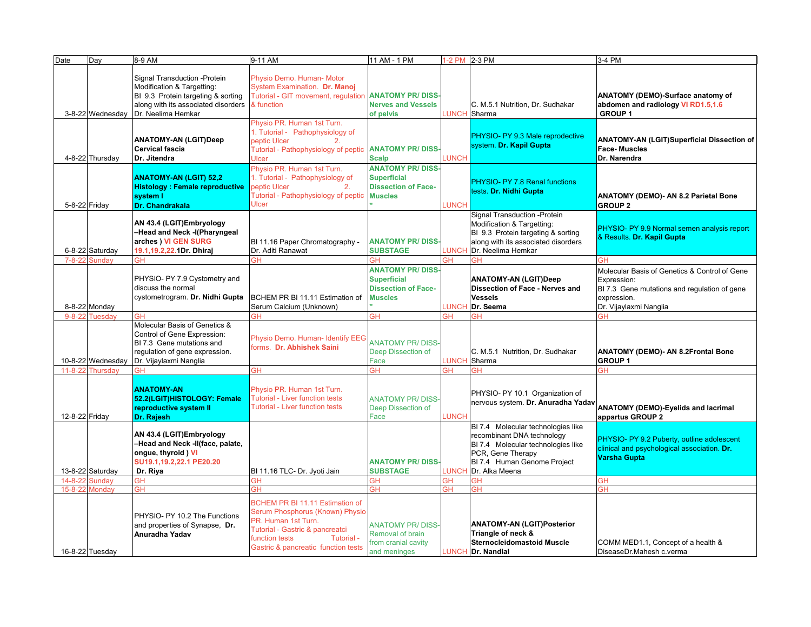| Physio Demo. Human- Motor<br>Signal Transduction - Protein<br>Modification & Targetting:<br>System Examination. Dr. Manoj<br>Tutorial - GIT movement, regulation ANATOMY PR/ DISS<br>ANATOMY (DEMO)-Surface anatomy of<br>BI 9.3 Protein targeting & sorting<br><b>Nerves and Vessels</b><br>abdomen and radiology VI RD1.5,1.6<br>along with its associated disorders<br>& function<br>C. M.5.1 Nutrition, Dr. Sudhakar<br>3-8-22 Wednesday<br>Dr. Neelima Hemkar<br><b>LUNCH</b> Sharma<br><b>GROUP1</b><br>of pelvis<br>Physio PR. Human 1st Turn.<br>1. Tutorial - Pathophysiology of<br>PHYSIO- PY 9.3 Male reprodective<br><b>ANATOMY-AN (LGIT)Deep</b><br><b>ANATOMY-AN (LGIT)Superficial Dissection of</b><br>peptic Ulcer<br>2.<br>system. Dr. Kapil Gupta<br><b>Cervical fascia</b><br><b>Face-Muscles</b><br>Tutorial - Pathophysiology of peptic ANATOMY PR/DISS<br>4-8-22 Thursday<br>LUNCH<br>Dr. Narendra<br>Dr. Jitendra<br>Ulcer<br><b>Scalp</b><br>Physio PR. Human 1st Turn.<br><b>ANATOMY PR/DISS</b><br>1. Tutorial - Pathophysiology of<br><b>ANATOMY-AN (LGIT) 52,2</b><br><b>Superficial</b><br>PHYSIO- PY 7.8 Renal functions<br>peptic Ulcer<br><b>Histology: Female reproductive</b><br><b>Dissection of Face-</b><br>2.<br>tests. Dr. Nidhi Gupta<br>Tutorial - Pathophysiology of peptic<br><b>Muscles</b><br>system I<br>ANATOMY (DEMO)- AN 8.2 Parietal Bone<br>Ulcer<br>5-8-22 Friday<br>Dr. Chandrakala<br>LUNCH<br><b>GROUP 2</b><br>Signal Transduction - Protein<br>AN 43.4 (LGIT)Embryology<br>Modification & Targetting:<br>PHYSIO- PY 9.9 Normal semen analysis report<br>-Head and Neck -I(Pharyngeal<br>BI 9.3 Protein targeting & sorting<br>& Results. Dr. Kapil Gupta<br>arches ) VI GEN SURG<br>BI 11.16 Paper Chromatography -<br>along with its associated disorders<br><b>ANATOMY PR/DISS</b><br>6-8-22 Saturday<br>Dr. Aditi Ranawat<br>Dr. Neelima Hemkar<br>19.1, 19.2, 22. 1Dr. Dhiraj<br><b>SUBSTAGE</b><br><b>LUNCH</b><br><b>GH</b><br>$7 - 8 - 22$<br><b>Sundav</b><br>GH<br>ЭH<br><b>GH</b><br>GH<br>GН<br><b>ANATOMY PR/DISS</b><br>Molecular Basis of Genetics & Control of Gene<br>PHYSIO- PY 7.9 Cystometry and<br><b>Superficial</b><br><b>ANATOMY-AN (LGIT)Deep</b><br>Expression:<br>discuss the normal<br><b>Dissection of Face-</b><br>Dissection of Face - Nerves and<br>BI 7.3 Gene mutations and regulation of gene<br>cystometrogram. Dr. Nidhi Gupta<br>BCHEM PR BI 11.11 Estimation of<br><b>Muscles</b><br><b>Vessels</b><br>expression.<br>8-8-22 Monday<br>Serum Calcium (Unknown)<br><b>LUNCH</b><br>Dr. Vijaylaxmi Nanglia<br>Dr. Seema<br>9-8-22 Tuesday<br>GH<br>ЭH<br>ЭH<br>ЭH<br>ЭH<br>Molecular Basis of Genetics &<br>Control of Gene Expression:<br>Physio Demo. Human- Identify EEG<br><b>ANATOMY PR/DISS</b><br>BI 7.3 Gene mutations and<br>forms. Dr. Abhishek Saini<br>ANATOMY (DEMO)- AN 8.2Frontal Bone<br>regulation of gene expression.<br>Deep Dissection of<br>C. M.5.1 Nutrition, Dr. Sudhakar<br>Dr. Vijaylaxmi Nanglia<br>LUNCH Sharma<br>10-8-22 Wednesday<br>Face<br><b>GROUP1</b><br><b>GH</b><br>11-8-22 Thursdav<br>ЭH<br>ЭH<br>ЭH<br>GН<br>GН<br><b>ANATOMY-AN</b><br>Physio PR. Human 1st Turn.<br>PHYSIO- PY 10.1 Organization of<br>52.2(LGIT)HISTOLOGY: Female<br><b>Tutorial - Liver function tests</b><br><b>ANATOMY PR/DISS-</b><br>nervous system. Dr. Anuradha Yadav<br><b>Tutorial - Liver function tests</b><br><b>ANATOMY (DEMO)-Eyelids and lacrimal</b><br>reproductive system II<br>Deep Dissection of<br><b>LUNCH</b><br>12-8-22 Friday<br>appartus GROUP 2<br>Dr. Rajesh<br>Face<br>BI 7.4 Molecular technologies like<br>AN 43.4 (LGIT)Embryology<br>recombinant DNA technology<br>PHYSIO- PY 9.2 Puberty, outline adolescent<br>-Head and Neck -II(face, palate,<br>BI 7.4 Molecular technologies like<br>clinical and psychological association. Dr.<br>ongue, thyroid) VI<br>PCR, Gene Therapy<br>Varsha Gupta<br>SU19.1,19.2,22.1 PE20.20<br><b>ANATOMY PR/DISS-</b><br>BI 7.4 Human Genome Project<br>13-8-22 Saturday<br>Dr. Riya<br>BI 11.16 TLC- Dr. Jyoti Jain<br><b>SUBSTAGE</b><br><b>LUNCH</b><br>Dr. Alka Meena<br><b>Sundav</b><br>GH<br>GH<br>ЭH<br><b>GH</b><br>GH<br>$14 - 8 - 22$<br>ЭH<br>Monday<br>GH<br><b>GH</b><br><b>GH</b><br>GН<br><b>GH</b><br>GH<br>$15 - 8 - 22$<br>BCHEM PR BI 11.11 Estimation of<br>Serum Phosphorus (Known) Physio<br>PHYSIO- PY 10.2 The Functions<br>PR. Human 1st Turn.<br><b>ANATOMY-AN (LGIT)Posterior</b><br><b>ANATOMY PR/DISS-</b><br>and properties of Synapse, Dr.<br>Tutorial - Gastric & pancreatci<br>Triangle of neck &<br>Anuradha Yadav<br>Removal of brain<br>function tests<br>Tutorial -<br>from cranial cavity<br><b>Sternocleidomastoid Muscle</b><br>COMM MED1.1, Concept of a health &<br>Gastric & pancreatic function tests<br>16-8-22 Tuesday<br>and meninges<br>LUNCH Dr. Nandlal<br>DiseaseDr.Mahesh c.verma | Date | Day | 8-9 AM | 9-11 AM | 11 AM - 1 PM | 1-2 PM 2-3 PM | 3-4 PM |
|---------------------------------------------------------------------------------------------------------------------------------------------------------------------------------------------------------------------------------------------------------------------------------------------------------------------------------------------------------------------------------------------------------------------------------------------------------------------------------------------------------------------------------------------------------------------------------------------------------------------------------------------------------------------------------------------------------------------------------------------------------------------------------------------------------------------------------------------------------------------------------------------------------------------------------------------------------------------------------------------------------------------------------------------------------------------------------------------------------------------------------------------------------------------------------------------------------------------------------------------------------------------------------------------------------------------------------------------------------------------------------------------------------------------------------------------------------------------------------------------------------------------------------------------------------------------------------------------------------------------------------------------------------------------------------------------------------------------------------------------------------------------------------------------------------------------------------------------------------------------------------------------------------------------------------------------------------------------------------------------------------------------------------------------------------------------------------------------------------------------------------------------------------------------------------------------------------------------------------------------------------------------------------------------------------------------------------------------------------------------------------------------------------------------------------------------------------------------------------------------------------------------------------------------------------------------------------------------------------------------------------------------------------------------------------------------------------------------------------------------------------------------------------------------------------------------------------------------------------------------------------------------------------------------------------------------------------------------------------------------------------------------------------------------------------------------------------------------------------------------------------------------------------------------------------------------------------------------------------------------------------------------------------------------------------------------------------------------------------------------------------------------------------------------------------------------------------------------------------------------------------------------------------------------------------------------------------------------------------------------------------------------------------------------------------------------------------------------------------------------------------------------------------------------------------------------------------------------------------------------------------------------------------------------------------------------------------------------------------------------------------------------------------------------------------------------------------------------------------------------------------------------------------------------------------------------------------------------------------------------------------------------------------------------------------------------------------------------------------------------------------------------------------------------------------------------------------------------------------------------------------------------------------------------------------------------------------------------------------------------------------------------------------------------------------------------------------------------------------------------------------------------------------------------------------------------------------------------------------------------------------------------------------------------|------|-----|--------|---------|--------------|---------------|--------|
|                                                                                                                                                                                                                                                                                                                                                                                                                                                                                                                                                                                                                                                                                                                                                                                                                                                                                                                                                                                                                                                                                                                                                                                                                                                                                                                                                                                                                                                                                                                                                                                                                                                                                                                                                                                                                                                                                                                                                                                                                                                                                                                                                                                                                                                                                                                                                                                                                                                                                                                                                                                                                                                                                                                                                                                                                                                                                                                                                                                                                                                                                                                                                                                                                                                                                                                                                                                                                                                                                                                                                                                                                                                                                                                                                                                                                                                                                                                                                                                                                                                                                                                                                                                                                                                                                                                                                                                                                                                                                                                                                                                                                                                                                                                                                                                                                                                                                                                     |      |     |        |         |              |               |        |
|                                                                                                                                                                                                                                                                                                                                                                                                                                                                                                                                                                                                                                                                                                                                                                                                                                                                                                                                                                                                                                                                                                                                                                                                                                                                                                                                                                                                                                                                                                                                                                                                                                                                                                                                                                                                                                                                                                                                                                                                                                                                                                                                                                                                                                                                                                                                                                                                                                                                                                                                                                                                                                                                                                                                                                                                                                                                                                                                                                                                                                                                                                                                                                                                                                                                                                                                                                                                                                                                                                                                                                                                                                                                                                                                                                                                                                                                                                                                                                                                                                                                                                                                                                                                                                                                                                                                                                                                                                                                                                                                                                                                                                                                                                                                                                                                                                                                                                                     |      |     |        |         |              |               |        |
|                                                                                                                                                                                                                                                                                                                                                                                                                                                                                                                                                                                                                                                                                                                                                                                                                                                                                                                                                                                                                                                                                                                                                                                                                                                                                                                                                                                                                                                                                                                                                                                                                                                                                                                                                                                                                                                                                                                                                                                                                                                                                                                                                                                                                                                                                                                                                                                                                                                                                                                                                                                                                                                                                                                                                                                                                                                                                                                                                                                                                                                                                                                                                                                                                                                                                                                                                                                                                                                                                                                                                                                                                                                                                                                                                                                                                                                                                                                                                                                                                                                                                                                                                                                                                                                                                                                                                                                                                                                                                                                                                                                                                                                                                                                                                                                                                                                                                                                     |      |     |        |         |              |               |        |
|                                                                                                                                                                                                                                                                                                                                                                                                                                                                                                                                                                                                                                                                                                                                                                                                                                                                                                                                                                                                                                                                                                                                                                                                                                                                                                                                                                                                                                                                                                                                                                                                                                                                                                                                                                                                                                                                                                                                                                                                                                                                                                                                                                                                                                                                                                                                                                                                                                                                                                                                                                                                                                                                                                                                                                                                                                                                                                                                                                                                                                                                                                                                                                                                                                                                                                                                                                                                                                                                                                                                                                                                                                                                                                                                                                                                                                                                                                                                                                                                                                                                                                                                                                                                                                                                                                                                                                                                                                                                                                                                                                                                                                                                                                                                                                                                                                                                                                                     |      |     |        |         |              |               |        |
|                                                                                                                                                                                                                                                                                                                                                                                                                                                                                                                                                                                                                                                                                                                                                                                                                                                                                                                                                                                                                                                                                                                                                                                                                                                                                                                                                                                                                                                                                                                                                                                                                                                                                                                                                                                                                                                                                                                                                                                                                                                                                                                                                                                                                                                                                                                                                                                                                                                                                                                                                                                                                                                                                                                                                                                                                                                                                                                                                                                                                                                                                                                                                                                                                                                                                                                                                                                                                                                                                                                                                                                                                                                                                                                                                                                                                                                                                                                                                                                                                                                                                                                                                                                                                                                                                                                                                                                                                                                                                                                                                                                                                                                                                                                                                                                                                                                                                                                     |      |     |        |         |              |               |        |
|                                                                                                                                                                                                                                                                                                                                                                                                                                                                                                                                                                                                                                                                                                                                                                                                                                                                                                                                                                                                                                                                                                                                                                                                                                                                                                                                                                                                                                                                                                                                                                                                                                                                                                                                                                                                                                                                                                                                                                                                                                                                                                                                                                                                                                                                                                                                                                                                                                                                                                                                                                                                                                                                                                                                                                                                                                                                                                                                                                                                                                                                                                                                                                                                                                                                                                                                                                                                                                                                                                                                                                                                                                                                                                                                                                                                                                                                                                                                                                                                                                                                                                                                                                                                                                                                                                                                                                                                                                                                                                                                                                                                                                                                                                                                                                                                                                                                                                                     |      |     |        |         |              |               |        |
|                                                                                                                                                                                                                                                                                                                                                                                                                                                                                                                                                                                                                                                                                                                                                                                                                                                                                                                                                                                                                                                                                                                                                                                                                                                                                                                                                                                                                                                                                                                                                                                                                                                                                                                                                                                                                                                                                                                                                                                                                                                                                                                                                                                                                                                                                                                                                                                                                                                                                                                                                                                                                                                                                                                                                                                                                                                                                                                                                                                                                                                                                                                                                                                                                                                                                                                                                                                                                                                                                                                                                                                                                                                                                                                                                                                                                                                                                                                                                                                                                                                                                                                                                                                                                                                                                                                                                                                                                                                                                                                                                                                                                                                                                                                                                                                                                                                                                                                     |      |     |        |         |              |               |        |
|                                                                                                                                                                                                                                                                                                                                                                                                                                                                                                                                                                                                                                                                                                                                                                                                                                                                                                                                                                                                                                                                                                                                                                                                                                                                                                                                                                                                                                                                                                                                                                                                                                                                                                                                                                                                                                                                                                                                                                                                                                                                                                                                                                                                                                                                                                                                                                                                                                                                                                                                                                                                                                                                                                                                                                                                                                                                                                                                                                                                                                                                                                                                                                                                                                                                                                                                                                                                                                                                                                                                                                                                                                                                                                                                                                                                                                                                                                                                                                                                                                                                                                                                                                                                                                                                                                                                                                                                                                                                                                                                                                                                                                                                                                                                                                                                                                                                                                                     |      |     |        |         |              |               |        |
|                                                                                                                                                                                                                                                                                                                                                                                                                                                                                                                                                                                                                                                                                                                                                                                                                                                                                                                                                                                                                                                                                                                                                                                                                                                                                                                                                                                                                                                                                                                                                                                                                                                                                                                                                                                                                                                                                                                                                                                                                                                                                                                                                                                                                                                                                                                                                                                                                                                                                                                                                                                                                                                                                                                                                                                                                                                                                                                                                                                                                                                                                                                                                                                                                                                                                                                                                                                                                                                                                                                                                                                                                                                                                                                                                                                                                                                                                                                                                                                                                                                                                                                                                                                                                                                                                                                                                                                                                                                                                                                                                                                                                                                                                                                                                                                                                                                                                                                     |      |     |        |         |              |               |        |
|                                                                                                                                                                                                                                                                                                                                                                                                                                                                                                                                                                                                                                                                                                                                                                                                                                                                                                                                                                                                                                                                                                                                                                                                                                                                                                                                                                                                                                                                                                                                                                                                                                                                                                                                                                                                                                                                                                                                                                                                                                                                                                                                                                                                                                                                                                                                                                                                                                                                                                                                                                                                                                                                                                                                                                                                                                                                                                                                                                                                                                                                                                                                                                                                                                                                                                                                                                                                                                                                                                                                                                                                                                                                                                                                                                                                                                                                                                                                                                                                                                                                                                                                                                                                                                                                                                                                                                                                                                                                                                                                                                                                                                                                                                                                                                                                                                                                                                                     |      |     |        |         |              |               |        |
|                                                                                                                                                                                                                                                                                                                                                                                                                                                                                                                                                                                                                                                                                                                                                                                                                                                                                                                                                                                                                                                                                                                                                                                                                                                                                                                                                                                                                                                                                                                                                                                                                                                                                                                                                                                                                                                                                                                                                                                                                                                                                                                                                                                                                                                                                                                                                                                                                                                                                                                                                                                                                                                                                                                                                                                                                                                                                                                                                                                                                                                                                                                                                                                                                                                                                                                                                                                                                                                                                                                                                                                                                                                                                                                                                                                                                                                                                                                                                                                                                                                                                                                                                                                                                                                                                                                                                                                                                                                                                                                                                                                                                                                                                                                                                                                                                                                                                                                     |      |     |        |         |              |               |        |
|                                                                                                                                                                                                                                                                                                                                                                                                                                                                                                                                                                                                                                                                                                                                                                                                                                                                                                                                                                                                                                                                                                                                                                                                                                                                                                                                                                                                                                                                                                                                                                                                                                                                                                                                                                                                                                                                                                                                                                                                                                                                                                                                                                                                                                                                                                                                                                                                                                                                                                                                                                                                                                                                                                                                                                                                                                                                                                                                                                                                                                                                                                                                                                                                                                                                                                                                                                                                                                                                                                                                                                                                                                                                                                                                                                                                                                                                                                                                                                                                                                                                                                                                                                                                                                                                                                                                                                                                                                                                                                                                                                                                                                                                                                                                                                                                                                                                                                                     |      |     |        |         |              |               |        |
|                                                                                                                                                                                                                                                                                                                                                                                                                                                                                                                                                                                                                                                                                                                                                                                                                                                                                                                                                                                                                                                                                                                                                                                                                                                                                                                                                                                                                                                                                                                                                                                                                                                                                                                                                                                                                                                                                                                                                                                                                                                                                                                                                                                                                                                                                                                                                                                                                                                                                                                                                                                                                                                                                                                                                                                                                                                                                                                                                                                                                                                                                                                                                                                                                                                                                                                                                                                                                                                                                                                                                                                                                                                                                                                                                                                                                                                                                                                                                                                                                                                                                                                                                                                                                                                                                                                                                                                                                                                                                                                                                                                                                                                                                                                                                                                                                                                                                                                     |      |     |        |         |              |               |        |
|                                                                                                                                                                                                                                                                                                                                                                                                                                                                                                                                                                                                                                                                                                                                                                                                                                                                                                                                                                                                                                                                                                                                                                                                                                                                                                                                                                                                                                                                                                                                                                                                                                                                                                                                                                                                                                                                                                                                                                                                                                                                                                                                                                                                                                                                                                                                                                                                                                                                                                                                                                                                                                                                                                                                                                                                                                                                                                                                                                                                                                                                                                                                                                                                                                                                                                                                                                                                                                                                                                                                                                                                                                                                                                                                                                                                                                                                                                                                                                                                                                                                                                                                                                                                                                                                                                                                                                                                                                                                                                                                                                                                                                                                                                                                                                                                                                                                                                                     |      |     |        |         |              |               |        |
|                                                                                                                                                                                                                                                                                                                                                                                                                                                                                                                                                                                                                                                                                                                                                                                                                                                                                                                                                                                                                                                                                                                                                                                                                                                                                                                                                                                                                                                                                                                                                                                                                                                                                                                                                                                                                                                                                                                                                                                                                                                                                                                                                                                                                                                                                                                                                                                                                                                                                                                                                                                                                                                                                                                                                                                                                                                                                                                                                                                                                                                                                                                                                                                                                                                                                                                                                                                                                                                                                                                                                                                                                                                                                                                                                                                                                                                                                                                                                                                                                                                                                                                                                                                                                                                                                                                                                                                                                                                                                                                                                                                                                                                                                                                                                                                                                                                                                                                     |      |     |        |         |              |               |        |
|                                                                                                                                                                                                                                                                                                                                                                                                                                                                                                                                                                                                                                                                                                                                                                                                                                                                                                                                                                                                                                                                                                                                                                                                                                                                                                                                                                                                                                                                                                                                                                                                                                                                                                                                                                                                                                                                                                                                                                                                                                                                                                                                                                                                                                                                                                                                                                                                                                                                                                                                                                                                                                                                                                                                                                                                                                                                                                                                                                                                                                                                                                                                                                                                                                                                                                                                                                                                                                                                                                                                                                                                                                                                                                                                                                                                                                                                                                                                                                                                                                                                                                                                                                                                                                                                                                                                                                                                                                                                                                                                                                                                                                                                                                                                                                                                                                                                                                                     |      |     |        |         |              |               |        |
|                                                                                                                                                                                                                                                                                                                                                                                                                                                                                                                                                                                                                                                                                                                                                                                                                                                                                                                                                                                                                                                                                                                                                                                                                                                                                                                                                                                                                                                                                                                                                                                                                                                                                                                                                                                                                                                                                                                                                                                                                                                                                                                                                                                                                                                                                                                                                                                                                                                                                                                                                                                                                                                                                                                                                                                                                                                                                                                                                                                                                                                                                                                                                                                                                                                                                                                                                                                                                                                                                                                                                                                                                                                                                                                                                                                                                                                                                                                                                                                                                                                                                                                                                                                                                                                                                                                                                                                                                                                                                                                                                                                                                                                                                                                                                                                                                                                                                                                     |      |     |        |         |              |               |        |
|                                                                                                                                                                                                                                                                                                                                                                                                                                                                                                                                                                                                                                                                                                                                                                                                                                                                                                                                                                                                                                                                                                                                                                                                                                                                                                                                                                                                                                                                                                                                                                                                                                                                                                                                                                                                                                                                                                                                                                                                                                                                                                                                                                                                                                                                                                                                                                                                                                                                                                                                                                                                                                                                                                                                                                                                                                                                                                                                                                                                                                                                                                                                                                                                                                                                                                                                                                                                                                                                                                                                                                                                                                                                                                                                                                                                                                                                                                                                                                                                                                                                                                                                                                                                                                                                                                                                                                                                                                                                                                                                                                                                                                                                                                                                                                                                                                                                                                                     |      |     |        |         |              |               |        |
|                                                                                                                                                                                                                                                                                                                                                                                                                                                                                                                                                                                                                                                                                                                                                                                                                                                                                                                                                                                                                                                                                                                                                                                                                                                                                                                                                                                                                                                                                                                                                                                                                                                                                                                                                                                                                                                                                                                                                                                                                                                                                                                                                                                                                                                                                                                                                                                                                                                                                                                                                                                                                                                                                                                                                                                                                                                                                                                                                                                                                                                                                                                                                                                                                                                                                                                                                                                                                                                                                                                                                                                                                                                                                                                                                                                                                                                                                                                                                                                                                                                                                                                                                                                                                                                                                                                                                                                                                                                                                                                                                                                                                                                                                                                                                                                                                                                                                                                     |      |     |        |         |              |               |        |
|                                                                                                                                                                                                                                                                                                                                                                                                                                                                                                                                                                                                                                                                                                                                                                                                                                                                                                                                                                                                                                                                                                                                                                                                                                                                                                                                                                                                                                                                                                                                                                                                                                                                                                                                                                                                                                                                                                                                                                                                                                                                                                                                                                                                                                                                                                                                                                                                                                                                                                                                                                                                                                                                                                                                                                                                                                                                                                                                                                                                                                                                                                                                                                                                                                                                                                                                                                                                                                                                                                                                                                                                                                                                                                                                                                                                                                                                                                                                                                                                                                                                                                                                                                                                                                                                                                                                                                                                                                                                                                                                                                                                                                                                                                                                                                                                                                                                                                                     |      |     |        |         |              |               |        |
|                                                                                                                                                                                                                                                                                                                                                                                                                                                                                                                                                                                                                                                                                                                                                                                                                                                                                                                                                                                                                                                                                                                                                                                                                                                                                                                                                                                                                                                                                                                                                                                                                                                                                                                                                                                                                                                                                                                                                                                                                                                                                                                                                                                                                                                                                                                                                                                                                                                                                                                                                                                                                                                                                                                                                                                                                                                                                                                                                                                                                                                                                                                                                                                                                                                                                                                                                                                                                                                                                                                                                                                                                                                                                                                                                                                                                                                                                                                                                                                                                                                                                                                                                                                                                                                                                                                                                                                                                                                                                                                                                                                                                                                                                                                                                                                                                                                                                                                     |      |     |        |         |              |               |        |
|                                                                                                                                                                                                                                                                                                                                                                                                                                                                                                                                                                                                                                                                                                                                                                                                                                                                                                                                                                                                                                                                                                                                                                                                                                                                                                                                                                                                                                                                                                                                                                                                                                                                                                                                                                                                                                                                                                                                                                                                                                                                                                                                                                                                                                                                                                                                                                                                                                                                                                                                                                                                                                                                                                                                                                                                                                                                                                                                                                                                                                                                                                                                                                                                                                                                                                                                                                                                                                                                                                                                                                                                                                                                                                                                                                                                                                                                                                                                                                                                                                                                                                                                                                                                                                                                                                                                                                                                                                                                                                                                                                                                                                                                                                                                                                                                                                                                                                                     |      |     |        |         |              |               |        |
|                                                                                                                                                                                                                                                                                                                                                                                                                                                                                                                                                                                                                                                                                                                                                                                                                                                                                                                                                                                                                                                                                                                                                                                                                                                                                                                                                                                                                                                                                                                                                                                                                                                                                                                                                                                                                                                                                                                                                                                                                                                                                                                                                                                                                                                                                                                                                                                                                                                                                                                                                                                                                                                                                                                                                                                                                                                                                                                                                                                                                                                                                                                                                                                                                                                                                                                                                                                                                                                                                                                                                                                                                                                                                                                                                                                                                                                                                                                                                                                                                                                                                                                                                                                                                                                                                                                                                                                                                                                                                                                                                                                                                                                                                                                                                                                                                                                                                                                     |      |     |        |         |              |               |        |
|                                                                                                                                                                                                                                                                                                                                                                                                                                                                                                                                                                                                                                                                                                                                                                                                                                                                                                                                                                                                                                                                                                                                                                                                                                                                                                                                                                                                                                                                                                                                                                                                                                                                                                                                                                                                                                                                                                                                                                                                                                                                                                                                                                                                                                                                                                                                                                                                                                                                                                                                                                                                                                                                                                                                                                                                                                                                                                                                                                                                                                                                                                                                                                                                                                                                                                                                                                                                                                                                                                                                                                                                                                                                                                                                                                                                                                                                                                                                                                                                                                                                                                                                                                                                                                                                                                                                                                                                                                                                                                                                                                                                                                                                                                                                                                                                                                                                                                                     |      |     |        |         |              |               |        |
|                                                                                                                                                                                                                                                                                                                                                                                                                                                                                                                                                                                                                                                                                                                                                                                                                                                                                                                                                                                                                                                                                                                                                                                                                                                                                                                                                                                                                                                                                                                                                                                                                                                                                                                                                                                                                                                                                                                                                                                                                                                                                                                                                                                                                                                                                                                                                                                                                                                                                                                                                                                                                                                                                                                                                                                                                                                                                                                                                                                                                                                                                                                                                                                                                                                                                                                                                                                                                                                                                                                                                                                                                                                                                                                                                                                                                                                                                                                                                                                                                                                                                                                                                                                                                                                                                                                                                                                                                                                                                                                                                                                                                                                                                                                                                                                                                                                                                                                     |      |     |        |         |              |               |        |
|                                                                                                                                                                                                                                                                                                                                                                                                                                                                                                                                                                                                                                                                                                                                                                                                                                                                                                                                                                                                                                                                                                                                                                                                                                                                                                                                                                                                                                                                                                                                                                                                                                                                                                                                                                                                                                                                                                                                                                                                                                                                                                                                                                                                                                                                                                                                                                                                                                                                                                                                                                                                                                                                                                                                                                                                                                                                                                                                                                                                                                                                                                                                                                                                                                                                                                                                                                                                                                                                                                                                                                                                                                                                                                                                                                                                                                                                                                                                                                                                                                                                                                                                                                                                                                                                                                                                                                                                                                                                                                                                                                                                                                                                                                                                                                                                                                                                                                                     |      |     |        |         |              |               |        |
|                                                                                                                                                                                                                                                                                                                                                                                                                                                                                                                                                                                                                                                                                                                                                                                                                                                                                                                                                                                                                                                                                                                                                                                                                                                                                                                                                                                                                                                                                                                                                                                                                                                                                                                                                                                                                                                                                                                                                                                                                                                                                                                                                                                                                                                                                                                                                                                                                                                                                                                                                                                                                                                                                                                                                                                                                                                                                                                                                                                                                                                                                                                                                                                                                                                                                                                                                                                                                                                                                                                                                                                                                                                                                                                                                                                                                                                                                                                                                                                                                                                                                                                                                                                                                                                                                                                                                                                                                                                                                                                                                                                                                                                                                                                                                                                                                                                                                                                     |      |     |        |         |              |               |        |
|                                                                                                                                                                                                                                                                                                                                                                                                                                                                                                                                                                                                                                                                                                                                                                                                                                                                                                                                                                                                                                                                                                                                                                                                                                                                                                                                                                                                                                                                                                                                                                                                                                                                                                                                                                                                                                                                                                                                                                                                                                                                                                                                                                                                                                                                                                                                                                                                                                                                                                                                                                                                                                                                                                                                                                                                                                                                                                                                                                                                                                                                                                                                                                                                                                                                                                                                                                                                                                                                                                                                                                                                                                                                                                                                                                                                                                                                                                                                                                                                                                                                                                                                                                                                                                                                                                                                                                                                                                                                                                                                                                                                                                                                                                                                                                                                                                                                                                                     |      |     |        |         |              |               |        |
|                                                                                                                                                                                                                                                                                                                                                                                                                                                                                                                                                                                                                                                                                                                                                                                                                                                                                                                                                                                                                                                                                                                                                                                                                                                                                                                                                                                                                                                                                                                                                                                                                                                                                                                                                                                                                                                                                                                                                                                                                                                                                                                                                                                                                                                                                                                                                                                                                                                                                                                                                                                                                                                                                                                                                                                                                                                                                                                                                                                                                                                                                                                                                                                                                                                                                                                                                                                                                                                                                                                                                                                                                                                                                                                                                                                                                                                                                                                                                                                                                                                                                                                                                                                                                                                                                                                                                                                                                                                                                                                                                                                                                                                                                                                                                                                                                                                                                                                     |      |     |        |         |              |               |        |
|                                                                                                                                                                                                                                                                                                                                                                                                                                                                                                                                                                                                                                                                                                                                                                                                                                                                                                                                                                                                                                                                                                                                                                                                                                                                                                                                                                                                                                                                                                                                                                                                                                                                                                                                                                                                                                                                                                                                                                                                                                                                                                                                                                                                                                                                                                                                                                                                                                                                                                                                                                                                                                                                                                                                                                                                                                                                                                                                                                                                                                                                                                                                                                                                                                                                                                                                                                                                                                                                                                                                                                                                                                                                                                                                                                                                                                                                                                                                                                                                                                                                                                                                                                                                                                                                                                                                                                                                                                                                                                                                                                                                                                                                                                                                                                                                                                                                                                                     |      |     |        |         |              |               |        |
|                                                                                                                                                                                                                                                                                                                                                                                                                                                                                                                                                                                                                                                                                                                                                                                                                                                                                                                                                                                                                                                                                                                                                                                                                                                                                                                                                                                                                                                                                                                                                                                                                                                                                                                                                                                                                                                                                                                                                                                                                                                                                                                                                                                                                                                                                                                                                                                                                                                                                                                                                                                                                                                                                                                                                                                                                                                                                                                                                                                                                                                                                                                                                                                                                                                                                                                                                                                                                                                                                                                                                                                                                                                                                                                                                                                                                                                                                                                                                                                                                                                                                                                                                                                                                                                                                                                                                                                                                                                                                                                                                                                                                                                                                                                                                                                                                                                                                                                     |      |     |        |         |              |               |        |
|                                                                                                                                                                                                                                                                                                                                                                                                                                                                                                                                                                                                                                                                                                                                                                                                                                                                                                                                                                                                                                                                                                                                                                                                                                                                                                                                                                                                                                                                                                                                                                                                                                                                                                                                                                                                                                                                                                                                                                                                                                                                                                                                                                                                                                                                                                                                                                                                                                                                                                                                                                                                                                                                                                                                                                                                                                                                                                                                                                                                                                                                                                                                                                                                                                                                                                                                                                                                                                                                                                                                                                                                                                                                                                                                                                                                                                                                                                                                                                                                                                                                                                                                                                                                                                                                                                                                                                                                                                                                                                                                                                                                                                                                                                                                                                                                                                                                                                                     |      |     |        |         |              |               |        |
|                                                                                                                                                                                                                                                                                                                                                                                                                                                                                                                                                                                                                                                                                                                                                                                                                                                                                                                                                                                                                                                                                                                                                                                                                                                                                                                                                                                                                                                                                                                                                                                                                                                                                                                                                                                                                                                                                                                                                                                                                                                                                                                                                                                                                                                                                                                                                                                                                                                                                                                                                                                                                                                                                                                                                                                                                                                                                                                                                                                                                                                                                                                                                                                                                                                                                                                                                                                                                                                                                                                                                                                                                                                                                                                                                                                                                                                                                                                                                                                                                                                                                                                                                                                                                                                                                                                                                                                                                                                                                                                                                                                                                                                                                                                                                                                                                                                                                                                     |      |     |        |         |              |               |        |
|                                                                                                                                                                                                                                                                                                                                                                                                                                                                                                                                                                                                                                                                                                                                                                                                                                                                                                                                                                                                                                                                                                                                                                                                                                                                                                                                                                                                                                                                                                                                                                                                                                                                                                                                                                                                                                                                                                                                                                                                                                                                                                                                                                                                                                                                                                                                                                                                                                                                                                                                                                                                                                                                                                                                                                                                                                                                                                                                                                                                                                                                                                                                                                                                                                                                                                                                                                                                                                                                                                                                                                                                                                                                                                                                                                                                                                                                                                                                                                                                                                                                                                                                                                                                                                                                                                                                                                                                                                                                                                                                                                                                                                                                                                                                                                                                                                                                                                                     |      |     |        |         |              |               |        |
|                                                                                                                                                                                                                                                                                                                                                                                                                                                                                                                                                                                                                                                                                                                                                                                                                                                                                                                                                                                                                                                                                                                                                                                                                                                                                                                                                                                                                                                                                                                                                                                                                                                                                                                                                                                                                                                                                                                                                                                                                                                                                                                                                                                                                                                                                                                                                                                                                                                                                                                                                                                                                                                                                                                                                                                                                                                                                                                                                                                                                                                                                                                                                                                                                                                                                                                                                                                                                                                                                                                                                                                                                                                                                                                                                                                                                                                                                                                                                                                                                                                                                                                                                                                                                                                                                                                                                                                                                                                                                                                                                                                                                                                                                                                                                                                                                                                                                                                     |      |     |        |         |              |               |        |
|                                                                                                                                                                                                                                                                                                                                                                                                                                                                                                                                                                                                                                                                                                                                                                                                                                                                                                                                                                                                                                                                                                                                                                                                                                                                                                                                                                                                                                                                                                                                                                                                                                                                                                                                                                                                                                                                                                                                                                                                                                                                                                                                                                                                                                                                                                                                                                                                                                                                                                                                                                                                                                                                                                                                                                                                                                                                                                                                                                                                                                                                                                                                                                                                                                                                                                                                                                                                                                                                                                                                                                                                                                                                                                                                                                                                                                                                                                                                                                                                                                                                                                                                                                                                                                                                                                                                                                                                                                                                                                                                                                                                                                                                                                                                                                                                                                                                                                                     |      |     |        |         |              |               |        |
|                                                                                                                                                                                                                                                                                                                                                                                                                                                                                                                                                                                                                                                                                                                                                                                                                                                                                                                                                                                                                                                                                                                                                                                                                                                                                                                                                                                                                                                                                                                                                                                                                                                                                                                                                                                                                                                                                                                                                                                                                                                                                                                                                                                                                                                                                                                                                                                                                                                                                                                                                                                                                                                                                                                                                                                                                                                                                                                                                                                                                                                                                                                                                                                                                                                                                                                                                                                                                                                                                                                                                                                                                                                                                                                                                                                                                                                                                                                                                                                                                                                                                                                                                                                                                                                                                                                                                                                                                                                                                                                                                                                                                                                                                                                                                                                                                                                                                                                     |      |     |        |         |              |               |        |
|                                                                                                                                                                                                                                                                                                                                                                                                                                                                                                                                                                                                                                                                                                                                                                                                                                                                                                                                                                                                                                                                                                                                                                                                                                                                                                                                                                                                                                                                                                                                                                                                                                                                                                                                                                                                                                                                                                                                                                                                                                                                                                                                                                                                                                                                                                                                                                                                                                                                                                                                                                                                                                                                                                                                                                                                                                                                                                                                                                                                                                                                                                                                                                                                                                                                                                                                                                                                                                                                                                                                                                                                                                                                                                                                                                                                                                                                                                                                                                                                                                                                                                                                                                                                                                                                                                                                                                                                                                                                                                                                                                                                                                                                                                                                                                                                                                                                                                                     |      |     |        |         |              |               |        |
|                                                                                                                                                                                                                                                                                                                                                                                                                                                                                                                                                                                                                                                                                                                                                                                                                                                                                                                                                                                                                                                                                                                                                                                                                                                                                                                                                                                                                                                                                                                                                                                                                                                                                                                                                                                                                                                                                                                                                                                                                                                                                                                                                                                                                                                                                                                                                                                                                                                                                                                                                                                                                                                                                                                                                                                                                                                                                                                                                                                                                                                                                                                                                                                                                                                                                                                                                                                                                                                                                                                                                                                                                                                                                                                                                                                                                                                                                                                                                                                                                                                                                                                                                                                                                                                                                                                                                                                                                                                                                                                                                                                                                                                                                                                                                                                                                                                                                                                     |      |     |        |         |              |               |        |
|                                                                                                                                                                                                                                                                                                                                                                                                                                                                                                                                                                                                                                                                                                                                                                                                                                                                                                                                                                                                                                                                                                                                                                                                                                                                                                                                                                                                                                                                                                                                                                                                                                                                                                                                                                                                                                                                                                                                                                                                                                                                                                                                                                                                                                                                                                                                                                                                                                                                                                                                                                                                                                                                                                                                                                                                                                                                                                                                                                                                                                                                                                                                                                                                                                                                                                                                                                                                                                                                                                                                                                                                                                                                                                                                                                                                                                                                                                                                                                                                                                                                                                                                                                                                                                                                                                                                                                                                                                                                                                                                                                                                                                                                                                                                                                                                                                                                                                                     |      |     |        |         |              |               |        |
|                                                                                                                                                                                                                                                                                                                                                                                                                                                                                                                                                                                                                                                                                                                                                                                                                                                                                                                                                                                                                                                                                                                                                                                                                                                                                                                                                                                                                                                                                                                                                                                                                                                                                                                                                                                                                                                                                                                                                                                                                                                                                                                                                                                                                                                                                                                                                                                                                                                                                                                                                                                                                                                                                                                                                                                                                                                                                                                                                                                                                                                                                                                                                                                                                                                                                                                                                                                                                                                                                                                                                                                                                                                                                                                                                                                                                                                                                                                                                                                                                                                                                                                                                                                                                                                                                                                                                                                                                                                                                                                                                                                                                                                                                                                                                                                                                                                                                                                     |      |     |        |         |              |               |        |
|                                                                                                                                                                                                                                                                                                                                                                                                                                                                                                                                                                                                                                                                                                                                                                                                                                                                                                                                                                                                                                                                                                                                                                                                                                                                                                                                                                                                                                                                                                                                                                                                                                                                                                                                                                                                                                                                                                                                                                                                                                                                                                                                                                                                                                                                                                                                                                                                                                                                                                                                                                                                                                                                                                                                                                                                                                                                                                                                                                                                                                                                                                                                                                                                                                                                                                                                                                                                                                                                                                                                                                                                                                                                                                                                                                                                                                                                                                                                                                                                                                                                                                                                                                                                                                                                                                                                                                                                                                                                                                                                                                                                                                                                                                                                                                                                                                                                                                                     |      |     |        |         |              |               |        |
|                                                                                                                                                                                                                                                                                                                                                                                                                                                                                                                                                                                                                                                                                                                                                                                                                                                                                                                                                                                                                                                                                                                                                                                                                                                                                                                                                                                                                                                                                                                                                                                                                                                                                                                                                                                                                                                                                                                                                                                                                                                                                                                                                                                                                                                                                                                                                                                                                                                                                                                                                                                                                                                                                                                                                                                                                                                                                                                                                                                                                                                                                                                                                                                                                                                                                                                                                                                                                                                                                                                                                                                                                                                                                                                                                                                                                                                                                                                                                                                                                                                                                                                                                                                                                                                                                                                                                                                                                                                                                                                                                                                                                                                                                                                                                                                                                                                                                                                     |      |     |        |         |              |               |        |
|                                                                                                                                                                                                                                                                                                                                                                                                                                                                                                                                                                                                                                                                                                                                                                                                                                                                                                                                                                                                                                                                                                                                                                                                                                                                                                                                                                                                                                                                                                                                                                                                                                                                                                                                                                                                                                                                                                                                                                                                                                                                                                                                                                                                                                                                                                                                                                                                                                                                                                                                                                                                                                                                                                                                                                                                                                                                                                                                                                                                                                                                                                                                                                                                                                                                                                                                                                                                                                                                                                                                                                                                                                                                                                                                                                                                                                                                                                                                                                                                                                                                                                                                                                                                                                                                                                                                                                                                                                                                                                                                                                                                                                                                                                                                                                                                                                                                                                                     |      |     |        |         |              |               |        |
|                                                                                                                                                                                                                                                                                                                                                                                                                                                                                                                                                                                                                                                                                                                                                                                                                                                                                                                                                                                                                                                                                                                                                                                                                                                                                                                                                                                                                                                                                                                                                                                                                                                                                                                                                                                                                                                                                                                                                                                                                                                                                                                                                                                                                                                                                                                                                                                                                                                                                                                                                                                                                                                                                                                                                                                                                                                                                                                                                                                                                                                                                                                                                                                                                                                                                                                                                                                                                                                                                                                                                                                                                                                                                                                                                                                                                                                                                                                                                                                                                                                                                                                                                                                                                                                                                                                                                                                                                                                                                                                                                                                                                                                                                                                                                                                                                                                                                                                     |      |     |        |         |              |               |        |
|                                                                                                                                                                                                                                                                                                                                                                                                                                                                                                                                                                                                                                                                                                                                                                                                                                                                                                                                                                                                                                                                                                                                                                                                                                                                                                                                                                                                                                                                                                                                                                                                                                                                                                                                                                                                                                                                                                                                                                                                                                                                                                                                                                                                                                                                                                                                                                                                                                                                                                                                                                                                                                                                                                                                                                                                                                                                                                                                                                                                                                                                                                                                                                                                                                                                                                                                                                                                                                                                                                                                                                                                                                                                                                                                                                                                                                                                                                                                                                                                                                                                                                                                                                                                                                                                                                                                                                                                                                                                                                                                                                                                                                                                                                                                                                                                                                                                                                                     |      |     |        |         |              |               |        |
|                                                                                                                                                                                                                                                                                                                                                                                                                                                                                                                                                                                                                                                                                                                                                                                                                                                                                                                                                                                                                                                                                                                                                                                                                                                                                                                                                                                                                                                                                                                                                                                                                                                                                                                                                                                                                                                                                                                                                                                                                                                                                                                                                                                                                                                                                                                                                                                                                                                                                                                                                                                                                                                                                                                                                                                                                                                                                                                                                                                                                                                                                                                                                                                                                                                                                                                                                                                                                                                                                                                                                                                                                                                                                                                                                                                                                                                                                                                                                                                                                                                                                                                                                                                                                                                                                                                                                                                                                                                                                                                                                                                                                                                                                                                                                                                                                                                                                                                     |      |     |        |         |              |               |        |
|                                                                                                                                                                                                                                                                                                                                                                                                                                                                                                                                                                                                                                                                                                                                                                                                                                                                                                                                                                                                                                                                                                                                                                                                                                                                                                                                                                                                                                                                                                                                                                                                                                                                                                                                                                                                                                                                                                                                                                                                                                                                                                                                                                                                                                                                                                                                                                                                                                                                                                                                                                                                                                                                                                                                                                                                                                                                                                                                                                                                                                                                                                                                                                                                                                                                                                                                                                                                                                                                                                                                                                                                                                                                                                                                                                                                                                                                                                                                                                                                                                                                                                                                                                                                                                                                                                                                                                                                                                                                                                                                                                                                                                                                                                                                                                                                                                                                                                                     |      |     |        |         |              |               |        |
|                                                                                                                                                                                                                                                                                                                                                                                                                                                                                                                                                                                                                                                                                                                                                                                                                                                                                                                                                                                                                                                                                                                                                                                                                                                                                                                                                                                                                                                                                                                                                                                                                                                                                                                                                                                                                                                                                                                                                                                                                                                                                                                                                                                                                                                                                                                                                                                                                                                                                                                                                                                                                                                                                                                                                                                                                                                                                                                                                                                                                                                                                                                                                                                                                                                                                                                                                                                                                                                                                                                                                                                                                                                                                                                                                                                                                                                                                                                                                                                                                                                                                                                                                                                                                                                                                                                                                                                                                                                                                                                                                                                                                                                                                                                                                                                                                                                                                                                     |      |     |        |         |              |               |        |
|                                                                                                                                                                                                                                                                                                                                                                                                                                                                                                                                                                                                                                                                                                                                                                                                                                                                                                                                                                                                                                                                                                                                                                                                                                                                                                                                                                                                                                                                                                                                                                                                                                                                                                                                                                                                                                                                                                                                                                                                                                                                                                                                                                                                                                                                                                                                                                                                                                                                                                                                                                                                                                                                                                                                                                                                                                                                                                                                                                                                                                                                                                                                                                                                                                                                                                                                                                                                                                                                                                                                                                                                                                                                                                                                                                                                                                                                                                                                                                                                                                                                                                                                                                                                                                                                                                                                                                                                                                                                                                                                                                                                                                                                                                                                                                                                                                                                                                                     |      |     |        |         |              |               |        |
|                                                                                                                                                                                                                                                                                                                                                                                                                                                                                                                                                                                                                                                                                                                                                                                                                                                                                                                                                                                                                                                                                                                                                                                                                                                                                                                                                                                                                                                                                                                                                                                                                                                                                                                                                                                                                                                                                                                                                                                                                                                                                                                                                                                                                                                                                                                                                                                                                                                                                                                                                                                                                                                                                                                                                                                                                                                                                                                                                                                                                                                                                                                                                                                                                                                                                                                                                                                                                                                                                                                                                                                                                                                                                                                                                                                                                                                                                                                                                                                                                                                                                                                                                                                                                                                                                                                                                                                                                                                                                                                                                                                                                                                                                                                                                                                                                                                                                                                     |      |     |        |         |              |               |        |
|                                                                                                                                                                                                                                                                                                                                                                                                                                                                                                                                                                                                                                                                                                                                                                                                                                                                                                                                                                                                                                                                                                                                                                                                                                                                                                                                                                                                                                                                                                                                                                                                                                                                                                                                                                                                                                                                                                                                                                                                                                                                                                                                                                                                                                                                                                                                                                                                                                                                                                                                                                                                                                                                                                                                                                                                                                                                                                                                                                                                                                                                                                                                                                                                                                                                                                                                                                                                                                                                                                                                                                                                                                                                                                                                                                                                                                                                                                                                                                                                                                                                                                                                                                                                                                                                                                                                                                                                                                                                                                                                                                                                                                                                                                                                                                                                                                                                                                                     |      |     |        |         |              |               |        |
|                                                                                                                                                                                                                                                                                                                                                                                                                                                                                                                                                                                                                                                                                                                                                                                                                                                                                                                                                                                                                                                                                                                                                                                                                                                                                                                                                                                                                                                                                                                                                                                                                                                                                                                                                                                                                                                                                                                                                                                                                                                                                                                                                                                                                                                                                                                                                                                                                                                                                                                                                                                                                                                                                                                                                                                                                                                                                                                                                                                                                                                                                                                                                                                                                                                                                                                                                                                                                                                                                                                                                                                                                                                                                                                                                                                                                                                                                                                                                                                                                                                                                                                                                                                                                                                                                                                                                                                                                                                                                                                                                                                                                                                                                                                                                                                                                                                                                                                     |      |     |        |         |              |               |        |
|                                                                                                                                                                                                                                                                                                                                                                                                                                                                                                                                                                                                                                                                                                                                                                                                                                                                                                                                                                                                                                                                                                                                                                                                                                                                                                                                                                                                                                                                                                                                                                                                                                                                                                                                                                                                                                                                                                                                                                                                                                                                                                                                                                                                                                                                                                                                                                                                                                                                                                                                                                                                                                                                                                                                                                                                                                                                                                                                                                                                                                                                                                                                                                                                                                                                                                                                                                                                                                                                                                                                                                                                                                                                                                                                                                                                                                                                                                                                                                                                                                                                                                                                                                                                                                                                                                                                                                                                                                                                                                                                                                                                                                                                                                                                                                                                                                                                                                                     |      |     |        |         |              |               |        |
|                                                                                                                                                                                                                                                                                                                                                                                                                                                                                                                                                                                                                                                                                                                                                                                                                                                                                                                                                                                                                                                                                                                                                                                                                                                                                                                                                                                                                                                                                                                                                                                                                                                                                                                                                                                                                                                                                                                                                                                                                                                                                                                                                                                                                                                                                                                                                                                                                                                                                                                                                                                                                                                                                                                                                                                                                                                                                                                                                                                                                                                                                                                                                                                                                                                                                                                                                                                                                                                                                                                                                                                                                                                                                                                                                                                                                                                                                                                                                                                                                                                                                                                                                                                                                                                                                                                                                                                                                                                                                                                                                                                                                                                                                                                                                                                                                                                                                                                     |      |     |        |         |              |               |        |
|                                                                                                                                                                                                                                                                                                                                                                                                                                                                                                                                                                                                                                                                                                                                                                                                                                                                                                                                                                                                                                                                                                                                                                                                                                                                                                                                                                                                                                                                                                                                                                                                                                                                                                                                                                                                                                                                                                                                                                                                                                                                                                                                                                                                                                                                                                                                                                                                                                                                                                                                                                                                                                                                                                                                                                                                                                                                                                                                                                                                                                                                                                                                                                                                                                                                                                                                                                                                                                                                                                                                                                                                                                                                                                                                                                                                                                                                                                                                                                                                                                                                                                                                                                                                                                                                                                                                                                                                                                                                                                                                                                                                                                                                                                                                                                                                                                                                                                                     |      |     |        |         |              |               |        |
|                                                                                                                                                                                                                                                                                                                                                                                                                                                                                                                                                                                                                                                                                                                                                                                                                                                                                                                                                                                                                                                                                                                                                                                                                                                                                                                                                                                                                                                                                                                                                                                                                                                                                                                                                                                                                                                                                                                                                                                                                                                                                                                                                                                                                                                                                                                                                                                                                                                                                                                                                                                                                                                                                                                                                                                                                                                                                                                                                                                                                                                                                                                                                                                                                                                                                                                                                                                                                                                                                                                                                                                                                                                                                                                                                                                                                                                                                                                                                                                                                                                                                                                                                                                                                                                                                                                                                                                                                                                                                                                                                                                                                                                                                                                                                                                                                                                                                                                     |      |     |        |         |              |               |        |
|                                                                                                                                                                                                                                                                                                                                                                                                                                                                                                                                                                                                                                                                                                                                                                                                                                                                                                                                                                                                                                                                                                                                                                                                                                                                                                                                                                                                                                                                                                                                                                                                                                                                                                                                                                                                                                                                                                                                                                                                                                                                                                                                                                                                                                                                                                                                                                                                                                                                                                                                                                                                                                                                                                                                                                                                                                                                                                                                                                                                                                                                                                                                                                                                                                                                                                                                                                                                                                                                                                                                                                                                                                                                                                                                                                                                                                                                                                                                                                                                                                                                                                                                                                                                                                                                                                                                                                                                                                                                                                                                                                                                                                                                                                                                                                                                                                                                                                                     |      |     |        |         |              |               |        |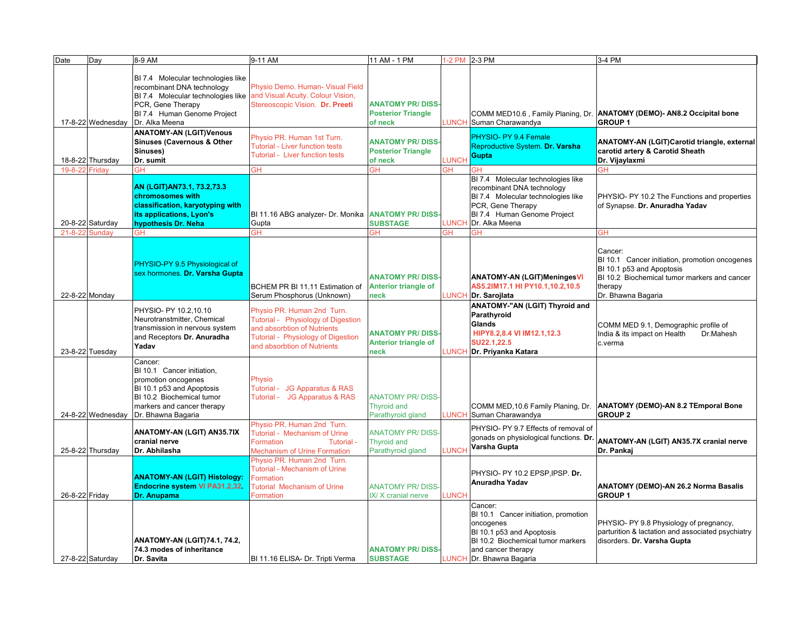| Date           | Day               | 8-9 AM                                                               | 9-11 AM                                                           | 11 AM - 1 PM                | 1-2 PM 2-3 PM |                                        | 3-4 PM                                                                 |
|----------------|-------------------|----------------------------------------------------------------------|-------------------------------------------------------------------|-----------------------------|---------------|----------------------------------------|------------------------------------------------------------------------|
|                |                   |                                                                      |                                                                   |                             |               |                                        |                                                                        |
|                |                   | BI 7.4 Molecular technologies like                                   |                                                                   |                             |               |                                        |                                                                        |
|                |                   | recombinant DNA technology                                           | Physio Demo. Human- Visual Field                                  |                             |               |                                        |                                                                        |
|                |                   | BI 7.4 Molecular technologies like and Visual Acuity. Colour Vision, |                                                                   |                             |               |                                        |                                                                        |
|                |                   | PCR, Gene Therapy                                                    | Stereoscopic Vision. Dr. Preeti                                   | <b>ANATOMY PR/DISS-</b>     |               |                                        |                                                                        |
|                |                   | BI 7.4 Human Genome Project                                          |                                                                   | <b>Posterior Triangle</b>   |               |                                        | COMM MED10.6, Family Planing, Dr. ANATOMY (DEMO)- AN8.2 Occipital bone |
|                | 17-8-22 Wednesday | Dr. Alka Meena                                                       |                                                                   | of neck                     | <b>LUNCH</b>  | Suman Charawandya                      | <b>GROUP1</b>                                                          |
|                |                   | <b>ANATOMY-AN (LGIT)Venous</b>                                       |                                                                   |                             |               |                                        |                                                                        |
|                |                   | <b>Sinuses (Cavernous &amp; Other</b>                                | Physio PR. Human 1st Turn.                                        | <b>ANATOMY PR/DISS-</b>     |               | PHYSIO- PY 9.4 Female                  | ANATOMY-AN (LGIT)Carotid triangle, external                            |
|                |                   | Sinuses)                                                             | <b>Tutorial - Liver function tests</b>                            | <b>Posterior Triangle</b>   |               | Reproductive System. Dr. Varsha        | carotid artery & Carotid Sheath                                        |
|                | 18-8-22 Thursday  | Dr. sumit                                                            | Tutorial - Liver function tests                                   | of neck                     | <b>LUNCH</b>  | Gupta                                  | Dr. Vijaylaxmi                                                         |
| 19-8-22 Friday |                   | GH                                                                   | GH                                                                | ЭH                          | ЭH            | GН                                     |                                                                        |
|                |                   |                                                                      |                                                                   |                             |               | BI 7.4 Molecular technologies like     |                                                                        |
|                |                   | AN (LGIT) AN73.1, 73.2, 73.3                                         |                                                                   |                             |               | recombinant DNA technology             |                                                                        |
|                |                   | chromosomes with                                                     |                                                                   |                             |               | BI 7.4 Molecular technologies like     | PHYSIO- PY 10.2 The Functions and properties                           |
|                |                   | classification, karyotyping with                                     |                                                                   |                             |               | PCR, Gene Therapy                      | of Synapse. Dr. Anuradha Yadav                                         |
|                |                   | its applications, Lyon's                                             | BI 11.16 ABG analyzer- Dr. Monika ANATOMY PR/DISS-                |                             |               | BI 7.4 Human Genome Project            |                                                                        |
|                | 20-8-22 Saturday  | hypothesis Dr. Neha                                                  | Gupta                                                             | <b>SUBSTAGE</b>             | LUNCH         | Dr. Alka Meena                         |                                                                        |
| $21 - 8 - 2$   | Sundav            | GH                                                                   | GН                                                                | <b>GH</b>                   | ЗH            | ЭH                                     | GΗ                                                                     |
|                |                   |                                                                      |                                                                   |                             |               |                                        |                                                                        |
|                |                   |                                                                      |                                                                   |                             |               |                                        | Cancer:                                                                |
|                |                   |                                                                      |                                                                   |                             |               |                                        | BI 10.1 Cancer initiation, promotion oncogenes                         |
|                |                   | PHYSIO-PY 9.5 Physiological of                                       |                                                                   |                             |               |                                        | BI 10.1 p53 and Apoptosis                                              |
|                |                   | sex hormones. Dr. Varsha Gupta                                       |                                                                   | <b>ANATOMY PR/DISS-</b>     |               | <b>ANATOMY-AN (LGIT)MeningesVI</b>     | BI 10.2 Biochemical tumor markers and cancer                           |
|                |                   |                                                                      | BCHEM PR BI 11.11 Estimation of                                   | <b>Anterior triangle of</b> |               | AS5.2IM17.1 HI PY10.1,10.2,10.5        | therapy                                                                |
|                | 22-8-22 Monday    |                                                                      | Serum Phosphorus (Unknown)                                        | neck                        | <b>LUNCH</b>  | Dr. Sarojlata                          | Dr. Bhawna Bagaria                                                     |
|                |                   | PHYSIO- PY 10.2,10.10                                                |                                                                   |                             |               | ANATOMY-"AN (LGIT) Thyroid and         |                                                                        |
|                |                   | Neurotranstmitter, Chemical                                          | Physio PR. Human 2nd Turn.                                        |                             |               | Parathyroid                            |                                                                        |
|                |                   |                                                                      | Tutorial - Physiology of Digestion                                |                             |               | Glands                                 | COMM MED 9.1, Demographic profile of                                   |
|                |                   | transmission in nervous system                                       | and absorbtion of Nutrients                                       | <b>ANATOMY PR/DISS</b>      |               | HIPY8.2,8.4 VI IM12.1,12.3             | Dr.Mahesh<br>India & its impact on Health                              |
|                |                   | and Receptors Dr. Anuradha                                           | Tutorial - Physiology of Digestion<br>and absorbtion of Nutrients | Anterior triangle of        |               | SU22.1,22.5                            | c.verma                                                                |
|                | 23-8-22 Tuesday   | Yadav                                                                |                                                                   | neck                        | <b>LUNCH</b>  | Dr. Priyanka Katara                    |                                                                        |
|                |                   | Cancer:                                                              |                                                                   |                             |               |                                        |                                                                        |
|                |                   | BI 10.1 Cancer initiation,                                           |                                                                   |                             |               |                                        |                                                                        |
|                |                   | promotion oncogenes                                                  | Physio                                                            |                             |               |                                        |                                                                        |
|                |                   | BI 10.1 p53 and Apoptosis                                            | Tutorial - JG Apparatus & RAS                                     |                             |               |                                        |                                                                        |
|                |                   | BI 10.2 Biochemical tumor                                            | Tutorial - JG Apparatus & RAS                                     | <b>ANATOMY PR/DISS-</b>     |               |                                        |                                                                        |
|                |                   | markers and cancer therapy                                           |                                                                   | <b>Thyroid and</b>          |               | COMM MED, 10.6 Family Planing, Dr.     | <b>ANATOMY (DEMO)-AN 8.2 TEmporal Bone</b>                             |
|                | 24-8-22 Wednesday | Dr. Bhawna Bagaria                                                   |                                                                   | Parathyroid gland           | <b>LUNCH</b>  | Suman Charawandya                      | <b>GROUP 2</b>                                                         |
|                |                   |                                                                      | Physio PR. Human 2nd Turn.                                        |                             |               | PHYSIO- PY 9.7 Effects of removal of   |                                                                        |
|                |                   | ANATOMY-AN (LGIT) AN35.7IX                                           | Tutorial - Mechanism of Urine                                     | <b>ANATOMY PR/DISS-</b>     |               | gonads on physiological functions. Dr. |                                                                        |
|                |                   | cranial nerve                                                        | Formation<br>Tutorial -                                           | <b>Thyroid and</b>          |               | Varsha Gupta                           | ANATOMY-AN (LGIT) AN35.7X cranial nerve                                |
|                | 25-8-22 Thursday  | Dr. Abhilasha                                                        | <b>Mechanism of Urine Formation</b>                               | Parathyroid gland           | <b>LUNCH</b>  |                                        | Dr. Pankaj                                                             |
|                |                   |                                                                      | Physio PR. Human 2nd Turn.                                        |                             |               |                                        |                                                                        |
|                |                   |                                                                      | <b>Tutorial - Mechanism of Urine</b>                              |                             |               | PHYSIO- PY 10.2 EPSP, IPSP. Dr.        |                                                                        |
|                |                   | <b>ANATOMY-AN (LGIT) Histology:</b>                                  | Formation                                                         |                             |               | Anuradha Yadav                         |                                                                        |
|                |                   | <b>Endocrine system VI PA31.2,32.</b>                                | <b>Tutorial Mechanism of Urine</b>                                | <b>ANATOMY PR/DISS-</b>     |               |                                        | ANATOMY (DEMO)-AN 26.2 Norma Basalis                                   |
| 26-8-22 Friday |                   | Dr. Anupama                                                          | Formation                                                         | IX/ X cranial nerve         | LUNCH         |                                        | <b>GROUP1</b>                                                          |
|                |                   |                                                                      |                                                                   |                             |               | Cancer:                                |                                                                        |
|                |                   |                                                                      |                                                                   |                             |               | BI 10.1 Cancer initiation, promotion   |                                                                        |
|                |                   |                                                                      |                                                                   |                             |               | oncogenes                              | PHYSIO- PY 9.8 Physiology of pregnancy,                                |
|                |                   |                                                                      |                                                                   |                             |               | BI 10.1 p53 and Apoptosis              | parturition & lactation and associated psychiatry                      |
|                |                   | ANATOMY-AN (LGIT)74.1, 74.2,                                         |                                                                   |                             |               | BI 10.2 Biochemical tumor markers      | disorders. Dr. Varsha Gupta                                            |
|                |                   | 74.3 modes of inheritance                                            |                                                                   | <b>ANATOMY PR/DISS</b>      |               | and cancer therapy                     |                                                                        |
|                | 27-8-22 Saturday  | Dr. Savita                                                           | BI 11.16 ELISA- Dr. Tripti Verma                                  | <b>SUBSTAGE</b>             |               | LUNCH Dr. Bhawna Bagaria               |                                                                        |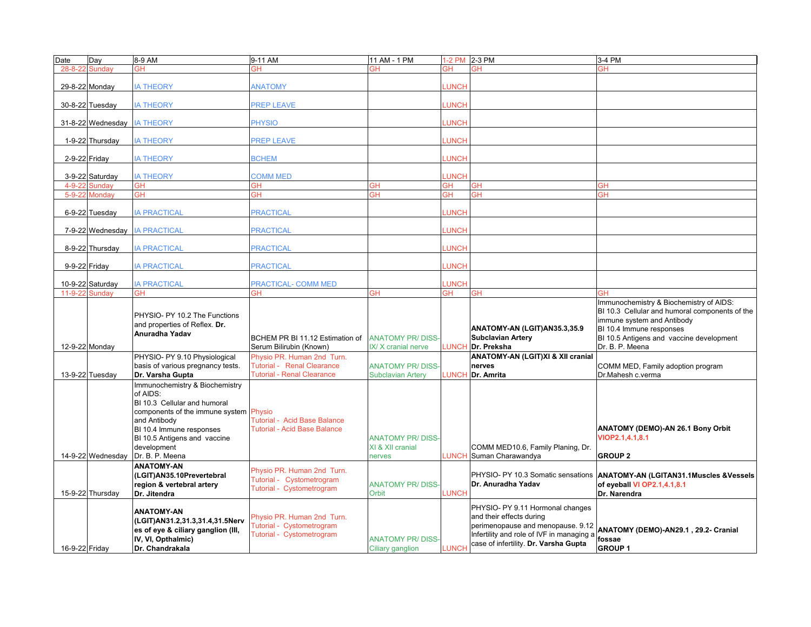| Date           | Dav               | 8-9 AM                                                                                                                                                                                                                             | 9-11 AM                                                                              | 11 AM - 1 PM                                         |              | 1-2 PM 2-3 PM                                                                                                                                                                           | 3-4 PM                                                                                                                                                                                                             |
|----------------|-------------------|------------------------------------------------------------------------------------------------------------------------------------------------------------------------------------------------------------------------------------|--------------------------------------------------------------------------------------|------------------------------------------------------|--------------|-----------------------------------------------------------------------------------------------------------------------------------------------------------------------------------------|--------------------------------------------------------------------------------------------------------------------------------------------------------------------------------------------------------------------|
|                | 28-8-22 Sundav    | <b>GH</b>                                                                                                                                                                                                                          | GH                                                                                   | ЗH                                                   | ЗH           | <b>GH</b>                                                                                                                                                                               | GH                                                                                                                                                                                                                 |
|                | 29-8-22 Monday    | <b>IA THEORY</b>                                                                                                                                                                                                                   | <b>ANATOMY</b>                                                                       |                                                      | <b>LUNCH</b> |                                                                                                                                                                                         |                                                                                                                                                                                                                    |
|                | 30-8-22 Tuesday   | <b>IA THEORY</b>                                                                                                                                                                                                                   | <b>PREP LEAVE</b>                                                                    |                                                      | <b>LUNCH</b> |                                                                                                                                                                                         |                                                                                                                                                                                                                    |
|                | 31-8-22 Wednesday | <b>IA THEORY</b>                                                                                                                                                                                                                   | <b>PHYSIO</b>                                                                        |                                                      | <b>UNCH</b>  |                                                                                                                                                                                         |                                                                                                                                                                                                                    |
|                | 1-9-22 Thursday   | <b>IA THEORY</b>                                                                                                                                                                                                                   | <b>PREP LEAVE</b>                                                                    |                                                      | <b>LUNCH</b> |                                                                                                                                                                                         |                                                                                                                                                                                                                    |
|                | 2-9-22 Friday     | <b>IA THEORY</b>                                                                                                                                                                                                                   | <b>BCHEM</b>                                                                         |                                                      | <b>LUNCH</b> |                                                                                                                                                                                         |                                                                                                                                                                                                                    |
|                | 3-9-22 Saturday   | <b>IA THEORY</b>                                                                                                                                                                                                                   | <b>COMM MED</b>                                                                      |                                                      | <b>LUNCH</b> |                                                                                                                                                                                         |                                                                                                                                                                                                                    |
| $4 - 9 - 22$   | <b>Sundav</b>     | <b>GH</b>                                                                                                                                                                                                                          | GΗ                                                                                   | ЭH                                                   | ЭH           | <b>GH</b>                                                                                                                                                                               | ЗH                                                                                                                                                                                                                 |
|                | 5-9-22 Monday     | GH                                                                                                                                                                                                                                 | ЭH                                                                                   | ЗH                                                   | ЭH           | GН                                                                                                                                                                                      | ЭH                                                                                                                                                                                                                 |
|                | 6-9-22 Tuesday    | <b>IA PRACTICAL</b>                                                                                                                                                                                                                | <b>PRACTICAL</b>                                                                     |                                                      | <b>LUNCH</b> |                                                                                                                                                                                         |                                                                                                                                                                                                                    |
|                | 7-9-22 Wednesday  | <b>IA PRACTICAL</b>                                                                                                                                                                                                                | <b>PRACTICAL</b>                                                                     |                                                      | <b>LUNCH</b> |                                                                                                                                                                                         |                                                                                                                                                                                                                    |
|                | 8-9-22 Thursday   | <b>IA PRACTICAL</b>                                                                                                                                                                                                                | <b>PRACTICAL</b>                                                                     |                                                      | <b>UNCH</b>  |                                                                                                                                                                                         |                                                                                                                                                                                                                    |
|                | 9-9-22 Friday     | <b>IA PRACTICAL</b>                                                                                                                                                                                                                | <b>PRACTICAL</b>                                                                     |                                                      | <b>LUNCH</b> |                                                                                                                                                                                         |                                                                                                                                                                                                                    |
|                | 10-9-22 Saturday  | <b>IA PRACTICAL</b>                                                                                                                                                                                                                | <b>PRACTICAL- COMM MED</b>                                                           |                                                      | <b>LUNCH</b> |                                                                                                                                                                                         |                                                                                                                                                                                                                    |
| 11-9-22 Sunday |                   | GH                                                                                                                                                                                                                                 | GН                                                                                   | ЭH                                                   | GН           | <b>GH</b>                                                                                                                                                                               |                                                                                                                                                                                                                    |
|                | 12-9-22 Monday    | PHYSIO- PY 10.2 The Functions<br>and properties of Reflex. Dr.<br>Anuradha Yadav                                                                                                                                                   | BCHEM PR BI 11.12 Estimation of<br>Serum Bilirubin (Known)                           | <b>ANATOMY PR/DISS</b><br>IX/X cranial nerve         | LUNCH        | ANATOMY-AN (LGIT)AN35.3,35.9<br><b>Subclavian Artery</b><br>Dr. Preksha                                                                                                                 | Immunochemistry & Biochemistry of AIDS:<br>BI 10.3 Cellular and humoral components of the<br>immune system and Antibody<br>BI 10.4 Immune responses<br>BI 10.5 Antigens and vaccine development<br>Dr. B. P. Meena |
|                |                   | PHYSIO- PY 9.10 Physiological                                                                                                                                                                                                      | Physio PR, Human 2nd Turn.                                                           |                                                      |              | <b>ANATOMY-AN (LGIT)XI &amp; XII cranial</b>                                                                                                                                            |                                                                                                                                                                                                                    |
|                |                   | basis of various pregnancy tests.                                                                                                                                                                                                  | Tutorial - Renal Clearance                                                           | <b>ANATOMY PR/DISS-</b>                              |              | nerves                                                                                                                                                                                  | COMM MED, Family adoption program                                                                                                                                                                                  |
|                | 13-9-22 Tuesday   | Dr. Varsha Gupta                                                                                                                                                                                                                   | <b>Tutorial - Renal Clearance</b>                                                    | <b>Subclavian Artery</b>                             | <b>LUNCH</b> | Dr. Amrita                                                                                                                                                                              | Dr.Mahesh c.verma                                                                                                                                                                                                  |
|                |                   |                                                                                                                                                                                                                                    |                                                                                      |                                                      |              |                                                                                                                                                                                         |                                                                                                                                                                                                                    |
|                | 14-9-22 Wednesday | Immunochemistry & Biochemistry<br>of AIDS:<br>BI 10.3 Cellular and humoral<br>components of the immune system Physio<br>and Antibody<br>BI 10.4 Immune responses<br>BI 10.5 Antigens and vaccine<br>development<br>Dr. B. P. Meena | <b>Tutorial - Acid Base Balance</b><br><b>Tutorial - Acid Base Balance</b>           | <b>ANATOMY PR/DISS</b><br>XI & XII cranial<br>nerves |              | COMM MED10.6, Family Planing, Dr.<br><b>LUNCH</b> Suman Charawandya                                                                                                                     | ANATOMY (DEMO)-AN 26.1 Bony Orbit<br>VIOP2.1,4.1,8.1<br><b>GROUP 2</b>                                                                                                                                             |
|                |                   | <b>ANATOMY-AN</b>                                                                                                                                                                                                                  | Physio PR. Human 2nd Turn.                                                           |                                                      |              |                                                                                                                                                                                         |                                                                                                                                                                                                                    |
|                | 15-9-22 Thursday  | (LGIT)AN35.10Prevertebral<br>region & vertebral artery<br>Dr. Jitendra                                                                                                                                                             | Tutorial - Cystometrogram<br>Tutorial - Cystometrogram                               | <b>ANATOMY PR/DISS-</b><br>Orbit                     | LUNCH        | PHYSIO- PY 10.3 Somatic sensations<br>Dr. Anuradha Yadav                                                                                                                                | <b>ANATOMY-AN (LGITAN31.1Muscles &amp;Vessels</b><br>of eyeball VI OP2.1,4.1,8.1<br>Dr. Narendra                                                                                                                   |
| 16-9-22 Friday |                   | <b>ANATOMY-AN</b><br>(LGIT)AN31.2,31.3,31.4,31.5Nerv<br>es of eye & ciliary ganglion (III,<br>IV, VI, Opthalmic)<br>Dr. Chandrakala                                                                                                | Physio PR. Human 2nd Turn.<br>Tutorial - Cystometrogram<br>Tutorial - Cystometrogram | <b>ANATOMY PR/DISS</b><br>Ciliary ganglion           | LUNCH        | PHYSIO- PY 9.11 Hormonal changes<br>and their effects during<br>perimenopause and menopause. 9.12<br>Infertility and role of IVF in managing a<br>case of infertility. Dr. Varsha Gupta | ANATOMY (DEMO)-AN29.1, 29.2- Cranial<br>fossae<br><b>GROUP1</b>                                                                                                                                                    |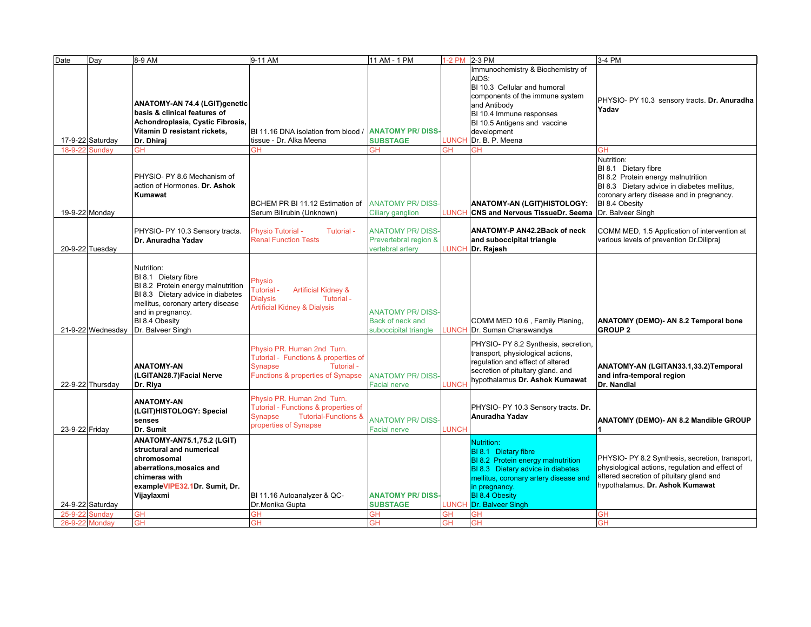| Date           | Day               | 8-9 AM                                                     | 9-11 AM                                                      | 11 AM - 1 PM            |              | 1-2 PM 2-3 PM                                                         | 3-4 PM                                                                                      |
|----------------|-------------------|------------------------------------------------------------|--------------------------------------------------------------|-------------------------|--------------|-----------------------------------------------------------------------|---------------------------------------------------------------------------------------------|
|                |                   |                                                            |                                                              |                         |              | Immunochemistry & Biochemistry of                                     |                                                                                             |
|                |                   |                                                            |                                                              |                         |              | AIDS:<br>BI 10.3 Cellular and humoral                                 |                                                                                             |
|                |                   |                                                            |                                                              |                         |              | components of the immune system                                       |                                                                                             |
|                |                   | <b>ANATOMY-AN 74.4 (LGIT)genetic</b>                       |                                                              |                         |              | and Antibody                                                          | PHYSIO- PY 10.3 sensory tracts. Dr. Anuradha                                                |
|                |                   | basis & clinical features of                               |                                                              |                         |              | BI 10.4 Immune responses                                              | Yadav                                                                                       |
|                |                   | Achondroplasia, Cystic Fibrosis,                           |                                                              |                         |              | BI 10.5 Antigens and vaccine                                          |                                                                                             |
|                |                   | Vitamin D resistant rickets,                               | BI 11.16 DNA isolation from blood / ANATOMY PR/DISS          |                         |              | development                                                           |                                                                                             |
| 18-9-22        | 17-9-22 Saturday  | Dr. Dhiraj                                                 | tissue - Dr. Alka Meena<br>GН                                | <b>SUBSTAGE</b>         | LUNCH        | Dr. B. P. Meena                                                       | GН                                                                                          |
|                | <b>Sundav</b>     | GН                                                         |                                                              | ЭH                      |              |                                                                       | Nutrition:                                                                                  |
|                |                   |                                                            |                                                              |                         |              |                                                                       | BI 8.1 Dietary fibre                                                                        |
|                |                   | PHYSIO- PY 8.6 Mechanism of                                |                                                              |                         |              |                                                                       | BI 8.2 Protein energy malnutrition                                                          |
|                |                   | action of Hormones. Dr. Ashok                              |                                                              |                         |              |                                                                       | BI 8.3 Dietary advice in diabetes mellitus,                                                 |
|                |                   | Kumawat                                                    |                                                              |                         |              |                                                                       | coronary artery disease and in pregnancy.                                                   |
| 19-9-22 Monday |                   |                                                            | BCHEM PR BI 11.12 Estimation of<br>Serum Bilirubin (Unknown) | <b>ANATOMY PR/DISS</b>  | <b>LUNCH</b> | ANATOMY-AN (LGIT)HISTOLOGY:<br><b>CNS and Nervous TissueDr. Seema</b> | BI 8.4 Obesity<br>Dr. Balveer Singh                                                         |
|                |                   |                                                            |                                                              | Ciliary ganglion        |              |                                                                       |                                                                                             |
|                |                   | PHYSIO- PY 10.3 Sensory tracts.                            | <b>Physio Tutorial -</b><br>Tutorial -                       | <b>ANATOMY PR/DISS-</b> |              | ANATOMY-P AN42.2Back of neck                                          | COMM MED, 1.5 Application of intervention at                                                |
|                |                   | Dr. Anuradha Yadav                                         | <b>Renal Function Tests</b>                                  | Prevertebral region &   |              | and suboccipital triangle                                             | various levels of prevention Dr.Dilipraj                                                    |
|                | 20-9-22 Tuesday   |                                                            |                                                              | vertebral artery        | LUNCH        | Dr. Rajesh                                                            |                                                                                             |
|                |                   |                                                            |                                                              |                         |              |                                                                       |                                                                                             |
|                |                   | Nutrition:                                                 |                                                              |                         |              |                                                                       |                                                                                             |
|                |                   | BI 8.1 Dietary fibre<br>BI 8.2 Protein energy malnutrition | Physio                                                       |                         |              |                                                                       |                                                                                             |
|                |                   | BI 8.3 Dietary advice in diabetes                          | Tutorial -<br><b>Artificial Kidney &amp;</b>                 |                         |              |                                                                       |                                                                                             |
|                |                   | mellitus, coronary artery disease                          | <b>Dialysis</b><br>Tutorial -                                |                         |              |                                                                       |                                                                                             |
|                |                   | and in pregnancy.                                          | <b>Artificial Kidney &amp; Dialysis</b>                      | <b>ANATOMY PR/DISS-</b> |              |                                                                       |                                                                                             |
|                |                   | BI 8.4 Obesity                                             |                                                              | Back of neck and        |              | COMM MED 10.6, Family Planing,                                        | <b>ANATOMY (DEMO)- AN 8.2 Temporal bone</b>                                                 |
|                | 21-9-22 Wednesday | Dr. Balveer Singh                                          |                                                              | suboccipital triangle   | <b>LUNCH</b> | Dr. Suman Charawandya                                                 | <b>GROUP 2</b>                                                                              |
|                |                   |                                                            | Physio PR. Human 2nd Turn.                                   |                         |              | PHYSIO- PY 8.2 Synthesis, secretion,                                  |                                                                                             |
|                |                   |                                                            | Tutorial - Functions & properties of                         |                         |              | transport, physiological actions,                                     |                                                                                             |
|                |                   | <b>ANATOMY-AN</b>                                          | Tutorial -<br><b>Synapse</b>                                 |                         |              | requlation and effect of altered<br>secretion of pituitary gland. and | ANATOMY-AN (LGITAN33.1,33.2)Temporal                                                        |
|                |                   | (LGITAN28.7) Facial Nerve                                  | Functions & properties of Synapse                            | <b>ANATOMY PR/DISS-</b> |              | hypothalamus Dr. Ashok Kumawat                                        | and infra-temporal region                                                                   |
|                | 22-9-22 Thursday  | Dr. Riya                                                   |                                                              | Facial nerve            | LUNCH        |                                                                       | Dr. Nandlal                                                                                 |
|                |                   | <b>ANATOMY-AN</b>                                          | Physio PR. Human 2nd Turn.                                   |                         |              |                                                                       |                                                                                             |
|                |                   | (LGIT)HISTOLOGY: Special                                   | Tutorial - Functions & properties of                         |                         |              | PHYSIO- PY 10.3 Sensory tracts. Dr.                                   |                                                                                             |
|                |                   | senses                                                     | <b>Tutorial-Functions &amp;</b><br><b>Synapse</b>            | <b>ANATOMY PR/DISS-</b> |              | Anuradha Yadav                                                        | ANATOMY (DEMO)- AN 8.2 Mandible GROUP                                                       |
| 23-9-22 Friday |                   | Dr. Sumit                                                  | properties of Synapse                                        | Facial nerve            | LUNCH        |                                                                       |                                                                                             |
|                |                   | <b>ANATOMY-AN75.1,75.2 (LGIT)</b>                          |                                                              |                         |              | Nutrition:                                                            |                                                                                             |
|                |                   | structural and numerical                                   |                                                              |                         |              | <b>BI 8.1 Dietary fibre</b>                                           |                                                                                             |
|                |                   | chromosomal                                                |                                                              |                         |              | BI 8.2 Protein energy malnutrition                                    | PHYSIO- PY 8.2 Synthesis, secretion, transport,                                             |
|                |                   | aberrations, mosaics and                                   |                                                              |                         |              | BI 8.3 Dietary advice in diabetes                                     | physiological actions, regulation and effect of<br>altered secretion of pituitary gland and |
|                |                   | chimeras with<br>exampleVIPE32.1Dr. Sumit, Dr.             |                                                              |                         |              | mellitus, coronary artery disease and<br>in pregnancy.                | hypothalamus. Dr. Ashok Kumawat                                                             |
|                |                   | Vijaylaxmi                                                 | BI 11.16 Autoanalyzer & QC-                                  | <b>ANATOMY PR/DISS</b>  |              | <b>BI 8.4 Obesity</b>                                                 |                                                                                             |
|                | 24-9-22 Saturday  |                                                            | Dr.Monika Gupta                                              | <b>SUBSTAGE</b>         | LUNCH        | Dr. Balveer Singh                                                     |                                                                                             |
| $25 - 9 - 22$  | <b>Sundav</b>     | <b>GH</b>                                                  | GH                                                           | ЭH                      | ЭH           | <b>GH</b>                                                             | GН                                                                                          |
| 26-9-22 Monday |                   | <b>GH</b>                                                  | GΗ                                                           | GН                      | GН           | <b>GH</b>                                                             | GН                                                                                          |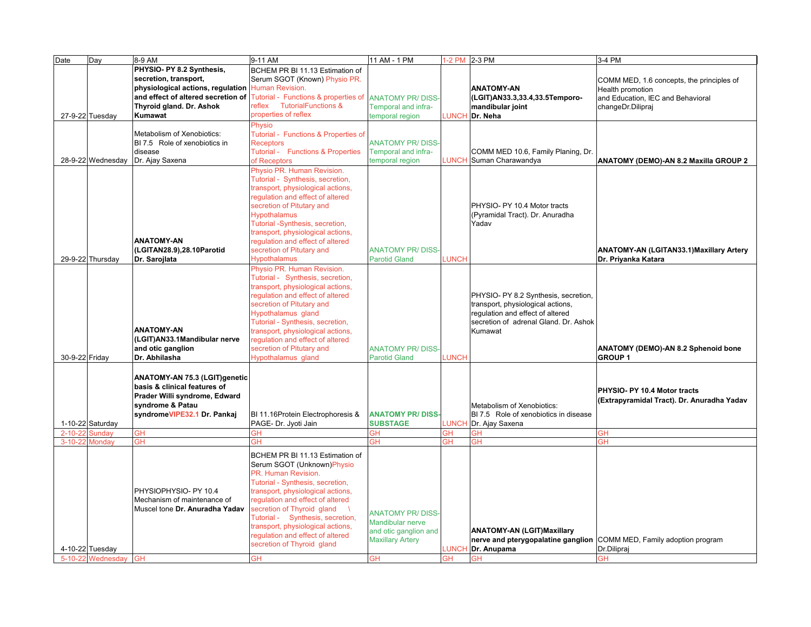| Date           | Day                                            | 8-9 AM                                                                                                                                            | 9-11 AM                                                                                                                                                                                                                                                                                                                                                                             | 11 AM - 1 PM                                                                                                 | 1-2 PM 2-3 PM             |                                                                                                                                                                   | 3-4 PM                                                                                                                  |
|----------------|------------------------------------------------|---------------------------------------------------------------------------------------------------------------------------------------------------|-------------------------------------------------------------------------------------------------------------------------------------------------------------------------------------------------------------------------------------------------------------------------------------------------------------------------------------------------------------------------------------|--------------------------------------------------------------------------------------------------------------|---------------------------|-------------------------------------------------------------------------------------------------------------------------------------------------------------------|-------------------------------------------------------------------------------------------------------------------------|
|                | 27-9-22 Tuesday                                | PHYSIO- PY 8.2 Synthesis,<br>secretion, transport,<br>physiological actions, regulation Human Revision.<br>Thyroid gland. Dr. Ashok<br>Kumawat    | BCHEM PR BI 11.13 Estimation of<br>Serum SGOT (Known) Physio PR.<br>and effect of altered secretion of Tutorial - Functions & properties of ANATOMY PR/DISS<br>reflex TutorialFunctions &<br>properties of reflex                                                                                                                                                                   | Temporal and infra-<br>temporal region                                                                       | <b>LUNCH</b>              | <b>ANATOMY-AN</b><br>(LGIT)AN33.3,33.4,33.5Temporo-<br>mandibular joint<br>Dr. Neha                                                                               | COMM MED, 1.6 concepts, the principles of<br>Health promotion<br>and Education, IEC and Behavioral<br>changeDr.Dilipraj |
|                | 28-9-22 Wednesday                              | Metabolism of Xenobiotics:<br>BI 7.5 Role of xenobiotics in<br>disease<br>Dr. Ajay Saxena                                                         | Physio<br>Tutorial - Functions & Properties of<br><b>Receptors</b><br>Tutorial - Functions & Properties<br>of Receptors                                                                                                                                                                                                                                                             | <b>ANATOMY PR/DISS-</b><br>Temporal and infra-<br>temporal region                                            | LUNCH                     | COMM MED 10.6, Family Planing, Dr.<br>Suman Charawandya                                                                                                           | <b>ANATOMY (DEMO)-AN 8.2 Maxilla GROUP 2</b>                                                                            |
|                | 29-9-22 Thursday                               | <b>ANATOMY-AN</b><br>(LGITAN28.9),28.10Parotid<br>Dr. Sarojlata                                                                                   | Physio PR. Human Revision.<br>Tutorial - Synthesis, secretion,<br>transport, physiological actions,<br>regulation and effect of altered<br>secretion of Pitutary and<br><b>Hypothalamus</b><br>Tutorial -Synthesis, secretion,<br>transport, physiological actions,<br>regulation and effect of altered<br>secretion of Pitutary and<br><b>Hypothalamus</b>                         | <b>ANATOMY PR/DISS-</b><br><b>Parotid Gland</b>                                                              | <b>LUNCH</b>              | PHYSIO- PY 10.4 Motor tracts<br>(Pyramidal Tract). Dr. Anuradha<br>Yadav                                                                                          | <b>ANATOMY-AN (LGITAN33.1) Maxillary Artery</b><br>Dr. Priyanka Katara                                                  |
| 30-9-22 Friday |                                                | <b>ANATOMY-AN</b><br>(LGIT)AN33.1Mandibular nerve<br>and otic ganglion<br>Dr. Abhilasha                                                           | Physio PR. Human Revision.<br>Tutorial - Synthesis, secretion,<br>transport, physiological actions,<br>requlation and effect of altered<br>secretion of Pitutary and<br>Hypothalamus gland<br>Tutorial - Synthesis, secretion,<br>transport, physiological actions,<br>regulation and effect of altered<br>secretion of Pitutary and<br>Hypothalamus gland                          | <b>ANATOMY PR/DISS</b><br><b>Parotid Gland</b>                                                               | LUNCH                     | PHYSIO- PY 8.2 Synthesis, secretion,<br>transport, physiological actions,<br>regulation and effect of altered<br>secretion of adrenal Gland. Dr. Ashok<br>Kumawat | <b>ANATOMY (DEMO)-AN 8.2 Sphenoid bone</b><br><b>GROUP1</b>                                                             |
|                | 1-10-22 Saturday                               | ANATOMY-AN 75.3 (LGIT)genetic<br>basis & clinical features of<br>Prader Willi syndrome, Edward<br>syndrome & Patau<br>syndromeVIPE32.1 Dr. Pankaj | BI 11.16Protein Electrophoresis &<br>PAGE- Dr. Jyoti Jain                                                                                                                                                                                                                                                                                                                           | <b>ANATOMY PR/DISS</b><br><b>SUBSTAGE</b>                                                                    | <b>LUNCH</b>              | Metabolism of Xenobiotics:<br>BI 7.5 Role of xenobiotics in disease<br>Dr. Ajay Saxena                                                                            | PHYSIO- PY 10.4 Motor tracts<br>(Extrapyramidal Tract). Dr. Anuradha Yadav                                              |
| $2 - 10 - 22$  | Sundav                                         | GH<br>GH                                                                                                                                          | ЭH<br>GH                                                                                                                                                                                                                                                                                                                                                                            | ЭH<br><b>GH</b>                                                                                              | ЭH<br>ЭH                  | ЭH<br>ЭH                                                                                                                                                          | ЭH<br>GH                                                                                                                |
| $3 - 10 - 22$  | Monday<br>4-10-22 Tuesday<br>5-10-22 Wednesday | PHYSIOPHYSIO- PY 10.4<br>Mechanism of maintenance of<br>Muscel tone Dr. Anuradha Yadav<br><b>GH</b>                                               | BCHEM PR BI 11.13 Estimation of<br>Serum SGOT (Unknown) Physio<br>PR. Human Revision.<br>Tutorial - Synthesis, secretion,<br>transport, physiological actions,<br>regulation and effect of altered<br>secretion of Thyroid gland \<br>Tutorial - Synthesis, secretion,<br>transport, physiological actions,<br>regulation and effect of altered<br>secretion of Thyroid gland<br>GH | <b>ANATOMY PR/DISS-</b><br>Mandibular nerve<br>and otic ganglion and<br><b>Maxillary Artery</b><br><b>GH</b> | <b>LUNCH</b><br><b>GH</b> | <b>ANATOMY-AN (LGIT)Maxillary</b><br>Dr. Anupama<br><b>GH</b>                                                                                                     | nerve and pterygopalatine ganglion COMM MED, Family adoption program<br>Dr.Dilipraj<br><b>GH</b>                        |
|                |                                                |                                                                                                                                                   |                                                                                                                                                                                                                                                                                                                                                                                     |                                                                                                              |                           |                                                                                                                                                                   |                                                                                                                         |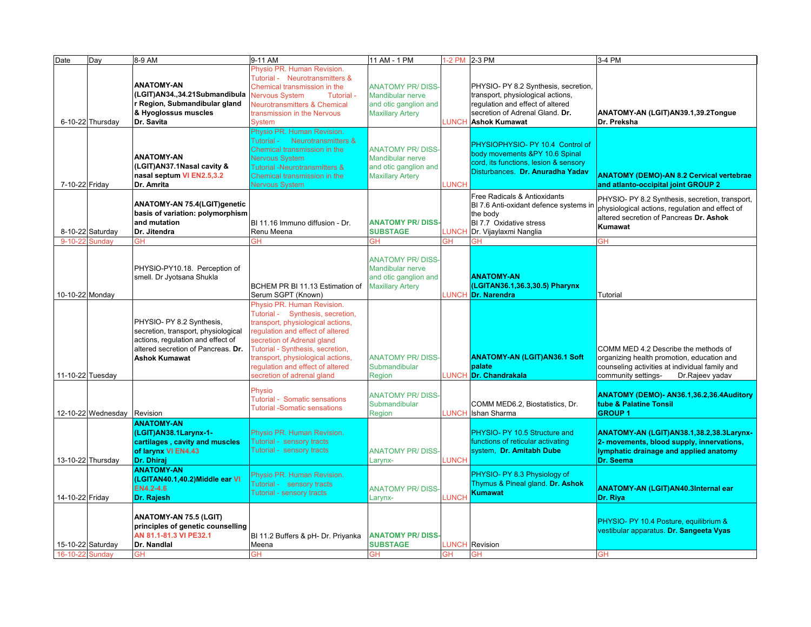| Date              | Day                | 8-9 AM                                                                                                                                                              | 9-11 AM                                                                                                                                                                                                                                                                                                          | 11 AM - 1 PM                                                                                           |              | 1-2 PM 2-3 PM                                                                                                                                                            | 3-4 PM                                                                                                                                                                         |
|-------------------|--------------------|---------------------------------------------------------------------------------------------------------------------------------------------------------------------|------------------------------------------------------------------------------------------------------------------------------------------------------------------------------------------------------------------------------------------------------------------------------------------------------------------|--------------------------------------------------------------------------------------------------------|--------------|--------------------------------------------------------------------------------------------------------------------------------------------------------------------------|--------------------------------------------------------------------------------------------------------------------------------------------------------------------------------|
|                   | 6-10-22 Thursday   | <b>ANATOMY-AN</b><br>(LGIT)AN34.,34.21Submandibula<br>Region, Submandibular gland<br>& Hyoglossus muscles<br>Dr. Savita                                             | Physio PR. Human Revision.<br>Tutorial - Neurotransmitters &<br>Chemical transmission in the<br><b>Nervous System</b><br>Tutorial -<br><b>Neurotransmitters &amp; Chemical</b><br>transmission in the Nervous<br><b>System</b><br>Physio PR. Human Revision.                                                     | <b>ANATOMY PR/DISS-</b><br><b>Mandibular nerve</b><br>and otic ganglion and<br><b>Maxillary Artery</b> | <b>LUNCH</b> | PHYSIO- PY 8.2 Synthesis, secretion,<br>transport, physiological actions,<br>regulation and effect of altered<br>secretion of Adrenal Gland. Dr.<br><b>Ashok Kumawat</b> | ANATOMY-AN (LGIT)AN39.1,39.2Tongue<br>Dr. Preksha                                                                                                                              |
| 7-10-22 Friday    |                    | <b>ANATOMY-AN</b><br>(LGIT)AN37.1Nasal cavity &<br>nasal septum VI EN2.5,3.2<br>Dr. Amrita                                                                          | Tutorial - Neurotransmitters &<br>Chemical transmission in the<br><b>Nervous System</b><br>Tutorial -Neurotransmitters &<br>Chemical transmission in the<br><b>Nervous System</b>                                                                                                                                | <b>ANATOMY PR/DISS-</b><br><b>Mandibular nerve</b><br>and otic ganglion and<br><b>Maxillary Artery</b> | LUNCH        | PHYSIOPHYSIO- PY 10.4 Control of<br>body movements &PY 10.6 Spinal<br>cord, its functions, lesion & sensory<br>Disturbances. Dr. Anuradha Yadav                          | <b>ANATOMY (DEMO)-AN 8.2 Cervical vertebrae</b><br>and atlanto-occipital joint GROUP 2                                                                                         |
|                   | 8-10-22 Saturday   | <b>ANATOMY-AN 75.4(LGIT)genetic</b><br>basis of variation: polymorphism<br>and mutation<br>Dr. Jitendra                                                             | BI 11.16 Immuno diffusion - Dr.<br>Renu Meena                                                                                                                                                                                                                                                                    | <b>ANATOMY PR/DISS</b><br><b>SUBSTAGE</b>                                                              | LUNCH        | Free Radicals & Antioxidants<br>BI 7.6 Anti-oxidant defence systems in<br>the body<br>BI 7.7 Oxidative stress<br>Dr. Vijaylaxmi Nanglia                                  | PHYSIO- PY 8.2 Synthesis, secretion, transport,<br>physiological actions, regulation and effect of<br>altered secretion of Pancreas Dr. Ashok<br>Kumawat                       |
| $9 - 10 - 21$     | Sundav             | GH                                                                                                                                                                  | GΗ                                                                                                                                                                                                                                                                                                               | ЗH                                                                                                     | ЗH           | GH                                                                                                                                                                       | GН                                                                                                                                                                             |
| 10-10-22 Monday   |                    | PHYSIO-PY10.18. Perception of<br>smell. Dr Jyotsana Shukla                                                                                                          | BCHEM PR BI 11.13 Estimation of<br>Serum SGPT (Known)                                                                                                                                                                                                                                                            | <b>ANATOMY PR/DISS</b><br>Mandibular nerve<br>and otic ganglion and<br><b>Maxillary Artery</b>         |              | <b>ANATOMY-AN</b><br>(LGITAN36.1,36.3,30.5) Pharynx<br><b>LUNCH Dr. Narendra</b>                                                                                         | Tutorial                                                                                                                                                                       |
| 11-10-22 Tuesday  |                    | PHYSIO- PY 8.2 Synthesis,<br>secretion, transport, physiological<br>actions, regulation and effect of<br>altered secretion of Pancreas. Dr.<br><b>Ashok Kumawat</b> | Physio PR, Human Revision.<br>Tutorial - Synthesis, secretion,<br>transport, physiological actions,<br>regulation and effect of altered<br>secretion of Adrenal gland<br>Tutorial - Synthesis, secretion,<br>transport, physiological actions,<br>regulation and effect of altered<br>secretion of adrenal gland | <b>ANATOMY PR/DISS-</b><br>Submandibular<br>Region                                                     |              | <b>ANATOMY-AN (LGIT)AN36.1 Soft</b><br>palate<br>LUNCH <mark>IDr. Chandrakala</mark>                                                                                     | COMM MED 4.2 Describe the methods of<br>organizing health promotion, education and<br>counseling activities at individual family and<br>community settings-<br>Dr.Rajeev yadav |
|                   | 12-10-22 Wednesday | Revision                                                                                                                                                            | Physio<br><b>Tutorial - Somatic sensations</b><br><b>Tutorial -Somatic sensations</b>                                                                                                                                                                                                                            | <b>ANATOMY PR/DISS-</b><br>Submandibular<br>Region                                                     | <b>LUNCH</b> | COMM MED6.2, Biostatistics, Dr.<br>Ishan Sharma                                                                                                                          | ANATOMY (DEMO)- AN36.1,36.2,36.4Auditory<br>tube & Palatine Tonsil<br><b>GROUP1</b>                                                                                            |
|                   | 13-10-22 Thursday  | <b>ANATOMY-AN</b><br>(LGIT)AN38.1Larynx-1-<br>cartilages, cavity and muscles<br>of larynx VI EN4.43<br>Dr. Dhiraj                                                   | Physio PR. Human Revision.<br>Tutorial - sensory tracts<br>Tutorial - sensory tracts                                                                                                                                                                                                                             | <b>ANATOMY PR/DISS</b><br>Larynx-                                                                      | LUNCH        | PHYSIO- PY 10.5 Structure and<br>functions of reticular activating<br>system, Dr. Amitabh Dube                                                                           | ANATOMY-AN (LGIT)AN38.1,38.2,38.3Larynx-<br>2- movements, blood supply, innervations,<br>lymphatic drainage and applied anatomy<br>Dr. Seema                                   |
| 14-10-22 Friday   |                    | <b>ANATOMY-AN</b><br>(LGITAN40.1,40.2)Middle ear VI<br>EN4.2-4.6<br>Dr. Rajesh                                                                                      | Physio PR. Human Revision.<br><b>Futorial - sensory tracts</b><br>Tutorial - sensory tracts                                                                                                                                                                                                                      | <b>ANATOMY PR/DISS-</b><br>Larynx-                                                                     | LUNCH        | PHYSIO- PY 8.3 Physiology of<br>Thymus & Pineal gland. Dr. Ashok<br><b>Kumawat</b>                                                                                       | <b>ANATOMY-AN (LGIT)AN40.3Internal ear</b><br>Dr. Riya                                                                                                                         |
| 15-10-22 Saturday |                    | ANATOMY-AN 75.5 (LGIT)<br>principles of genetic counselling<br>AN 81.1-81.3 VI PE32.1<br>Dr. Nandlal                                                                | BI 11.2 Buffers & pH- Dr. Priyanka<br>Meena                                                                                                                                                                                                                                                                      | <b>ANATOMY PR/DISS</b><br><b>SUBSTAGE</b>                                                              |              | <b>LUNCH</b> Revision                                                                                                                                                    | PHYSIO- PY 10.4 Posture, equilibrium &<br>vestibular apparatus. Dr. Sangeeta Vyas                                                                                              |
| 16-10-22 Sundav   |                    | <b>GH</b>                                                                                                                                                           | GΗ                                                                                                                                                                                                                                                                                                               | <b>GH</b>                                                                                              | GН           | GH                                                                                                                                                                       | <b>GH</b>                                                                                                                                                                      |
|                   |                    |                                                                                                                                                                     |                                                                                                                                                                                                                                                                                                                  |                                                                                                        |              |                                                                                                                                                                          |                                                                                                                                                                                |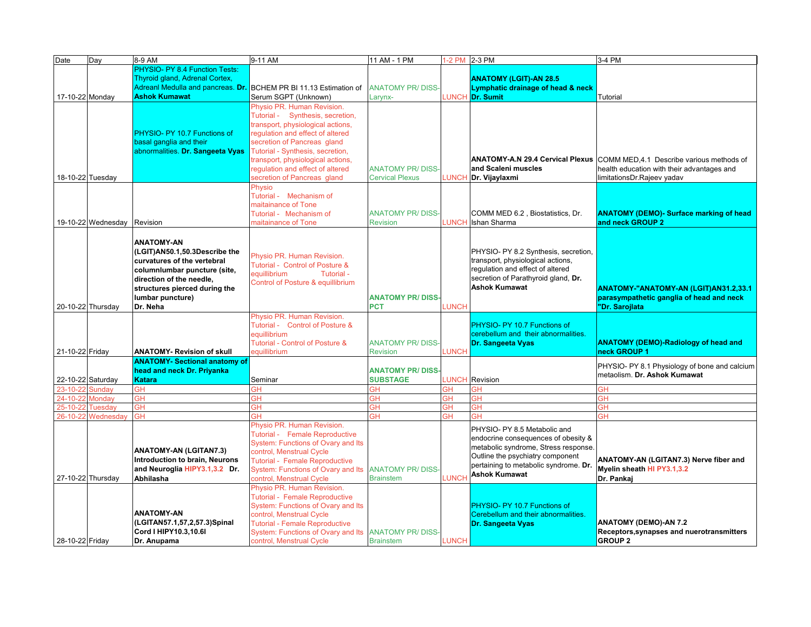| PHYSIO- PY 8.4 Function Tests:<br>Thyroid gland, Adrenal Cortex,<br><b>ANATOMY (LGIT)-AN 28.5</b><br>Adreanl Medulla and pancreas. Dr. BCHEM PR BI 11.13 Estimation of<br><b>ANATOMY PR/DISS-</b><br>Lymphatic drainage of head & neck<br><b>Ashok Kumawat</b><br>17-10-22 Monday<br>Serum SGPT (Unknown)<br><b>LUNCH</b><br>Dr. Sumit<br>Tutorial<br>Larynx-<br>Physio PR. Human Revision.<br>Tutorial - Synthesis, secretion,<br>transport, physiological actions,<br>regulation and effect of altered<br>PHYSIO- PY 10.7 Functions of<br>secretion of Pancreas gland<br>basal ganglia and their<br>abnormalities. Dr. Sangeeta Vyas<br>Tutorial - Synthesis, secretion,<br>transport, physiological actions,<br>ANATOMY-A.N 29.4 Cervical Plexus COMM MED, 4.1 Describe various methods of<br>regulation and effect of altered<br><b>ANATOMY PR/DISS</b><br>and Scaleni muscles<br>health education with their advantages and<br>18-10-22 Tuesday<br>secretion of Pancreas gland<br>LUNCH<br><b>Cervical Plexus</b><br>Dr. Vijaylaxmi<br>limitationsDr.Rajeev yadav<br>Physio<br>Tutorial - Mechanism of<br>maitainance of Tone<br><b>ANATOMY (DEMO)- Surface marking of head</b><br>COMM MED 6.2, Biostatistics, Dr.<br>Tutorial - Mechanism of<br><b>ANATOMY PR/DISS-</b><br>19-10-22 Wednesday<br>Revision<br><b>Revision</b><br><b>LUNCH</b><br>Ishan Sharma<br>and neck GROUP 2<br>maitainance of Tone<br><b>ANATOMY-AN</b><br>(LGIT)AN50.1,50.3Describe the<br>PHYSIO- PY 8.2 Synthesis, secretion,<br>Physio PR. Human Revision.<br>transport, physiological actions,<br>curvatures of the vertebral<br>Tutorial - Control of Posture &<br>regulation and effect of altered<br>columnlumbar puncture (site,<br>equillibrium<br>Tutorial -<br>secretion of Parathyroid gland, Dr.<br>direction of the needle,<br>Control of Posture & equillibrium<br><b>Ashok Kumawat</b><br>structures pierced during the<br>ANATOMY-"ANATOMY-AN (LGIT)AN31.2,33.1<br>lumbar puncture)<br><b>ANATOMY PR/DISS</b><br>parasympathetic ganglia of head and neck<br>20-10-22 Thursday<br><b>PCT</b><br><b>LUNCH</b><br>Dr. Neha<br>"Dr. Sarojlata<br>Physio PR. Human Revision.<br>Tutorial - Control of Posture &<br>PHYSIO- PY 10.7 Functions of<br>equillibrium<br>cerebellum and their abnormalities.<br>Tutorial - Control of Posture &<br><b>ANATOMY (DEMO)-Radiology of head and</b><br><b>ANATOMY PR/DISS-</b><br>Dr. Sangeeta Vyas<br>21-10-22 Friday<br>neck GROUP 1<br><b>ANATOMY- Revision of skull</b><br>equillibrium<br><b>LUNCH</b><br><b>Revision</b><br><b>ANATOMY- Sectional anatomy of</b><br>PHYSIO- PY 8.1 Physiology of bone and calcium<br>head and neck Dr. Priyanka<br><b>ANATOMY PR/DISS</b><br>metaolism. Dr. Ashok Kumawat<br>22-10-22 Saturday<br><b>SUBSTAGE</b><br><b>LUNCH</b><br>Revision<br><b>Katara</b><br>Seminar<br>GH<br>GH<br>ЭH<br>ЭH<br>GH<br>$23 - 10 - 2$<br>Sunday<br>GH<br>$24 - 10 - 2$<br>Mondav<br>GH<br>GH<br><b>GH</b><br>GH<br>GH<br>GΗ<br>GH<br>ЭH<br>ЭH<br>GH<br>GH<br>25-10-2<br>Tuesdav<br>GН<br>26-10-22<br>GH<br>ЭH<br>ЭH<br>ЗH<br>ЗH<br>GH<br>Wednesday<br>Physio PR. Human Revision.<br>PHYSIO- PY 8.5 Metabolic and<br>Tutorial - Female Reproductive<br>endocrine consequences of obesity &<br>System: Functions of Ovary and Its<br>metabolic syndrome, Stress response<br><b>ANATOMY-AN (LGITAN7.3)</b><br>control, Menstrual Cycle<br>Outline the psychiatry component<br>Introduction to brain, Neurons<br>ANATOMY-AN (LGITAN7.3) Nerve fiber and<br>Tutorial - Female Reproductive<br>pertaining to metabolic syndrome. Dr.<br>Myelin sheath HI PY3.1,3.2<br>and Neuroglia HIPY3.1,3.2 Dr.<br>System: Functions of Ovary and Its ANATOMY PR/DISS-<br><b>Ashok Kumawat</b><br>LUNCH<br>27-10-22 Thursday<br>control, Menstrual Cycle<br><b>Brainstem</b><br>Dr. Pankai<br>Abhilasha<br>Physio PR. Human Revision.<br><b>Tutorial - Female Reproductive</b><br>System: Functions of Ovary and Its<br>PHYSIO- PY 10.7 Functions of<br><b>ANATOMY-AN</b><br>control, Menstrual Cycle<br>Cerebellum and their abnormalities.<br>(LGITAN57.1,57,2,57.3)Spinal<br><b>ANATOMY (DEMO)-AN 7.2</b><br><b>Tutorial - Female Reproductive</b><br>Dr. Sangeeta Vyas<br>Cord I HIPY10.3,10.6I<br>System: Functions of Ovary and Its ANATOMY PR/DISS-<br>Receptors, synapses and nuerotransmitters<br><b>LUNCH</b><br><b>GROUP 2</b><br>28-10-22 Friday<br>control, Menstrual Cycle<br>Dr. Anupama<br><b>Brainstem</b> | Date | Day | 8-9 AM | 9-11 AM | 11 AM - 1 PM | 1-2 PM 2-3 PM | 3-4 PM |
|-------------------------------------------------------------------------------------------------------------------------------------------------------------------------------------------------------------------------------------------------------------------------------------------------------------------------------------------------------------------------------------------------------------------------------------------------------------------------------------------------------------------------------------------------------------------------------------------------------------------------------------------------------------------------------------------------------------------------------------------------------------------------------------------------------------------------------------------------------------------------------------------------------------------------------------------------------------------------------------------------------------------------------------------------------------------------------------------------------------------------------------------------------------------------------------------------------------------------------------------------------------------------------------------------------------------------------------------------------------------------------------------------------------------------------------------------------------------------------------------------------------------------------------------------------------------------------------------------------------------------------------------------------------------------------------------------------------------------------------------------------------------------------------------------------------------------------------------------------------------------------------------------------------------------------------------------------------------------------------------------------------------------------------------------------------------------------------------------------------------------------------------------------------------------------------------------------------------------------------------------------------------------------------------------------------------------------------------------------------------------------------------------------------------------------------------------------------------------------------------------------------------------------------------------------------------------------------------------------------------------------------------------------------------------------------------------------------------------------------------------------------------------------------------------------------------------------------------------------------------------------------------------------------------------------------------------------------------------------------------------------------------------------------------------------------------------------------------------------------------------------------------------------------------------------------------------------------------------------------------------------------------------------------------------------------------------------------------------------------------------------------------------------------------------------------------------------------------------------------------------------------------------------------------------------------------------------------------------------------------------------------------------------------------------------------------------------------------------------------------------------------------------------------------------------------------------------------------------------------------------------------------------------------------------------------------------------------------------------------------------------------------------------------------------------------------------------------------------------------------------------------------------------------------------------------------------------------------------------------------------------------------------------------------------------------------------------------------------------------------------------------------------------------------------------------------------------------------|------|-----|--------|---------|--------------|---------------|--------|
|                                                                                                                                                                                                                                                                                                                                                                                                                                                                                                                                                                                                                                                                                                                                                                                                                                                                                                                                                                                                                                                                                                                                                                                                                                                                                                                                                                                                                                                                                                                                                                                                                                                                                                                                                                                                                                                                                                                                                                                                                                                                                                                                                                                                                                                                                                                                                                                                                                                                                                                                                                                                                                                                                                                                                                                                                                                                                                                                                                                                                                                                                                                                                                                                                                                                                                                                                                                                                                                                                                                                                                                                                                                                                                                                                                                                                                                                                                                                                                                                                                                                                                                                                                                                                                                                                                                                                                                                                                                                   |      |     |        |         |              |               |        |
|                                                                                                                                                                                                                                                                                                                                                                                                                                                                                                                                                                                                                                                                                                                                                                                                                                                                                                                                                                                                                                                                                                                                                                                                                                                                                                                                                                                                                                                                                                                                                                                                                                                                                                                                                                                                                                                                                                                                                                                                                                                                                                                                                                                                                                                                                                                                                                                                                                                                                                                                                                                                                                                                                                                                                                                                                                                                                                                                                                                                                                                                                                                                                                                                                                                                                                                                                                                                                                                                                                                                                                                                                                                                                                                                                                                                                                                                                                                                                                                                                                                                                                                                                                                                                                                                                                                                                                                                                                                                   |      |     |        |         |              |               |        |
|                                                                                                                                                                                                                                                                                                                                                                                                                                                                                                                                                                                                                                                                                                                                                                                                                                                                                                                                                                                                                                                                                                                                                                                                                                                                                                                                                                                                                                                                                                                                                                                                                                                                                                                                                                                                                                                                                                                                                                                                                                                                                                                                                                                                                                                                                                                                                                                                                                                                                                                                                                                                                                                                                                                                                                                                                                                                                                                                                                                                                                                                                                                                                                                                                                                                                                                                                                                                                                                                                                                                                                                                                                                                                                                                                                                                                                                                                                                                                                                                                                                                                                                                                                                                                                                                                                                                                                                                                                                                   |      |     |        |         |              |               |        |
|                                                                                                                                                                                                                                                                                                                                                                                                                                                                                                                                                                                                                                                                                                                                                                                                                                                                                                                                                                                                                                                                                                                                                                                                                                                                                                                                                                                                                                                                                                                                                                                                                                                                                                                                                                                                                                                                                                                                                                                                                                                                                                                                                                                                                                                                                                                                                                                                                                                                                                                                                                                                                                                                                                                                                                                                                                                                                                                                                                                                                                                                                                                                                                                                                                                                                                                                                                                                                                                                                                                                                                                                                                                                                                                                                                                                                                                                                                                                                                                                                                                                                                                                                                                                                                                                                                                                                                                                                                                                   |      |     |        |         |              |               |        |
|                                                                                                                                                                                                                                                                                                                                                                                                                                                                                                                                                                                                                                                                                                                                                                                                                                                                                                                                                                                                                                                                                                                                                                                                                                                                                                                                                                                                                                                                                                                                                                                                                                                                                                                                                                                                                                                                                                                                                                                                                                                                                                                                                                                                                                                                                                                                                                                                                                                                                                                                                                                                                                                                                                                                                                                                                                                                                                                                                                                                                                                                                                                                                                                                                                                                                                                                                                                                                                                                                                                                                                                                                                                                                                                                                                                                                                                                                                                                                                                                                                                                                                                                                                                                                                                                                                                                                                                                                                                                   |      |     |        |         |              |               |        |
|                                                                                                                                                                                                                                                                                                                                                                                                                                                                                                                                                                                                                                                                                                                                                                                                                                                                                                                                                                                                                                                                                                                                                                                                                                                                                                                                                                                                                                                                                                                                                                                                                                                                                                                                                                                                                                                                                                                                                                                                                                                                                                                                                                                                                                                                                                                                                                                                                                                                                                                                                                                                                                                                                                                                                                                                                                                                                                                                                                                                                                                                                                                                                                                                                                                                                                                                                                                                                                                                                                                                                                                                                                                                                                                                                                                                                                                                                                                                                                                                                                                                                                                                                                                                                                                                                                                                                                                                                                                                   |      |     |        |         |              |               |        |
|                                                                                                                                                                                                                                                                                                                                                                                                                                                                                                                                                                                                                                                                                                                                                                                                                                                                                                                                                                                                                                                                                                                                                                                                                                                                                                                                                                                                                                                                                                                                                                                                                                                                                                                                                                                                                                                                                                                                                                                                                                                                                                                                                                                                                                                                                                                                                                                                                                                                                                                                                                                                                                                                                                                                                                                                                                                                                                                                                                                                                                                                                                                                                                                                                                                                                                                                                                                                                                                                                                                                                                                                                                                                                                                                                                                                                                                                                                                                                                                                                                                                                                                                                                                                                                                                                                                                                                                                                                                                   |      |     |        |         |              |               |        |
|                                                                                                                                                                                                                                                                                                                                                                                                                                                                                                                                                                                                                                                                                                                                                                                                                                                                                                                                                                                                                                                                                                                                                                                                                                                                                                                                                                                                                                                                                                                                                                                                                                                                                                                                                                                                                                                                                                                                                                                                                                                                                                                                                                                                                                                                                                                                                                                                                                                                                                                                                                                                                                                                                                                                                                                                                                                                                                                                                                                                                                                                                                                                                                                                                                                                                                                                                                                                                                                                                                                                                                                                                                                                                                                                                                                                                                                                                                                                                                                                                                                                                                                                                                                                                                                                                                                                                                                                                                                                   |      |     |        |         |              |               |        |
|                                                                                                                                                                                                                                                                                                                                                                                                                                                                                                                                                                                                                                                                                                                                                                                                                                                                                                                                                                                                                                                                                                                                                                                                                                                                                                                                                                                                                                                                                                                                                                                                                                                                                                                                                                                                                                                                                                                                                                                                                                                                                                                                                                                                                                                                                                                                                                                                                                                                                                                                                                                                                                                                                                                                                                                                                                                                                                                                                                                                                                                                                                                                                                                                                                                                                                                                                                                                                                                                                                                                                                                                                                                                                                                                                                                                                                                                                                                                                                                                                                                                                                                                                                                                                                                                                                                                                                                                                                                                   |      |     |        |         |              |               |        |
|                                                                                                                                                                                                                                                                                                                                                                                                                                                                                                                                                                                                                                                                                                                                                                                                                                                                                                                                                                                                                                                                                                                                                                                                                                                                                                                                                                                                                                                                                                                                                                                                                                                                                                                                                                                                                                                                                                                                                                                                                                                                                                                                                                                                                                                                                                                                                                                                                                                                                                                                                                                                                                                                                                                                                                                                                                                                                                                                                                                                                                                                                                                                                                                                                                                                                                                                                                                                                                                                                                                                                                                                                                                                                                                                                                                                                                                                                                                                                                                                                                                                                                                                                                                                                                                                                                                                                                                                                                                                   |      |     |        |         |              |               |        |
|                                                                                                                                                                                                                                                                                                                                                                                                                                                                                                                                                                                                                                                                                                                                                                                                                                                                                                                                                                                                                                                                                                                                                                                                                                                                                                                                                                                                                                                                                                                                                                                                                                                                                                                                                                                                                                                                                                                                                                                                                                                                                                                                                                                                                                                                                                                                                                                                                                                                                                                                                                                                                                                                                                                                                                                                                                                                                                                                                                                                                                                                                                                                                                                                                                                                                                                                                                                                                                                                                                                                                                                                                                                                                                                                                                                                                                                                                                                                                                                                                                                                                                                                                                                                                                                                                                                                                                                                                                                                   |      |     |        |         |              |               |        |
|                                                                                                                                                                                                                                                                                                                                                                                                                                                                                                                                                                                                                                                                                                                                                                                                                                                                                                                                                                                                                                                                                                                                                                                                                                                                                                                                                                                                                                                                                                                                                                                                                                                                                                                                                                                                                                                                                                                                                                                                                                                                                                                                                                                                                                                                                                                                                                                                                                                                                                                                                                                                                                                                                                                                                                                                                                                                                                                                                                                                                                                                                                                                                                                                                                                                                                                                                                                                                                                                                                                                                                                                                                                                                                                                                                                                                                                                                                                                                                                                                                                                                                                                                                                                                                                                                                                                                                                                                                                                   |      |     |        |         |              |               |        |
|                                                                                                                                                                                                                                                                                                                                                                                                                                                                                                                                                                                                                                                                                                                                                                                                                                                                                                                                                                                                                                                                                                                                                                                                                                                                                                                                                                                                                                                                                                                                                                                                                                                                                                                                                                                                                                                                                                                                                                                                                                                                                                                                                                                                                                                                                                                                                                                                                                                                                                                                                                                                                                                                                                                                                                                                                                                                                                                                                                                                                                                                                                                                                                                                                                                                                                                                                                                                                                                                                                                                                                                                                                                                                                                                                                                                                                                                                                                                                                                                                                                                                                                                                                                                                                                                                                                                                                                                                                                                   |      |     |        |         |              |               |        |
|                                                                                                                                                                                                                                                                                                                                                                                                                                                                                                                                                                                                                                                                                                                                                                                                                                                                                                                                                                                                                                                                                                                                                                                                                                                                                                                                                                                                                                                                                                                                                                                                                                                                                                                                                                                                                                                                                                                                                                                                                                                                                                                                                                                                                                                                                                                                                                                                                                                                                                                                                                                                                                                                                                                                                                                                                                                                                                                                                                                                                                                                                                                                                                                                                                                                                                                                                                                                                                                                                                                                                                                                                                                                                                                                                                                                                                                                                                                                                                                                                                                                                                                                                                                                                                                                                                                                                                                                                                                                   |      |     |        |         |              |               |        |
|                                                                                                                                                                                                                                                                                                                                                                                                                                                                                                                                                                                                                                                                                                                                                                                                                                                                                                                                                                                                                                                                                                                                                                                                                                                                                                                                                                                                                                                                                                                                                                                                                                                                                                                                                                                                                                                                                                                                                                                                                                                                                                                                                                                                                                                                                                                                                                                                                                                                                                                                                                                                                                                                                                                                                                                                                                                                                                                                                                                                                                                                                                                                                                                                                                                                                                                                                                                                                                                                                                                                                                                                                                                                                                                                                                                                                                                                                                                                                                                                                                                                                                                                                                                                                                                                                                                                                                                                                                                                   |      |     |        |         |              |               |        |
|                                                                                                                                                                                                                                                                                                                                                                                                                                                                                                                                                                                                                                                                                                                                                                                                                                                                                                                                                                                                                                                                                                                                                                                                                                                                                                                                                                                                                                                                                                                                                                                                                                                                                                                                                                                                                                                                                                                                                                                                                                                                                                                                                                                                                                                                                                                                                                                                                                                                                                                                                                                                                                                                                                                                                                                                                                                                                                                                                                                                                                                                                                                                                                                                                                                                                                                                                                                                                                                                                                                                                                                                                                                                                                                                                                                                                                                                                                                                                                                                                                                                                                                                                                                                                                                                                                                                                                                                                                                                   |      |     |        |         |              |               |        |
|                                                                                                                                                                                                                                                                                                                                                                                                                                                                                                                                                                                                                                                                                                                                                                                                                                                                                                                                                                                                                                                                                                                                                                                                                                                                                                                                                                                                                                                                                                                                                                                                                                                                                                                                                                                                                                                                                                                                                                                                                                                                                                                                                                                                                                                                                                                                                                                                                                                                                                                                                                                                                                                                                                                                                                                                                                                                                                                                                                                                                                                                                                                                                                                                                                                                                                                                                                                                                                                                                                                                                                                                                                                                                                                                                                                                                                                                                                                                                                                                                                                                                                                                                                                                                                                                                                                                                                                                                                                                   |      |     |        |         |              |               |        |
|                                                                                                                                                                                                                                                                                                                                                                                                                                                                                                                                                                                                                                                                                                                                                                                                                                                                                                                                                                                                                                                                                                                                                                                                                                                                                                                                                                                                                                                                                                                                                                                                                                                                                                                                                                                                                                                                                                                                                                                                                                                                                                                                                                                                                                                                                                                                                                                                                                                                                                                                                                                                                                                                                                                                                                                                                                                                                                                                                                                                                                                                                                                                                                                                                                                                                                                                                                                                                                                                                                                                                                                                                                                                                                                                                                                                                                                                                                                                                                                                                                                                                                                                                                                                                                                                                                                                                                                                                                                                   |      |     |        |         |              |               |        |
|                                                                                                                                                                                                                                                                                                                                                                                                                                                                                                                                                                                                                                                                                                                                                                                                                                                                                                                                                                                                                                                                                                                                                                                                                                                                                                                                                                                                                                                                                                                                                                                                                                                                                                                                                                                                                                                                                                                                                                                                                                                                                                                                                                                                                                                                                                                                                                                                                                                                                                                                                                                                                                                                                                                                                                                                                                                                                                                                                                                                                                                                                                                                                                                                                                                                                                                                                                                                                                                                                                                                                                                                                                                                                                                                                                                                                                                                                                                                                                                                                                                                                                                                                                                                                                                                                                                                                                                                                                                                   |      |     |        |         |              |               |        |
|                                                                                                                                                                                                                                                                                                                                                                                                                                                                                                                                                                                                                                                                                                                                                                                                                                                                                                                                                                                                                                                                                                                                                                                                                                                                                                                                                                                                                                                                                                                                                                                                                                                                                                                                                                                                                                                                                                                                                                                                                                                                                                                                                                                                                                                                                                                                                                                                                                                                                                                                                                                                                                                                                                                                                                                                                                                                                                                                                                                                                                                                                                                                                                                                                                                                                                                                                                                                                                                                                                                                                                                                                                                                                                                                                                                                                                                                                                                                                                                                                                                                                                                                                                                                                                                                                                                                                                                                                                                                   |      |     |        |         |              |               |        |
|                                                                                                                                                                                                                                                                                                                                                                                                                                                                                                                                                                                                                                                                                                                                                                                                                                                                                                                                                                                                                                                                                                                                                                                                                                                                                                                                                                                                                                                                                                                                                                                                                                                                                                                                                                                                                                                                                                                                                                                                                                                                                                                                                                                                                                                                                                                                                                                                                                                                                                                                                                                                                                                                                                                                                                                                                                                                                                                                                                                                                                                                                                                                                                                                                                                                                                                                                                                                                                                                                                                                                                                                                                                                                                                                                                                                                                                                                                                                                                                                                                                                                                                                                                                                                                                                                                                                                                                                                                                                   |      |     |        |         |              |               |        |
|                                                                                                                                                                                                                                                                                                                                                                                                                                                                                                                                                                                                                                                                                                                                                                                                                                                                                                                                                                                                                                                                                                                                                                                                                                                                                                                                                                                                                                                                                                                                                                                                                                                                                                                                                                                                                                                                                                                                                                                                                                                                                                                                                                                                                                                                                                                                                                                                                                                                                                                                                                                                                                                                                                                                                                                                                                                                                                                                                                                                                                                                                                                                                                                                                                                                                                                                                                                                                                                                                                                                                                                                                                                                                                                                                                                                                                                                                                                                                                                                                                                                                                                                                                                                                                                                                                                                                                                                                                                                   |      |     |        |         |              |               |        |
|                                                                                                                                                                                                                                                                                                                                                                                                                                                                                                                                                                                                                                                                                                                                                                                                                                                                                                                                                                                                                                                                                                                                                                                                                                                                                                                                                                                                                                                                                                                                                                                                                                                                                                                                                                                                                                                                                                                                                                                                                                                                                                                                                                                                                                                                                                                                                                                                                                                                                                                                                                                                                                                                                                                                                                                                                                                                                                                                                                                                                                                                                                                                                                                                                                                                                                                                                                                                                                                                                                                                                                                                                                                                                                                                                                                                                                                                                                                                                                                                                                                                                                                                                                                                                                                                                                                                                                                                                                                                   |      |     |        |         |              |               |        |
|                                                                                                                                                                                                                                                                                                                                                                                                                                                                                                                                                                                                                                                                                                                                                                                                                                                                                                                                                                                                                                                                                                                                                                                                                                                                                                                                                                                                                                                                                                                                                                                                                                                                                                                                                                                                                                                                                                                                                                                                                                                                                                                                                                                                                                                                                                                                                                                                                                                                                                                                                                                                                                                                                                                                                                                                                                                                                                                                                                                                                                                                                                                                                                                                                                                                                                                                                                                                                                                                                                                                                                                                                                                                                                                                                                                                                                                                                                                                                                                                                                                                                                                                                                                                                                                                                                                                                                                                                                                                   |      |     |        |         |              |               |        |
|                                                                                                                                                                                                                                                                                                                                                                                                                                                                                                                                                                                                                                                                                                                                                                                                                                                                                                                                                                                                                                                                                                                                                                                                                                                                                                                                                                                                                                                                                                                                                                                                                                                                                                                                                                                                                                                                                                                                                                                                                                                                                                                                                                                                                                                                                                                                                                                                                                                                                                                                                                                                                                                                                                                                                                                                                                                                                                                                                                                                                                                                                                                                                                                                                                                                                                                                                                                                                                                                                                                                                                                                                                                                                                                                                                                                                                                                                                                                                                                                                                                                                                                                                                                                                                                                                                                                                                                                                                                                   |      |     |        |         |              |               |        |
|                                                                                                                                                                                                                                                                                                                                                                                                                                                                                                                                                                                                                                                                                                                                                                                                                                                                                                                                                                                                                                                                                                                                                                                                                                                                                                                                                                                                                                                                                                                                                                                                                                                                                                                                                                                                                                                                                                                                                                                                                                                                                                                                                                                                                                                                                                                                                                                                                                                                                                                                                                                                                                                                                                                                                                                                                                                                                                                                                                                                                                                                                                                                                                                                                                                                                                                                                                                                                                                                                                                                                                                                                                                                                                                                                                                                                                                                                                                                                                                                                                                                                                                                                                                                                                                                                                                                                                                                                                                                   |      |     |        |         |              |               |        |
|                                                                                                                                                                                                                                                                                                                                                                                                                                                                                                                                                                                                                                                                                                                                                                                                                                                                                                                                                                                                                                                                                                                                                                                                                                                                                                                                                                                                                                                                                                                                                                                                                                                                                                                                                                                                                                                                                                                                                                                                                                                                                                                                                                                                                                                                                                                                                                                                                                                                                                                                                                                                                                                                                                                                                                                                                                                                                                                                                                                                                                                                                                                                                                                                                                                                                                                                                                                                                                                                                                                                                                                                                                                                                                                                                                                                                                                                                                                                                                                                                                                                                                                                                                                                                                                                                                                                                                                                                                                                   |      |     |        |         |              |               |        |
|                                                                                                                                                                                                                                                                                                                                                                                                                                                                                                                                                                                                                                                                                                                                                                                                                                                                                                                                                                                                                                                                                                                                                                                                                                                                                                                                                                                                                                                                                                                                                                                                                                                                                                                                                                                                                                                                                                                                                                                                                                                                                                                                                                                                                                                                                                                                                                                                                                                                                                                                                                                                                                                                                                                                                                                                                                                                                                                                                                                                                                                                                                                                                                                                                                                                                                                                                                                                                                                                                                                                                                                                                                                                                                                                                                                                                                                                                                                                                                                                                                                                                                                                                                                                                                                                                                                                                                                                                                                                   |      |     |        |         |              |               |        |
|                                                                                                                                                                                                                                                                                                                                                                                                                                                                                                                                                                                                                                                                                                                                                                                                                                                                                                                                                                                                                                                                                                                                                                                                                                                                                                                                                                                                                                                                                                                                                                                                                                                                                                                                                                                                                                                                                                                                                                                                                                                                                                                                                                                                                                                                                                                                                                                                                                                                                                                                                                                                                                                                                                                                                                                                                                                                                                                                                                                                                                                                                                                                                                                                                                                                                                                                                                                                                                                                                                                                                                                                                                                                                                                                                                                                                                                                                                                                                                                                                                                                                                                                                                                                                                                                                                                                                                                                                                                                   |      |     |        |         |              |               |        |
|                                                                                                                                                                                                                                                                                                                                                                                                                                                                                                                                                                                                                                                                                                                                                                                                                                                                                                                                                                                                                                                                                                                                                                                                                                                                                                                                                                                                                                                                                                                                                                                                                                                                                                                                                                                                                                                                                                                                                                                                                                                                                                                                                                                                                                                                                                                                                                                                                                                                                                                                                                                                                                                                                                                                                                                                                                                                                                                                                                                                                                                                                                                                                                                                                                                                                                                                                                                                                                                                                                                                                                                                                                                                                                                                                                                                                                                                                                                                                                                                                                                                                                                                                                                                                                                                                                                                                                                                                                                                   |      |     |        |         |              |               |        |
|                                                                                                                                                                                                                                                                                                                                                                                                                                                                                                                                                                                                                                                                                                                                                                                                                                                                                                                                                                                                                                                                                                                                                                                                                                                                                                                                                                                                                                                                                                                                                                                                                                                                                                                                                                                                                                                                                                                                                                                                                                                                                                                                                                                                                                                                                                                                                                                                                                                                                                                                                                                                                                                                                                                                                                                                                                                                                                                                                                                                                                                                                                                                                                                                                                                                                                                                                                                                                                                                                                                                                                                                                                                                                                                                                                                                                                                                                                                                                                                                                                                                                                                                                                                                                                                                                                                                                                                                                                                                   |      |     |        |         |              |               |        |
|                                                                                                                                                                                                                                                                                                                                                                                                                                                                                                                                                                                                                                                                                                                                                                                                                                                                                                                                                                                                                                                                                                                                                                                                                                                                                                                                                                                                                                                                                                                                                                                                                                                                                                                                                                                                                                                                                                                                                                                                                                                                                                                                                                                                                                                                                                                                                                                                                                                                                                                                                                                                                                                                                                                                                                                                                                                                                                                                                                                                                                                                                                                                                                                                                                                                                                                                                                                                                                                                                                                                                                                                                                                                                                                                                                                                                                                                                                                                                                                                                                                                                                                                                                                                                                                                                                                                                                                                                                                                   |      |     |        |         |              |               |        |
|                                                                                                                                                                                                                                                                                                                                                                                                                                                                                                                                                                                                                                                                                                                                                                                                                                                                                                                                                                                                                                                                                                                                                                                                                                                                                                                                                                                                                                                                                                                                                                                                                                                                                                                                                                                                                                                                                                                                                                                                                                                                                                                                                                                                                                                                                                                                                                                                                                                                                                                                                                                                                                                                                                                                                                                                                                                                                                                                                                                                                                                                                                                                                                                                                                                                                                                                                                                                                                                                                                                                                                                                                                                                                                                                                                                                                                                                                                                                                                                                                                                                                                                                                                                                                                                                                                                                                                                                                                                                   |      |     |        |         |              |               |        |
|                                                                                                                                                                                                                                                                                                                                                                                                                                                                                                                                                                                                                                                                                                                                                                                                                                                                                                                                                                                                                                                                                                                                                                                                                                                                                                                                                                                                                                                                                                                                                                                                                                                                                                                                                                                                                                                                                                                                                                                                                                                                                                                                                                                                                                                                                                                                                                                                                                                                                                                                                                                                                                                                                                                                                                                                                                                                                                                                                                                                                                                                                                                                                                                                                                                                                                                                                                                                                                                                                                                                                                                                                                                                                                                                                                                                                                                                                                                                                                                                                                                                                                                                                                                                                                                                                                                                                                                                                                                                   |      |     |        |         |              |               |        |
|                                                                                                                                                                                                                                                                                                                                                                                                                                                                                                                                                                                                                                                                                                                                                                                                                                                                                                                                                                                                                                                                                                                                                                                                                                                                                                                                                                                                                                                                                                                                                                                                                                                                                                                                                                                                                                                                                                                                                                                                                                                                                                                                                                                                                                                                                                                                                                                                                                                                                                                                                                                                                                                                                                                                                                                                                                                                                                                                                                                                                                                                                                                                                                                                                                                                                                                                                                                                                                                                                                                                                                                                                                                                                                                                                                                                                                                                                                                                                                                                                                                                                                                                                                                                                                                                                                                                                                                                                                                                   |      |     |        |         |              |               |        |
|                                                                                                                                                                                                                                                                                                                                                                                                                                                                                                                                                                                                                                                                                                                                                                                                                                                                                                                                                                                                                                                                                                                                                                                                                                                                                                                                                                                                                                                                                                                                                                                                                                                                                                                                                                                                                                                                                                                                                                                                                                                                                                                                                                                                                                                                                                                                                                                                                                                                                                                                                                                                                                                                                                                                                                                                                                                                                                                                                                                                                                                                                                                                                                                                                                                                                                                                                                                                                                                                                                                                                                                                                                                                                                                                                                                                                                                                                                                                                                                                                                                                                                                                                                                                                                                                                                                                                                                                                                                                   |      |     |        |         |              |               |        |
|                                                                                                                                                                                                                                                                                                                                                                                                                                                                                                                                                                                                                                                                                                                                                                                                                                                                                                                                                                                                                                                                                                                                                                                                                                                                                                                                                                                                                                                                                                                                                                                                                                                                                                                                                                                                                                                                                                                                                                                                                                                                                                                                                                                                                                                                                                                                                                                                                                                                                                                                                                                                                                                                                                                                                                                                                                                                                                                                                                                                                                                                                                                                                                                                                                                                                                                                                                                                                                                                                                                                                                                                                                                                                                                                                                                                                                                                                                                                                                                                                                                                                                                                                                                                                                                                                                                                                                                                                                                                   |      |     |        |         |              |               |        |
|                                                                                                                                                                                                                                                                                                                                                                                                                                                                                                                                                                                                                                                                                                                                                                                                                                                                                                                                                                                                                                                                                                                                                                                                                                                                                                                                                                                                                                                                                                                                                                                                                                                                                                                                                                                                                                                                                                                                                                                                                                                                                                                                                                                                                                                                                                                                                                                                                                                                                                                                                                                                                                                                                                                                                                                                                                                                                                                                                                                                                                                                                                                                                                                                                                                                                                                                                                                                                                                                                                                                                                                                                                                                                                                                                                                                                                                                                                                                                                                                                                                                                                                                                                                                                                                                                                                                                                                                                                                                   |      |     |        |         |              |               |        |
|                                                                                                                                                                                                                                                                                                                                                                                                                                                                                                                                                                                                                                                                                                                                                                                                                                                                                                                                                                                                                                                                                                                                                                                                                                                                                                                                                                                                                                                                                                                                                                                                                                                                                                                                                                                                                                                                                                                                                                                                                                                                                                                                                                                                                                                                                                                                                                                                                                                                                                                                                                                                                                                                                                                                                                                                                                                                                                                                                                                                                                                                                                                                                                                                                                                                                                                                                                                                                                                                                                                                                                                                                                                                                                                                                                                                                                                                                                                                                                                                                                                                                                                                                                                                                                                                                                                                                                                                                                                                   |      |     |        |         |              |               |        |
|                                                                                                                                                                                                                                                                                                                                                                                                                                                                                                                                                                                                                                                                                                                                                                                                                                                                                                                                                                                                                                                                                                                                                                                                                                                                                                                                                                                                                                                                                                                                                                                                                                                                                                                                                                                                                                                                                                                                                                                                                                                                                                                                                                                                                                                                                                                                                                                                                                                                                                                                                                                                                                                                                                                                                                                                                                                                                                                                                                                                                                                                                                                                                                                                                                                                                                                                                                                                                                                                                                                                                                                                                                                                                                                                                                                                                                                                                                                                                                                                                                                                                                                                                                                                                                                                                                                                                                                                                                                                   |      |     |        |         |              |               |        |
|                                                                                                                                                                                                                                                                                                                                                                                                                                                                                                                                                                                                                                                                                                                                                                                                                                                                                                                                                                                                                                                                                                                                                                                                                                                                                                                                                                                                                                                                                                                                                                                                                                                                                                                                                                                                                                                                                                                                                                                                                                                                                                                                                                                                                                                                                                                                                                                                                                                                                                                                                                                                                                                                                                                                                                                                                                                                                                                                                                                                                                                                                                                                                                                                                                                                                                                                                                                                                                                                                                                                                                                                                                                                                                                                                                                                                                                                                                                                                                                                                                                                                                                                                                                                                                                                                                                                                                                                                                                                   |      |     |        |         |              |               |        |
|                                                                                                                                                                                                                                                                                                                                                                                                                                                                                                                                                                                                                                                                                                                                                                                                                                                                                                                                                                                                                                                                                                                                                                                                                                                                                                                                                                                                                                                                                                                                                                                                                                                                                                                                                                                                                                                                                                                                                                                                                                                                                                                                                                                                                                                                                                                                                                                                                                                                                                                                                                                                                                                                                                                                                                                                                                                                                                                                                                                                                                                                                                                                                                                                                                                                                                                                                                                                                                                                                                                                                                                                                                                                                                                                                                                                                                                                                                                                                                                                                                                                                                                                                                                                                                                                                                                                                                                                                                                                   |      |     |        |         |              |               |        |
|                                                                                                                                                                                                                                                                                                                                                                                                                                                                                                                                                                                                                                                                                                                                                                                                                                                                                                                                                                                                                                                                                                                                                                                                                                                                                                                                                                                                                                                                                                                                                                                                                                                                                                                                                                                                                                                                                                                                                                                                                                                                                                                                                                                                                                                                                                                                                                                                                                                                                                                                                                                                                                                                                                                                                                                                                                                                                                                                                                                                                                                                                                                                                                                                                                                                                                                                                                                                                                                                                                                                                                                                                                                                                                                                                                                                                                                                                                                                                                                                                                                                                                                                                                                                                                                                                                                                                                                                                                                                   |      |     |        |         |              |               |        |
|                                                                                                                                                                                                                                                                                                                                                                                                                                                                                                                                                                                                                                                                                                                                                                                                                                                                                                                                                                                                                                                                                                                                                                                                                                                                                                                                                                                                                                                                                                                                                                                                                                                                                                                                                                                                                                                                                                                                                                                                                                                                                                                                                                                                                                                                                                                                                                                                                                                                                                                                                                                                                                                                                                                                                                                                                                                                                                                                                                                                                                                                                                                                                                                                                                                                                                                                                                                                                                                                                                                                                                                                                                                                                                                                                                                                                                                                                                                                                                                                                                                                                                                                                                                                                                                                                                                                                                                                                                                                   |      |     |        |         |              |               |        |
|                                                                                                                                                                                                                                                                                                                                                                                                                                                                                                                                                                                                                                                                                                                                                                                                                                                                                                                                                                                                                                                                                                                                                                                                                                                                                                                                                                                                                                                                                                                                                                                                                                                                                                                                                                                                                                                                                                                                                                                                                                                                                                                                                                                                                                                                                                                                                                                                                                                                                                                                                                                                                                                                                                                                                                                                                                                                                                                                                                                                                                                                                                                                                                                                                                                                                                                                                                                                                                                                                                                                                                                                                                                                                                                                                                                                                                                                                                                                                                                                                                                                                                                                                                                                                                                                                                                                                                                                                                                                   |      |     |        |         |              |               |        |
|                                                                                                                                                                                                                                                                                                                                                                                                                                                                                                                                                                                                                                                                                                                                                                                                                                                                                                                                                                                                                                                                                                                                                                                                                                                                                                                                                                                                                                                                                                                                                                                                                                                                                                                                                                                                                                                                                                                                                                                                                                                                                                                                                                                                                                                                                                                                                                                                                                                                                                                                                                                                                                                                                                                                                                                                                                                                                                                                                                                                                                                                                                                                                                                                                                                                                                                                                                                                                                                                                                                                                                                                                                                                                                                                                                                                                                                                                                                                                                                                                                                                                                                                                                                                                                                                                                                                                                                                                                                                   |      |     |        |         |              |               |        |
|                                                                                                                                                                                                                                                                                                                                                                                                                                                                                                                                                                                                                                                                                                                                                                                                                                                                                                                                                                                                                                                                                                                                                                                                                                                                                                                                                                                                                                                                                                                                                                                                                                                                                                                                                                                                                                                                                                                                                                                                                                                                                                                                                                                                                                                                                                                                                                                                                                                                                                                                                                                                                                                                                                                                                                                                                                                                                                                                                                                                                                                                                                                                                                                                                                                                                                                                                                                                                                                                                                                                                                                                                                                                                                                                                                                                                                                                                                                                                                                                                                                                                                                                                                                                                                                                                                                                                                                                                                                                   |      |     |        |         |              |               |        |
|                                                                                                                                                                                                                                                                                                                                                                                                                                                                                                                                                                                                                                                                                                                                                                                                                                                                                                                                                                                                                                                                                                                                                                                                                                                                                                                                                                                                                                                                                                                                                                                                                                                                                                                                                                                                                                                                                                                                                                                                                                                                                                                                                                                                                                                                                                                                                                                                                                                                                                                                                                                                                                                                                                                                                                                                                                                                                                                                                                                                                                                                                                                                                                                                                                                                                                                                                                                                                                                                                                                                                                                                                                                                                                                                                                                                                                                                                                                                                                                                                                                                                                                                                                                                                                                                                                                                                                                                                                                                   |      |     |        |         |              |               |        |
|                                                                                                                                                                                                                                                                                                                                                                                                                                                                                                                                                                                                                                                                                                                                                                                                                                                                                                                                                                                                                                                                                                                                                                                                                                                                                                                                                                                                                                                                                                                                                                                                                                                                                                                                                                                                                                                                                                                                                                                                                                                                                                                                                                                                                                                                                                                                                                                                                                                                                                                                                                                                                                                                                                                                                                                                                                                                                                                                                                                                                                                                                                                                                                                                                                                                                                                                                                                                                                                                                                                                                                                                                                                                                                                                                                                                                                                                                                                                                                                                                                                                                                                                                                                                                                                                                                                                                                                                                                                                   |      |     |        |         |              |               |        |
|                                                                                                                                                                                                                                                                                                                                                                                                                                                                                                                                                                                                                                                                                                                                                                                                                                                                                                                                                                                                                                                                                                                                                                                                                                                                                                                                                                                                                                                                                                                                                                                                                                                                                                                                                                                                                                                                                                                                                                                                                                                                                                                                                                                                                                                                                                                                                                                                                                                                                                                                                                                                                                                                                                                                                                                                                                                                                                                                                                                                                                                                                                                                                                                                                                                                                                                                                                                                                                                                                                                                                                                                                                                                                                                                                                                                                                                                                                                                                                                                                                                                                                                                                                                                                                                                                                                                                                                                                                                                   |      |     |        |         |              |               |        |
|                                                                                                                                                                                                                                                                                                                                                                                                                                                                                                                                                                                                                                                                                                                                                                                                                                                                                                                                                                                                                                                                                                                                                                                                                                                                                                                                                                                                                                                                                                                                                                                                                                                                                                                                                                                                                                                                                                                                                                                                                                                                                                                                                                                                                                                                                                                                                                                                                                                                                                                                                                                                                                                                                                                                                                                                                                                                                                                                                                                                                                                                                                                                                                                                                                                                                                                                                                                                                                                                                                                                                                                                                                                                                                                                                                                                                                                                                                                                                                                                                                                                                                                                                                                                                                                                                                                                                                                                                                                                   |      |     |        |         |              |               |        |
|                                                                                                                                                                                                                                                                                                                                                                                                                                                                                                                                                                                                                                                                                                                                                                                                                                                                                                                                                                                                                                                                                                                                                                                                                                                                                                                                                                                                                                                                                                                                                                                                                                                                                                                                                                                                                                                                                                                                                                                                                                                                                                                                                                                                                                                                                                                                                                                                                                                                                                                                                                                                                                                                                                                                                                                                                                                                                                                                                                                                                                                                                                                                                                                                                                                                                                                                                                                                                                                                                                                                                                                                                                                                                                                                                                                                                                                                                                                                                                                                                                                                                                                                                                                                                                                                                                                                                                                                                                                                   |      |     |        |         |              |               |        |
|                                                                                                                                                                                                                                                                                                                                                                                                                                                                                                                                                                                                                                                                                                                                                                                                                                                                                                                                                                                                                                                                                                                                                                                                                                                                                                                                                                                                                                                                                                                                                                                                                                                                                                                                                                                                                                                                                                                                                                                                                                                                                                                                                                                                                                                                                                                                                                                                                                                                                                                                                                                                                                                                                                                                                                                                                                                                                                                                                                                                                                                                                                                                                                                                                                                                                                                                                                                                                                                                                                                                                                                                                                                                                                                                                                                                                                                                                                                                                                                                                                                                                                                                                                                                                                                                                                                                                                                                                                                                   |      |     |        |         |              |               |        |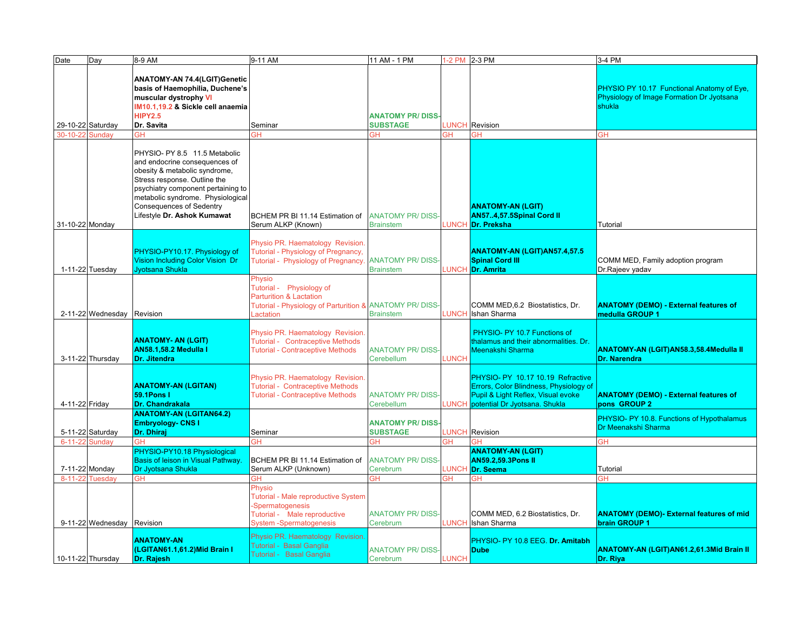| Date            | Day                        | 8-9 AM                                   | 9-11 AM                                                  | 11 AM - 1 PM            | 1-2 PM 2-3 PM |                                        | 3-4 PM                                            |
|-----------------|----------------------------|------------------------------------------|----------------------------------------------------------|-------------------------|---------------|----------------------------------------|---------------------------------------------------|
|                 |                            |                                          |                                                          |                         |               |                                        |                                                   |
|                 |                            |                                          |                                                          |                         |               |                                        |                                                   |
|                 |                            | <b>ANATOMY-AN 74.4(LGIT)Genetic</b>      |                                                          |                         |               |                                        |                                                   |
|                 |                            | basis of Haemophilia, Duchene's          |                                                          |                         |               |                                        | <b>PHYSIO PY 10.17 Functional Anatomy of Eye.</b> |
|                 |                            | muscular dystrophy VI                    |                                                          |                         |               |                                        | Physiology of Image Formation Dr Jyotsana         |
|                 |                            | IM10.1.19.2 & Sickle cell anaemia        |                                                          |                         |               |                                        | shukla                                            |
|                 |                            | <b>HIPY2.5</b>                           |                                                          | <b>ANATOMY PR/DISS</b>  |               |                                        |                                                   |
|                 | 29-10-22 Saturday          | Dr. Savita                               | Seminar                                                  | <b>SUBSTAGE</b>         | LUNCH         | Revision                               |                                                   |
| 30-10-22        | Sundav                     | <b>GH</b>                                | GН                                                       | ЗH                      | <b>GH</b>     | GH                                     | <b>GH</b>                                         |
|                 |                            |                                          |                                                          |                         |               |                                        |                                                   |
|                 |                            |                                          |                                                          |                         |               |                                        |                                                   |
|                 |                            | PHYSIO- PY 8.5 11.5 Metabolic            |                                                          |                         |               |                                        |                                                   |
|                 |                            | and endocrine consequences of            |                                                          |                         |               |                                        |                                                   |
|                 |                            | obesity & metabolic syndrome,            |                                                          |                         |               |                                        |                                                   |
|                 |                            | Stress response. Outline the             |                                                          |                         |               |                                        |                                                   |
|                 |                            | psychiatry component pertaining to       |                                                          |                         |               |                                        |                                                   |
|                 |                            | metabolic syndrome. Physiological        |                                                          |                         |               |                                        |                                                   |
|                 |                            | <b>Consequences of Sedentry</b>          |                                                          |                         |               | <b>ANATOMY-AN (LGIT)</b>               |                                                   |
|                 |                            | Lifestyle Dr. Ashok Kumawat              | BCHEM PR BI 11.14 Estimation of                          | <b>ANATOMY PR/DISS-</b> |               | AN574,57.5Spinal Cord II               |                                                   |
| 31-10-22 Monday |                            |                                          | Serum ALKP (Known)                                       | <b>Brainstem</b>        | <b>LUNCH</b>  | Dr. Preksha                            | Tutorial                                          |
|                 |                            |                                          |                                                          |                         |               |                                        |                                                   |
|                 |                            |                                          | Physio PR. Haematology Revision.                         |                         |               |                                        |                                                   |
|                 |                            | PHYSIO-PY10.17. Physiology of            | Tutorial - Physiology of Pregnancy,                      |                         |               | <b>ANATOMY-AN (LGIT)AN57.4,57.5</b>    |                                                   |
|                 |                            | Vision Including Color Vision Dr         | Tutorial - Physiology of Pregnancy.                      | <b>ANATOMY PR/DISS-</b> |               | <b>Spinal Cord III</b>                 | COMM MED, Family adoption program                 |
|                 | 1-11-22 Tuesday            | Jvotsana Shukla                          |                                                          | <b>Brainstem</b>        | <b>LUNCH</b>  |                                        | Dr.Rajeev yadav                                   |
|                 |                            |                                          |                                                          |                         |               | <b>Dr. Amrita</b>                      |                                                   |
|                 |                            |                                          | Physio                                                   |                         |               |                                        |                                                   |
|                 |                            |                                          | Tutorial - Physiology of                                 |                         |               |                                        |                                                   |
|                 |                            |                                          | <b>Parturition &amp; Lactation</b>                       |                         |               |                                        |                                                   |
|                 |                            |                                          | Tutorial - Physiology of Parturition & ANATOMY PR/ DISS- |                         |               | COMM MED, 6.2 Biostatistics, Dr.       | <b>ANATOMY (DEMO) - External features of</b>      |
|                 | 2-11-22 Wednesday          | Revision                                 | .actation                                                | <b>Brainstem</b>        | <b>LUNCH</b>  | Ishan Sharma                           | medulla GROUP 1                                   |
|                 |                            |                                          |                                                          |                         |               |                                        |                                                   |
|                 |                            |                                          | Physio PR. Haematology Revision.                         |                         |               | PHYSIO- PY 10.7 Functions of           |                                                   |
|                 |                            | <b>ANATOMY- AN (LGIT)</b>                | <b>Tutorial - Contraceptive Methods</b>                  |                         |               | thalamus and their abnormalities. Dr.  |                                                   |
|                 |                            | <b>AN58.1.58.2 Medulla I</b>             | <b>Tutorial - Contraceptive Methods</b>                  | <b>ANATOMY PR/DISS</b>  |               | Meenakshi Sharma                       | <b>ANATOMY-AN (LGIT)AN58.3,58.4Medulla II</b>     |
|                 | 3-11-22 Thursday           | Dr. Jitendra                             |                                                          | Cerebellum              | <b>LUNCH</b>  |                                        | <b>Dr. Narendra</b>                               |
|                 |                            |                                          |                                                          |                         |               |                                        |                                                   |
|                 |                            |                                          | Physio PR. Haematology Revision.                         |                         |               | PHYSIO- PY 10.17 10.19 Refractive      |                                                   |
|                 |                            | <b>ANATOMY-AN (LGITAN)</b>               | <b>Tutorial - Contraceptive Methods</b>                  |                         |               | Errors, Color Blindness, Physiology of |                                                   |
|                 |                            | <b>59.1Pons1</b>                         | <b>Tutorial - Contraceptive Methods</b>                  | <b>ANATOMY PR/DISS-</b> |               | Pupil & Light Reflex, Visual evoke     | <b>ANATOMY (DEMO) - External features of</b>      |
| 4-11-22 Friday  |                            | Dr. Chandrakala                          |                                                          | Cerebellum              | <b>LUNCH</b>  | potential Dr Jyotsana. Shukla          | pons GROUP 2                                      |
|                 |                            | <b>ANATOMY-AN (LGITAN64.2)</b>           |                                                          |                         |               |                                        |                                                   |
|                 |                            | <b>Embryology- CNS I</b>                 |                                                          | <b>ANATOMY PR/DISS</b>  |               |                                        | PHYSIO- PY 10.8. Functions of Hypothalamus        |
|                 | 5-11-22 Saturday           | Dr. Dhiraj                               | Seminar                                                  | <b>SUBSTAGE</b>         | <b>LUNCH</b>  | Revision                               | Dr Meenakshi Sharma                               |
| $6 - 11 - 22$   | Sunday                     | GH                                       | GΗ                                                       | ЗH                      | ЗH            | GΗ                                     | <b>GH</b>                                         |
|                 |                            | PHYSIO-PY10.18 Physiological             |                                                          |                         |               | <b>ANATOMY-AN (LGIT)</b>               |                                                   |
|                 |                            | <b>Basis of leison in Visual Pathway</b> | BCHEM PR BI 11.14 Estimation of                          | <b>ANATOMY PR/DISS-</b> |               | <b>AN59.2.59.3Pons II</b>              |                                                   |
|                 | 7-11-22 Monday             | Dr Jyotsana Shukla                       | Serum ALKP (Unknown)                                     | Cerebrum                | <b>LUNCH</b>  | Dr. Seema                              | Tutorial                                          |
|                 |                            |                                          |                                                          |                         |               |                                        | <b>GH</b>                                         |
| $8 - 11 - 22$   | Tuesday                    | GH                                       | <b>GH</b>                                                | <b>GH</b>               | ЭH            | GH                                     |                                                   |
|                 |                            |                                          | Physio                                                   |                         |               |                                        |                                                   |
|                 |                            |                                          | <b>Tutorial - Male reproductive System</b>               |                         |               |                                        |                                                   |
|                 |                            |                                          | -Spermatogenesis                                         |                         |               |                                        |                                                   |
|                 |                            |                                          | Tutorial - Male reproductive                             | <b>ANATOMY PR/DISS-</b> |               | COMM MED, 6.2 Biostatistics, Dr.       | <b>ANATOMY (DEMO)- External features of mid</b>   |
|                 | 9-11-22 Wednesday Revision |                                          | <b>System-Spermatogenesis</b>                            | Cerebrum                | LUNCH         | Ishan Sharma                           | brain GROUP 1                                     |
|                 |                            |                                          | Physio PR. Haematology Revision                          |                         |               |                                        |                                                   |
|                 |                            | <b>ANATOMY-AN</b>                        | Tutorial - Basal Ganglia                                 |                         |               | PHYSIO- PY 10.8 EEG. Dr. Amitabh       |                                                   |
|                 |                            | (LGITAN61.1,61.2) Mid Brain I            | Tutorial - Basal Ganglia                                 | <b>ANATOMY PR/DISS-</b> |               | <b>Dube</b>                            | <b>ANATOMY-AN (LGIT)AN61.2,61.3Mid Brain II</b>   |
|                 | 10-11-22 Thursday          | Dr. Rajesh                               |                                                          | Cerebrum                | LUNCH         |                                        | Dr. Riya                                          |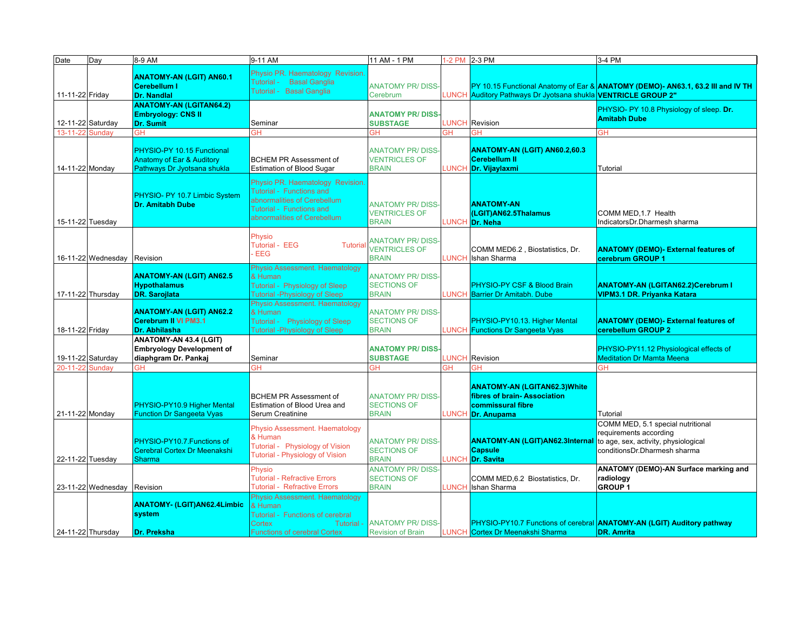| Date              | Day                         | 8-9 AM                                                                                 | 9-11 AM                                                                                                                                                      | 11 AM - 1 PM                                                    | 1-2 PM 2-3 PM |                                                                                                               | 3-4 PM                                                                                                                              |
|-------------------|-----------------------------|----------------------------------------------------------------------------------------|--------------------------------------------------------------------------------------------------------------------------------------------------------------|-----------------------------------------------------------------|---------------|---------------------------------------------------------------------------------------------------------------|-------------------------------------------------------------------------------------------------------------------------------------|
| 11-11-22 Friday   |                             | <b>ANATOMY-AN (LGIT) AN60.1</b><br><b>Cerebellum I</b><br>Dr. Nandlal                  | Physio PR. Haematology Revision<br>Tutorial - Basal Ganglia<br>Tutorial - Basal Ganglia                                                                      | <b>ANATOMY PR/DISS</b><br>Cerebrum                              |               | LUNCH Auditory Pathways Dr Jyotsana shukla VENTRICLE GROUP 2"                                                 | PY 10.15 Functional Anatomy of Ear & ANATOMY (DEMO) - AN63.1, 63.2 III and IV TH                                                    |
|                   | 12-11-22 Saturday           | <b>ANATOMY-AN (LGITAN64.2)</b><br><b>Embryology: CNS II</b><br><b>Dr. Sumit</b>        | Seminar                                                                                                                                                      | <b>ANATOMY PR/DISS</b><br><b>SUBSTAGE</b>                       |               | <b>LUNCH</b> Revision                                                                                         | PHYSIO- PY 10.8 Physiology of sleep. Dr.<br><b>Amitabh Dube</b>                                                                     |
| 13-11-22          | Sunday                      | GН                                                                                     | GН                                                                                                                                                           | ЗH                                                              | GН            | GH                                                                                                            | <b>GH</b>                                                                                                                           |
| 14-11-22 Monday   |                             | PHYSIO-PY 10.15 Functional<br>Anatomy of Ear & Auditory<br>Pathways Dr Jyotsana shukla | <b>BCHEM PR Assessment of</b><br><b>Estimation of Blood Sugar</b>                                                                                            | <b>ANATOMY PR/DISS-</b><br><b>VENTRICLES OF</b><br><b>BRAIN</b> |               | ANATOMY-AN (LGIT) AN60.2,60.3<br><b>Cerebellum II</b><br>LUNCH <mark>Dr. Vijaylaxmi</mark>                    | Tutorial                                                                                                                            |
| 15-11-22 Tuesday  |                             | PHYSIO- PY 10.7 Limbic System<br><b>Dr. Amitabh Dube</b>                               | Physio PR. Haematology Revision<br><b>Tutorial - Functions and</b><br>abnormalities of Cerebellum<br>Tutorial - Functions and<br>abnormalities of Cerebellum | <b>ANATOMY PR/DISS-</b><br><b>VENTRICLES OF</b><br><b>BRAIN</b> |               | <b>ANATOMY-AN</b><br>(LGIT)AN62.5Thalamus<br><b>LUNCH</b> Dr. Neha                                            | COMM MED, 1.7 Health<br>IndicatorsDr.Dharmesh sharma                                                                                |
|                   | 16-11-22 Wednesday Revision |                                                                                        | Physio<br>Tutorial - EEG<br><b>Tutorial</b><br>EEG                                                                                                           | <b>ANATOMY PR/DISS-</b><br><b>VENTRICLES OF</b><br><b>BRAIN</b> |               | COMM MED6.2, Biostatistics, Dr.<br>LUNCH Ishan Sharma                                                         | <b>ANATOMY (DEMO)- External features of</b><br>cerebrum GROUP 1                                                                     |
|                   | 17-11-22 Thursday           | <b>ANATOMY-AN (LGIT) AN62.5</b><br><b>Hypothalamus</b><br><b>DR. Sarojlata</b>         | Physio Assessment. Haematology<br>& Human<br>Tutorial - Physiology of Sleep<br><b>Tutorial -Physiology of Sleep</b>                                          | <b>ANATOMY PR/DISS</b><br><b>SECTIONS OF</b><br><b>BRAIN</b>    |               | PHYSIO-PY CSF & Blood Brain<br>UNCH Barrier Dr Amitabh. Dube                                                  | <b>ANATOMY-AN (LGITAN62.2)Cerebrum I</b><br><b>VIPM3.1 DR. Priyanka Katara</b>                                                      |
| 18-11-22 Friday   |                             | <b>ANATOMY-AN (LGIT) AN62.2</b><br><b>Cerebrum II VI PM3.1</b><br>Dr. Abhilasha        | Physio Assessment. Haematology<br>& Human<br><b>Physiology of Sleep</b><br>Tutorial -<br><b>Tutorial -Physiology of Sleep</b>                                | <b>ANATOMY PR/DISS-</b><br><b>SECTIONS OF</b><br><b>BRAIN</b>   |               | PHYSIO-PY10.13. Higher Mental<br>LUNCH Functions Dr Sangeeta Vyas                                             | <b>ANATOMY (DEMO)- External features of</b><br>cerebellum GROUP 2                                                                   |
|                   | 19-11-22 Saturday           | ANATOMY-AN 43.4 (LGIT)<br><b>Embryology Development of</b><br>diaphgram Dr. Pankaj     | Seminar                                                                                                                                                      | <b>ANATOMY PR/DISS</b><br><b>SUBSTAGE</b>                       |               | <b>LUNCH Revision</b>                                                                                         | PHYSIO-PY11.12 Physiological effects of<br><b>Meditation Dr Mamta Meena</b>                                                         |
| 20-11-22          | Sundav                      | GН                                                                                     | ЭH                                                                                                                                                           | ЭH                                                              | <b>GH</b>     | <b>GH</b>                                                                                                     | GН                                                                                                                                  |
| 21-11-22 Monday   |                             | PHYSIO-PY10.9 Higher Mental<br><b>Function Dr Sangeeta Vyas</b>                        | <b>BCHEM PR Assessment of</b><br>Estimation of Blood Urea and<br>Serum Creatinine                                                                            | <b>ANATOMY PR/DISS-</b><br><b>SECTIONS OF</b><br><b>BRAIN</b>   |               | <b>ANATOMY-AN (LGITAN62.3) White</b><br>fibres of brain-Association<br>commissural fibre<br>LUNCH Dr. Anupama | Tutorial                                                                                                                            |
| 22-11-22 Tuesday  |                             | PHYSIO-PY10.7. Functions of<br>Cerebral Cortex Dr Meenakshi<br>Sharma                  | Physio Assessment. Haematology<br>& Human<br>Tutorial - Physiology of Vision<br><b>Tutorial - Physiology of Vision</b>                                       | <b>ANATOMY PR/DISS-</b><br><b>SECTIONS OF</b><br><b>BRAIN</b>   |               | <b>ANATOMY-AN (LGIT)AN62.3Internal</b><br><b>Capsule</b><br>LUNCH Dr. Savita                                  | COMM MED, 5.1 special nutritional<br>requirements according<br>to age, sex, activity, physiological<br>conditionsDr.Dharmesh sharma |
|                   | 23-11-22 Wednesday          | Revision                                                                               | Physio<br><b>Tutorial - Refractive Errors</b><br><b>Tutorial - Refractive Errors</b>                                                                         | <b>ANATOMY PR/DISS</b><br><b>SECTIONS OF</b><br><b>BRAIN</b>    | <b>LUNCH</b>  | COMM MED, 6.2 Biostatistics, Dr.<br>Ishan Sharma                                                              | ANATOMY (DEMO)-AN Surface marking and<br>radiology<br><b>GROUP1</b>                                                                 |
| 24-11-22 Thursday |                             | <b>ANATOMY- (LGIT)AN62.4Limbic</b><br>system<br><b>Dr. Preksha</b>                     | Physio Assessment. Haematology<br>& Human<br>Tutorial - Functions of cerebral<br><b>Cortex</b><br>Tutorial -<br><b>Functions of cerebral Cortex</b>          | <b>ANATOMY PR/DISS-</b><br><b>Revision of Brain</b>             |               | LUNCH Cortex Dr Meenakshi Sharma                                                                              | PHYSIO-PY10.7 Functions of cerebral <b>ANATOMY-AN (LGIT) Auditory pathway</b><br><b>DR. Amrita</b>                                  |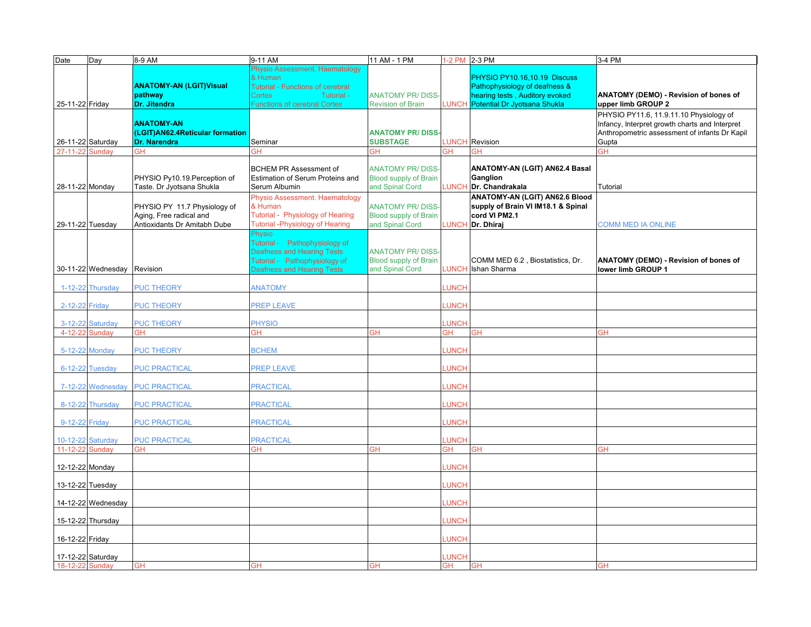| Date                                 | Day                | 8-9 AM                          | 9-11 AM                                 | 11 AM - 1 PM                 |                          | 1-2 PM 2-3 PM                      | 3-4 PM                                         |
|--------------------------------------|--------------------|---------------------------------|-----------------------------------------|------------------------------|--------------------------|------------------------------------|------------------------------------------------|
|                                      |                    |                                 | Physio Assessment. Haematology          |                              |                          |                                    |                                                |
|                                      |                    |                                 | & Human                                 |                              |                          | PHYSIO PY10.16,10.19 Discuss       |                                                |
|                                      |                    | <b>ANATOMY-AN (LGIT)Visual</b>  | <b>Tutorial - Functions of cerebral</b> |                              |                          | Pathophysiology of deafness &      |                                                |
|                                      |                    | pathway                         | <b>Cortex</b><br>Tutorial -             | <b>ANATOMY PR/DISS</b>       |                          | hearing tests, Auditory evoked     | ANATOMY (DEMO) - Revision of bones of          |
| 25-11-22 Friday                      |                    | Dr. Jitendra                    | <b>Functions of cerebral Cortex</b>     | <b>Revision of Brain</b>     | <b>UNCH</b>              | Potential Dr Jyotsana Shukla       | upper limb GROUP 2                             |
|                                      |                    |                                 |                                         |                              |                          |                                    | PHYSIO PY11.6, 11.9.11.10 Physiology of        |
|                                      |                    | <b>ANATOMY-AN</b>               |                                         |                              |                          |                                    | Infancy, Interpret growth charts and Interpret |
|                                      |                    | (LGIT)AN62.4Reticular formation |                                         | <b>ANATOMY PR/DISS</b>       |                          |                                    | Anthropometric assessment of infants Dr Kapil  |
| 26-11-22 Saturday                    |                    | <b>Dr. Narendra</b>             | Seminar                                 | <b>SUBSTAGE</b>              |                          | <b>LUNCH Revision</b>              | Gupta                                          |
| 27-11-22 Sundav                      |                    | GH                              | ЭH                                      | GH                           | GH                       | GH                                 | <b>GH</b>                                      |
|                                      |                    |                                 |                                         |                              |                          |                                    |                                                |
|                                      |                    |                                 | <b>BCHEM PR Assessment of</b>           | <b>ANATOMY PR/DISS-</b>      |                          | ANATOMY-AN (LGIT) AN62.4 Basal     |                                                |
|                                      |                    | PHYSIO Py10.19. Perception of   | Estimation of Serum Proteins and        | <b>Blood supply of Brain</b> |                          | Ganglion                           |                                                |
| 28-11-22 Monday                      |                    | Taste. Dr Jyotsana Shukla       | Serum Albumin                           | and Spinal Cord              |                          | <b>UNCH Dr. Chandrakala</b>        | Tutorial                                       |
|                                      |                    |                                 | Physio Assessment. Haematology          |                              |                          | ANATOMY-AN (LGIT) AN62.6 Blood     |                                                |
|                                      |                    | PHYSIO PY 11.7 Physiology of    | & Human                                 | <b>ANATOMY PR/DISS-</b>      |                          | supply of Brain VI IM18.1 & Spinal |                                                |
|                                      |                    | Aging, Free radical and         | Tutorial - Physiology of Hearing        | <b>Blood supply of Brain</b> |                          | cord VI PM2.1                      |                                                |
| 29-11-22 Tuesday                     |                    | Antioxidants Dr Amitabh Dube    | <b>Tutorial -Physiology of Hearing</b>  | and Spinal Cord              |                          | LUNCH Dr. Dhiraj                   | <b>COMM MED IA ONLINE</b>                      |
|                                      |                    |                                 | Physio                                  |                              |                          |                                    |                                                |
|                                      |                    |                                 | Tutorial - Pathophysiology of           |                              |                          |                                    |                                                |
|                                      |                    |                                 | <b>Deafness and Hearing Tests</b>       | <b>ANATOMY PR/DISS-</b>      |                          |                                    |                                                |
|                                      |                    |                                 | Tutorial - Pathophysiology of           | <b>Blood supply of Brain</b> |                          | COMM MED 6.2, Biostatistics, Dr.   | ANATOMY (DEMO) - Revision of bones of          |
|                                      | 30-11-22 Wednesday | Revision                        | <b>Deafness and Hearing Tests</b>       | and Spinal Cord              | <b>LUNCH</b>             | Ishan Sharma                       | lower limb GROUP 1                             |
|                                      |                    |                                 |                                         |                              |                          |                                    |                                                |
|                                      | 1-12-22 Thursday   | <b>PUC THEORY</b>               | <b>ANATOMY</b>                          |                              | <b>UNCH</b>              |                                    |                                                |
|                                      |                    |                                 |                                         |                              |                          |                                    |                                                |
| 2-12-22 Friday                       |                    | <b>PUC THEORY</b>               | <b>PREP LEAVE</b>                       |                              | <b>UNCH</b>              |                                    |                                                |
|                                      |                    |                                 |                                         |                              |                          |                                    |                                                |
|                                      | 3-12-22 Saturday   | <b>PUC THEORY</b>               | <b>PHYSIO</b>                           |                              | <b>UNCH</b>              |                                    |                                                |
| 4-12-22 Sunday                       |                    | GH                              | ЭH                                      | <b>GH</b>                    | GH                       | ЭH                                 | GH                                             |
|                                      |                    |                                 |                                         |                              |                          |                                    |                                                |
| 5-12-22 Monday                       |                    | <b>PUC THEORY</b>               | <b>BCHEM</b>                            |                              | <b>UNCH</b>              |                                    |                                                |
|                                      |                    |                                 |                                         |                              |                          |                                    |                                                |
|                                      | 6-12-22 Tuesday    | <b>PUC PRACTICAL</b>            | <b>PREP LEAVE</b>                       |                              | <b>UNCH</b>              |                                    |                                                |
|                                      |                    |                                 |                                         |                              |                          |                                    |                                                |
|                                      | 7-12-22 Wednesday  | <b>PUC PRACTICAL</b>            | <b>PRACTICAL</b>                        |                              | <b>UNCH</b>              |                                    |                                                |
|                                      |                    |                                 |                                         |                              |                          |                                    |                                                |
|                                      | 8-12-22 Thursday   | <b>PUC PRACTICAL</b>            | <b>PRACTICAL</b>                        |                              | <b>LUNCH</b>             |                                    |                                                |
|                                      |                    |                                 |                                         |                              |                          |                                    |                                                |
| 9-12-22 Friday                       |                    | <b>PUC PRACTICAL</b>            | <b>PRACTICAL</b>                        |                              | <b>UNCH</b>              |                                    |                                                |
|                                      |                    |                                 |                                         |                              |                          |                                    |                                                |
| 10-12-22 Saturday<br>11-12-22 Sunday |                    | <b>PUC PRACTICAL</b><br>GН      | <b>PRACTICAL</b><br>ЭH                  | GH                           | <b>UNCH</b><br><b>GH</b> | GН                                 | <b>GH</b>                                      |
|                                      |                    |                                 |                                         |                              |                          |                                    |                                                |
| 12-12-22 Monday                      |                    |                                 |                                         |                              | <b>UNCH</b>              |                                    |                                                |
|                                      |                    |                                 |                                         |                              |                          |                                    |                                                |
| 13-12-22 Tuesday                     |                    |                                 |                                         |                              | <b>UNCH</b>              |                                    |                                                |
|                                      |                    |                                 |                                         |                              |                          |                                    |                                                |
|                                      | 14-12-22 Wednesday |                                 |                                         |                              | <b>UNCH</b>              |                                    |                                                |
|                                      |                    |                                 |                                         |                              |                          |                                    |                                                |
|                                      | 15-12-22 Thursday  |                                 |                                         |                              | <b>LUNCH</b>             |                                    |                                                |
|                                      |                    |                                 |                                         |                              |                          |                                    |                                                |
| 16-12-22 Friday                      |                    |                                 |                                         |                              | <b>UNCH</b>              |                                    |                                                |
|                                      |                    |                                 |                                         |                              |                          |                                    |                                                |
| 17-12-22 Saturday                    |                    |                                 |                                         |                              | <b>UNCH</b>              |                                    |                                                |
| 18-12-22 Sunday                      |                    | <b>GH</b>                       | GН                                      | <b>GH</b>                    | <b>GH</b>                | <b>GH</b>                          | <b>GH</b>                                      |
|                                      |                    |                                 |                                         |                              |                          |                                    |                                                |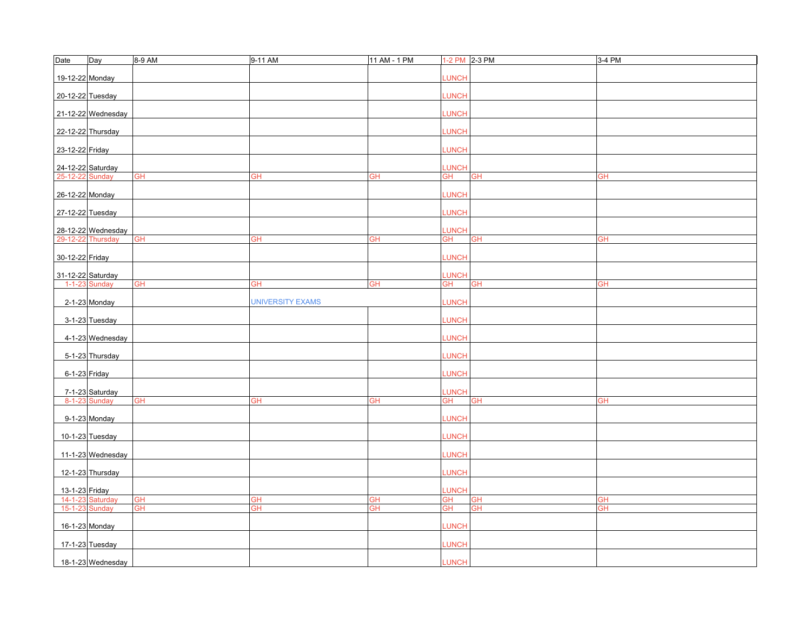| Date              | Day                | 8-9 AM    | 9-11 AM                 | 11 AM - 1 PM             |              | 1-2 PM 2-3 PM | 3-4 PM    |
|-------------------|--------------------|-----------|-------------------------|--------------------------|--------------|---------------|-----------|
| 19-12-22 Monday   |                    |           |                         |                          | <b>LUNCH</b> |               |           |
| 20-12-22 Tuesday  |                    |           |                         |                          | LUNCH        |               |           |
|                   | 21-12-22 Wednesday |           |                         |                          | LUNCH        |               |           |
| 22-12-22 Thursday |                    |           |                         |                          | LUNCH        |               |           |
| 23-12-22 Friday   |                    |           |                         |                          | LUNCH        |               |           |
| 24-12-22 Saturday |                    |           |                         |                          | LUNCH        |               |           |
| 25-12-22 Sunday   |                    | <b>GH</b> | GH                      | GH                       | GН           | <b>GH</b>     | <b>GH</b> |
|                   |                    |           |                         |                          |              |               |           |
| 26-12-22 Monday   |                    |           |                         |                          | <b>LUNCH</b> |               |           |
| 27-12-22 Tuesday  |                    |           |                         |                          | LUNCH        |               |           |
|                   | 28-12-22 Wednesday |           |                         |                          | LUNCH        |               |           |
| 29-12-22 Thursday |                    | <b>GH</b> | GH                      | GH                       | GН           | <b>GH</b>     | GH        |
| 30-12-22 Friday   |                    |           |                         |                          | LUNCH        |               |           |
| 31-12-22 Saturday |                    |           |                         |                          | LUNCH        |               |           |
|                   | 1-1-23 Sunday      | <b>GH</b> | GH                      | GH                       | GH           | <b>GH</b>     | <b>GH</b> |
|                   | 2-1-23 Monday      |           | <b>UNIVERSITY EXAMS</b> |                          | <b>LUNCH</b> |               |           |
|                   | 3-1-23 Tuesday     |           |                         |                          | LUNCH        |               |           |
|                   | 4-1-23 Wednesday   |           |                         |                          | LUNCH        |               |           |
|                   | 5-1-23 Thursday    |           |                         |                          | LUNCH        |               |           |
| 6-1-23 Friday     |                    |           |                         |                          | LUNCH        |               |           |
|                   | 7-1-23 Saturday    |           |                         |                          | LUNCH        |               |           |
|                   | 8-1-23 Sunday      | <b>GH</b> | <b>GH</b>               | $\overline{\mathsf{GH}}$ | GH           | <b>GH</b>     | <b>GH</b> |
|                   | 9-1-23 Monday      |           |                         |                          | <b>LUNCH</b> |               |           |
|                   | 10-1-23 Tuesday    |           |                         |                          | LUNCH        |               |           |
|                   | 11-1-23 Wednesday  |           |                         |                          | LUNCH        |               |           |
|                   | 12-1-23 Thursday   |           |                         |                          | LUNCH        |               |           |
| 13-1-23 Friday    |                    |           |                         |                          | LUNCH        |               |           |
|                   | 14-1-23 Saturday   | <b>GH</b> | GH                      | <b>GH</b>                | GH           | <b>GH</b>     | <b>GH</b> |
| 15-1-23 Sunday    |                    | <b>GH</b> | <b>GH</b>               | <b>GH</b>                | <b>GH</b>    | <b>GH</b>     | <b>GH</b> |
| 16-1-23 Monday    |                    |           |                         |                          | LUNCH        |               |           |
|                   | 17-1-23 Tuesday    |           |                         |                          | <b>LUNCH</b> |               |           |
|                   | 18-1-23 Wednesday  |           |                         |                          | <b>LUNCH</b> |               |           |